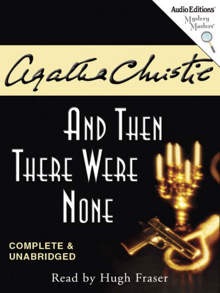Myslery Masters<sup>®</sup> Agatha Christie

Audio Editions<sup>®</sup>

# HUD THEN THEAE WERE None

# **COMPLETE & UNABRIDGED**

Read by Hugh Fraser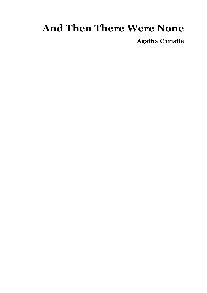# And Then There Were None

Agatha Christie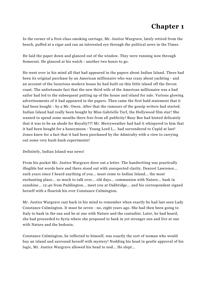## Chapter 1

In the corner of a first-class smoking carriage, Mr. Justice Wargrave, lately retired from the bench, puffed at a cigar and ran an interested eye through the political news in the Times.

He laid the paper down and glanced out of the window. They were running now through Somerset. He glanced at his watch - another two hours to go.

He went over in his mind all that had appeared in the papers about Indian Island. There had been its original purchase by an American millionaire who was crazy about yachting - and an account of the luxurious modern house he had built on this little island off the Devon coast. The unfortunate fact that the new third wife of the American millionaire was a bad sailor had led to the subsequent putting up of the house and island for sale. Various glowing advertisements of it had appeared in the papers. Then came the first bald statement that it had been bought - by a Mr. Owen. After that the rumours of the gossip writers had started. Indian Island had really been bought by Miss Gabrielle Turl, the Hollywood film star! She wanted to spend some months there free from all publicity! Busy Bee had hinted delicately that it was to be an abode for Royalty??! Mr. Merryweather had had it whispered to him that it had been bought for a honeymoon - Young Lord L... had surrendered to Cupid at last! Jones knew for a fact that it had been purchased by the Admiralty with a view to carrying out some very hush hush experiments!

Definitely, Indian Island was news!

From his pocket Mr. Justice Wargrave drew out a letter. The handwriting was practically illegible but words here and there stood out with unexpected clarity. Dearest Lawrence... such years since I heard anything of you... must come to Indian Island... the most enchanting place... so much to talk over... old days... communion with Nature... bask in sunshine... 12:40 from Paddington... meet you at Oakbridge... and his correspondent signed herself with a flourish his ever Constance Culmington.

Mr. Justice Wargrave cast back in his mind to remember when exactly he had last seen Lady Constance Culmington. It must be seven - no, eight years ago. She had then been going to Italy to bask in the sun and be at one with Nature and the contadini. Later, he had heard, she had proceeded to Syria where she proposed to bask in yet stronger sun and live at one with Nature and the bedouin.

Constance Culmington, he reflected to himself, was exactly the sort of woman who would buy an island and surround herself with mystery! Nodding his head in gentle approval of his logic, Mr. Justice Wargrave allowed his head to nod... He slept...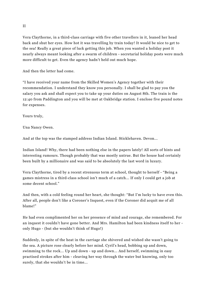Vera Claythorne, in a third-class carriage with five other travellers in it, leaned her head back and shut her eyes. How hot it was travelling by train today! It would be nice to get to the sea! Really a great piece of luck getting this job. When you wanted a holiday post it nearly always meant looking after a swarm of children - secretarial holiday posts were much more difficult to get. Even the agency hadn't held out much hope.

And then the letter had come.

"I have received your name from the Skilled Women's Agency together with their recommendation. I understand they know you personally. I shall be glad to pay you the salary you ask and shall expect you to take up your duties on August 8th. The train is the 12:40 from Paddington and you will be met at Oakbridge station. I enclose five pound notes for expenses.

Yours truly,

Una Nancy Owen.

And at the top was the stamped address Indian Island. Sticklehaven. Devon...

Indian Island! Why, there had been nothing else in the papers lately! All sorts of hints and interesting rumours. Though probably that was mostly untrue. But the house had certainly been built by a millionaire and was said to be absolutely the last word in luxury.

Vera Claythorne, tired by a recent strenuous term at school, thought to herself - "Being a games mistress in a third-class school isn't much of a catch... If only I could get a job at some decent school."

And then, with a cold feeling round her heart, she thought: "But I'm lucky to have even this. After all, people don't like a Coroner's Inquest, even if the Coroner did acquit me of all blame!"

He had even complimented her on her presence of mind and courage, she remembered. For an inquest it couldn't have gone better. And Mrs. Hamilton had been kindness itself to her only Hugo - (but she wouldn't think of Hugo!)

Suddenly, in spite of the heat in the carriage she shivered and wished she wasn't going to the sea. A picture rose clearly before her mind. Cyril's head, bobbing up and down, swimming to the rock... Up and down - up and down... And herself, swimming in easy practised strokes after him - cleaving her way through the water but knowing, only too surely, that she wouldn't be in time...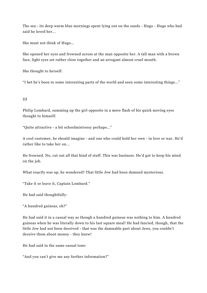The sea - its deep warm blue mornings spent lying out on the sands - Hugo - Hugo who had said he loved her...

She must not think of Hugo...

She opened her eyes and frowned across at the man opposite her. A tall man with a brown face, light eyes set rather close together and an arrogant almost cruel mouth.

She thought to herself:

"I bet he's been to some interesting parts of the world and seen some interesting things..."

#### III

Philip Lombard, summing up the girl opposite in a mere flash of his quick moving eyes thought to himself:

"Quite attractive - a bit schoolmistressy perhaps..."

A cool customer, he should imagine - and one who could hold her own - in love or war. He'd rather like to take her on...

He frowned. No, cut out all that kind of stuff. This was business. He'd got to keep his mind on the job.

What exactly was up, he wondered? That little Jew had been damned mysterious.

"Take it or leave it, Captain Lombard."

He had said thoughtfully:

"A hundred guineas, eh?"

He had said it in a casual way as though a hundred guineas was nothing to him. A hundred guineas when he was literally down to his last square meal! He had fancied, though, that the little Jew had not been deceived - that was the damnable part about Jews, you couldn't deceive them about money - they knew!

He had said in the same casual tone:

"And you can't give me any further information?"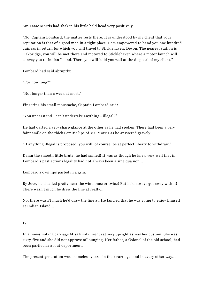Mr. Isaac Morris had shaken his little bald head very positively.

"No, Captain Lombard, the matter rests there. It is understood by my client that your reputation is that of a good man in a tight place. I am empowered to hand you one hundred guineas in return for which you will travel to Sticklehaven, Devon. The nearest station is Oakbridge, you will be met there and motored to Sticklehaven where a motor launch will convey you to Indian Island. There you will hold yourself at the disposal of my client."

Lombard had said abruptly:

"For how long?"

"Not longer than a week at most."

Fingering his small moustache, Captain Lombard said:

"You understand I can't undertake anything - illegal?"

He had darted a very sharp glance at the other as he had spoken. There had been a very faint smile on the thick Semitic lips of Mr. Morris as he answered gravely:

"If anything illegal is proposed, you will, of course, be at perfect liberty to withdraw."

Damn the smooth little brute, he had smiled! It was as though he knew very well that in Lombard's past actions legality had not always been a sine qua non...

Lombard's own lips parted in a grin.

By Jove, he'd sailed pretty near the wind once or twice! But he'd always got away with it! There wasn't much he drew the line at really...

No, there wasn't much he'd draw the line at. He fancied that he was going to enjoy himself at Indian Island...

#### IV

In a non-smoking carriage Miss Emily Brent sat very upright as was her custom. She was sixty-five and she did not approve of lounging. Her father, a Colonel of the old school, had been particular about deportment.

The present generation was shamelessly lax - in their carriage, and in every other way...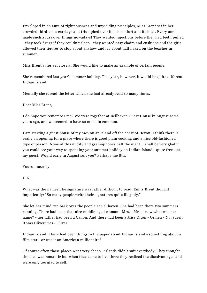Enveloped in an aura of righteousness and unyielding principles, Miss Brent sat in her crowded third-class carriage and triumphed over its discomfort and its heat. Every one made such a fuss over things nowadays! They wanted injections before they had teeth pulled - they took drugs if they couldn't sleep - they wanted easy chairs and cushions and the girls allowed their figures to slop about anyhow and lay about half naked on the beaches in summer.

Miss Brent's lips set closely. She would like to make an example of certain people.

She remembered last year's summer holiday. This year, however, it would be quite different. Indian Island...

Mentally she reread the letter which she had already read so many times.

Dear Miss Brent,

I do hope you remember me? We were together at Bellhaven Guest House in August some years ago, and we seemed to have so much in common.

I am starting a guest house of my own on an island off the coast of Devon. I think there is really an opening for a place where there is good plain cooking and a nice old-fashioned type of person. None of this nudity and gramophones half the night. I shall be very glad if you could see your way to spending your summer holiday on Indian Island - quite free - as my guest. Would early in August suit you? Perhaps the 8th.

Yours sincerely.

U.N. -

What was the name? The signature was rather difficult to read. Emily Brent thought impatiently: "So many people write their signatures quite illegibly."

She let her mind run back over the people at Bellhaven. She had been there two summers running. There had been that nice middle-aged woman - Mrs. - Mrs. - now what was her name? - her father had been a Canon. And there had been a Miss Olton - Ormen - No, surely it was Oliver! Yes - Oliver.

Indian Island! There had been things in the paper about Indian Island - something about a film star - or was it an American millionaire?

Of course often those places went very cheap - islands didn't suit everybody. They thought the idea was romantic but when they came to live there they realized the disadvantages and were only too glad to sell.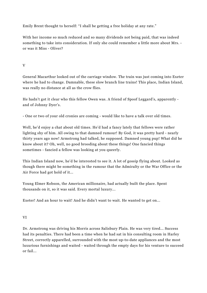Emily Brent thought to herself: "I shall be getting a free holiday at any rate."

With her income so much reduced and so many dividends not being paid, that was indeed something to take into consideration. If only she could remember a little more about Mrs. or was it Miss - Oliver?

#### V

General Macarthur looked out of the carriage window. The train was just coming into Exeter where he had to change. Damnable, these slow branch line trains! This place, Indian Island, was really no distance at all as the crow flies.

He hadn't got it clear who this fellow Owen was. A friend of Spoof Leggard's, apparently and of Johnny Dyer's.

- One or two of your old cronies are coming - would like to have a talk over old times.

Well, he'd enjoy a chat about old times. He'd had a fancy lately that fellows were rather lighting shy of him. All owing to that damned rumour! By God, it was pretty hard - nearly thirty years ago now! Armstrong had talked, he supposed. Damned young pup! What did he know about it? Oh, well, no good brooding about these things! One fancied things sometimes - fancied a fellow was looking at you queerly.

This Indian Island now, he'd be interested to see it. A lot of gossip flying about. Looked as though there might be something in the rumour that the Admiralty or the War Office or the Air Force had got hold of it...

Young Elmer Robson, the American millionaire, had actually built the place. Spent thousands on it, so it was said. Every mortal luxury...

Exeter! And an hour to wait! And he didn't want to wait. He wanted to get on...

#### VI

Dr. Armstrong was driving his Morris across Salisbury Plain. He was very tired... Success had its penalties. There had been a time when he had sat in his consulting room in Harley Street, correctly apparelled, surrounded with the most up-to-date appliances and the most luxurious furnishings and waited - waited through the empty days for his venture to succeed or fail...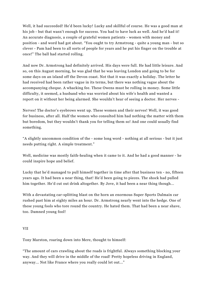Well, it had succeeded! He'd been lucky! Lucky and skillful of course. He was a good man at his job - but that wasn't enough for success. You had to have luck as well. And he'd had it! An accurate diagnosis, a couple of grateful women patients - women with money and position - and word had got about. "You ought to try Armstrong - quite a young man - but so clever - Pam had been to all sorts of people for years and he put his finger on the trouble at once!" The ball had started rolling.

And now Dr. Armstrong had definitely arrived. His days were full. He had little leisure. And so, on this August morning, he was glad that he was leaving London and going to be for some days on an island off the Devon coast. Not that it was exactly a holiday. The letter he had received had been rather vague in its terms, but there was nothing vague about the accompanying cheque. A whacking fee. These Owens must be rolling in money. Some little difficulty, it seemed, a husband who was worried about his wife's health and wanted a report on it without her being alarmed. She wouldn't hear of seeing a doctor. Her nerves -

Nerves! The doctor's eyebrows went up. These women and their nerves! Well, it was good for business, after all. Half the women who consulted him had nothing the matter with them but boredom, but they wouldn't thank you for telling them so! And one could usually find something.

"A slightly uncommon condition of the - some long word - nothing at all serious - but it just needs putting right. A simple treatment."

Well, medicine was mostly faith-healing when it came to it. And he had a good manner - he could inspire hope and belief.

Lucky that he'd managed to pull himself together in time after that business ten - no, fifteen years ago. It had been a near thing, that! He'd been going to pieces. The shock had pulled him together. He'd cut out drink altogether. By Jove, it had been a near thing though...

With a devastating car-splitting blast on the horn an enormous Super Sports Dalmain car rushed past him at eighty miles an hour. Dr. Armstrong nearly went into the hedge. One of these young fools who tore round the country. He hated them. That had been a near shave, too. Damned young fool!

#### VII

Tony Marston, roaring down into Mere, thought to himself:

"The amount of cars crawling about the roads is frightful. Always something blocking your way. And they will drive in the middle of the road! Pretty hopeless driving in England, anyway... Not like France where you really could let out..."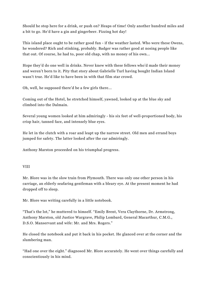Should he stop here for a drink, or push on? Heaps of time! Only another hundred miles and a bit to go. He'd have a gin and gingerbeer. Fizzing hot day!

This island place ought to be rather good fun - if the weather lasted. Who were these Owens, he wondered? Rich and stinking, probably. Badger was rather good at nosing people like that out. Of course, he had to, poor old chap, with no money of his own...

Hope they'd do one well in drinks. Never knew with these fellows who'd made their money and weren't born to it. Pity that story about Gabrielle Turl having bought Indian Island wasn't true. He'd like to have been in with that film star crowd.

Oh, well, he supposed there'd be a few girls there...

Coming out of the Hotel, he stretched himself, yawned, looked up at the blue sky and climbed into the Dalmain.

Several young women looked at him admiringly - his six feet of well-proportioned body, his crisp hair, tanned face, and intensely blue eyes.

He let in the clutch with a roar and leapt up the narrow street. Old men and errand boys jumped for safety. The latter looked after the car admiringly.

Anthony Marston proceeded on his triumphal progress.

#### VIII

Mr. Blore was in the slow train from Plymouth. There was only one other person in his carriage, an elderly seafaring gentleman with a bleary eye. At the present moment he had dropped off to sleep.

Mr. Blore was writing carefully in a little notebook.

"That's the lot," he muttered to himself. "Emily Brent, Vera Claythorne, Dr. Armstrong, Anthony Marston, old Justice Wargrave, Philip Lombard, General Macarthur, C.M.G., D.S.O. Manservant and wife: Mr. and Mrs. Rogers."

He closed the notebook and put it back in his pocket. He glanced over at the corner and the slumbering man.

"Had one over the eight." diagnosed Mr. Blore accurately. He went over things carefully and conscientiously in his mind.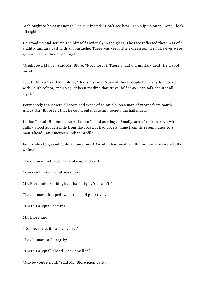"Job ought to be easy enough," he ruminated. "Don't see how I can slip up on it. Hope I look all right."

He stood up and scrutinized himself anxiously in the glass. The face reflected there was of a slightly military cast with a moustache. There was very little expression in it. The eyes were grey and set rather close together.

"Might be a Major," said Mr. Blore. "No, I forgot. There's that old military gent. He'd spot me at once.

"South Africa," said Mr. Blore, "that's my line! None of these people have anything to do with South Africa, and I've just been reading that travel folder so I can talk about it all right."

Fortunately there were all sorts and types of colonials. As a man of means from South Africa, Mr. Blore felt that he could enter into any society unchallenged.

Indian Island. He remembered Indian Island as a boy... Smelly sort of rock covered with gulls - stood about a mile from the coast. It had got its name from its resemblance to a man's head - an American Indian profile.

Funny idea to go and build a house on it! Awful in bad weather! But millionaires were full of whims!

The old man in the corner woke up and said:

"You can't never tell at sea - never!"

Mr. Blore said soothingly, "That's right. You can't."

The old man hiccuped twice and said plaintively:

"There's a squall coming."

Mr. Blore said:

"No, no, mate, it's a lovely day."

The old man said angrily:

"There's a squall ahead. I can smell it."

"Maybe you're right," said Mr. Blore pacifically.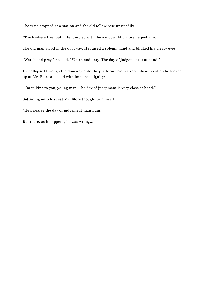The train stopped at a station and the old fellow rose unsteadily.

"Thish where I get out." He fumbled with the window. Mr. Blore helped him.

The old man stood in the doorway. He raised a solemn hand and blinked his bleary eyes.

"Watch and pray," he said. "Watch and pray. The day of judgement is at hand."

He collapsed through the doorway onto the platform. From a recumbent position he looked up at Mr. Blore and said with immense dignity:

"I'm talking to you, young man. The day of judgement is very close at hand."

Subsiding onto his seat Mr. Blore thought to himself:

"He's nearer the day of judgement than I am!"

But there, as it happens, he was wrong...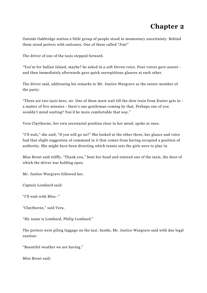### Chapter 2

Outside Oakbridge station a little group of people stood in momentary uncertainty. Behind them stood porters with suitcases. One of these called "Jim!"

The driver of one of the taxis stepped forward.

"You'm for Indian Island, maybe? he asked in a soft Devon voice. Four voices gave assent and then immediately afterwards gave quick surreptitious glances at each other.

The driver said, addressing his remarks to Mr. Justice Wargrave as the senior member of the party:

"There are two taxis here, sir. One of them must wait till the slow train from Exeter gets in a matter of five minutes - there's one gentleman coming by that. Perhaps one of you wouldn't mind waiting? You'd be more comfortable that way."

Vera Claythorne, her own secretarial position clear in her mind, spoke at once.

"I'll wait," she said, "if you will go on?" She looked at the other three, her glance and voice had that slight suggestion of command in it that comes from having occupied a position of authority. She might have been directing which tennis sets the girls were to play in.

Miss Brent said stiffly, "Thank you," bent her head and entered one of the taxis, the door of which the driver was holding open.

Mr. Justice Wargrave followed her.

Captain Lombard said:

"I'll wait with Miss -"

"Claythorne," said Vera.

"My name is Lombard, Philip Lombard."

The porters were piling luggage on the taxi. Inside, Mr. Justice Wargrave said with due legal caution:

"Beautiful weather we are having."

Miss Brent said: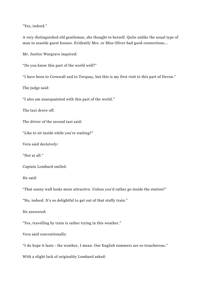"Yes, indeed."

A very distinguished old gentleman, she thought to herself. Quite unlike the usual type of man in seaside guest houses. Evidently Mrs. or Miss Oliver had good connections...

Mr. Justice Wargrave inquired:

"Do you know this part of the world well?"

"I have been to Cornwall and to Torquay, but this is my first visit to this part of Devon."

The judge said:

"I also am unacquainted with this part of the world."

The taxi drove off.

The driver of the second taxi said:

"Like to sit inside while you're waiting?"

Vera said decisively:

"Not at all."

Captain Lombard smiled.

He said:

"That sunny wall looks more attractive. Unless you'd rather go inside the station?"

"No, indeed. It's so delightful to get out of that stuffy train."

He answered:

"Yes, travelling by train is rather trying in this weather."

Vera said conventionally:

"I do hope it lasts - the weather, I mean. Our English summers are so treacherous."

With a slight lack of originality Lombard asked: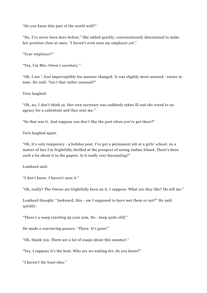"Do you know this part of the world well?"

"No, I've never been here before." She added quickly, conscientiously determined to make her position clear at once, "I haven't even seen my employer yet."

"Your employer?"

"Yes, I'm Mrs. Owen's secretary."

"Oh, I see." Just imperceptibly his manner changed. It was slightly more assured - easier in tone. He said: "Isn't that rather unusual?"

Vera laughed.

"Oh, no, I don't think so. Her own secretary was suddenly taken ill and she wired to an agency for a substitute and they sent me."

"So that was it. And suppose you don't like the post when you've got there?"

Vera laughed again.

"Oh, it's only temporary - a holiday post. I've got a permanent job at a girls' school. As a matter of fact I'm frightfully thrilled at the prospect of seeing Indian Island. There's been such a lot about it in the papers. Is it really very fascinating?"

Lombard said:

"I don't know. I haven't seen it."

"Oh, really? The Owens are frightfully keen on it, I suppose. What are they like? Do tell me."

Lombard thought: "Awkward, this - am I supposed to have met them or not?" He said quickly:

"There's a wasp crawling up your arm. No - keep quite still."

He made a convincing pounce. "There. It's gone!"

"Oh, thank you. There are a lot of wasps about this summer."

"Yes, I suppose it's the heat. Who are we waiting for, do you know?"

"I haven't the least idea."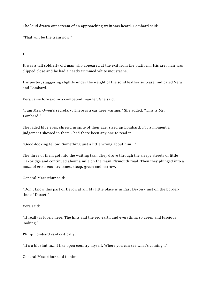The loud drawn out scream of an approaching train was heard. Lombard said:

"That will be the train now."

#### II

It was a tall soldierly old man who appeared at the exit from the platform. His grey hair was clipped close and he had a neatly trimmed white moustache.

His porter, staggering slightly under the weight of the solid leather suitcase, indicated Vera and Lombard.

Vera came forward in a competent manner. She said:

"I am Mrs. Owen's secretary. There is a car here waiting." She added: "This is Mr. Lombard."

The faded blue eyes, shrewd in spite of their age, sized up Lombard. For a moment a judgement showed in them - had there been any one to read it.

"Good-looking fellow. Something just a little wrong about him..."

The three of them got into the waiting taxi. They drove through the sleepy streets of little Oakbridge and continued about a mile on the main Plymouth road. Then they plunged into a maze of cross country lanes, steep, green and narrow.

General Macarthur said:

"Don't know this part of Devon at all. My little place is in East Devon - just on the borderline of Dorset."

Vera said:

"It really is lovely here. The hills and the red earth and everything so green and luscious looking."

Philip Lombard said critically:

"It's a bit shut in... I like open country myself. Where you can see what's coming..."

General Macarthur said to him: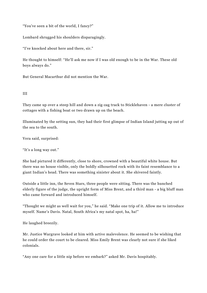"You've seen a bit of the world, I fancy?"

Lombard shrugged his shoulders disparagingly.

"I've knocked about here and there, sir."

He thought to himself: "He'll ask me now if I was old enough to be in the War. These old boys always do."

But General Macarthur did not mention the War.

#### III

They came up over a steep hill and down a zig-zag track to Sticklehaven - a mere cluster of cottages with a fishing boat or two drawn up on the beach.

Illuminated by the setting sun, they had their first glimpse of Indian Island jutting up out of the sea to the south.

Vera said, surprised:

"It's a long way out."

She had pictured it differently, close to shore, crowned with a beautiful white house. But there was no house visible, only the boldly silhouetted rock with its faint resemblance to a giant Indian's head. There was something sinister about it. She shivered faintly.

Outside a little inn, the Seven Stars, three people were sitting. There was the hunched elderly figure of the judge, the upright form of Miss Brent, and a third man - a big bluff man who came forward and introduced himself.

"Thought we might as well wait for you," he said. "Make one trip of it. Allow me to introduce myself. Name's Davis. Natal, South Africa's my natal spot, ha, ha!"

He laughed breezily.

Mr. Justice Wargrave looked at him with active malevolence. He seemed to be wishing that he could order the court to be cleared. Miss Emily Brent was clearly not sure if she liked colonials.

"Any one care for a little nip before we embark?" asked Mr. Davis hospitably.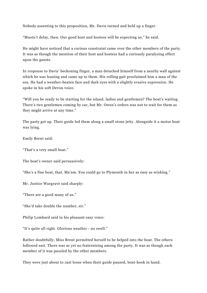Nobody assenting to this proposition, Mr. Davis turned and held up a finger.

"Mustn't delay, then. Our good host and hostess will be expecting us," he said.

He might have noticed that a curious constraint came over the other members of the party. It was as though the mention of their host and hostess had a curiously paralyzing effect upon the guests.

In response to Davis' beckoning finger, a man detached himself from a nearby wall against which he was leaning and came up to them. His rolling gait proclaimed him a man of the sea. He had a weather-beaten face and dark eyes with a slightly evasive expression. He spoke in his soft Devon voice.

"Will you be ready to be starting for the island, ladies and gentlemen? The boat's waiting. There's two gentlemen coming by car, but Mr. Owen's orders was not to wait for them as they might arrive at any time."

The party got up. Their guide led them along a small stone jetty. Alongside it a motor boat was lying.

Emily Brent said:

"That's a very small boat."

The boat's owner said persuasively:

"She's a fine boat, that, Ma'am. You could go to Plymouth in her as easy as winking."

Mr. Justice Wargrave said sharply:

"There are a good many of us."

"She'd take double the number, sir."

Philip Lombard said in his pleasant easy voice:

"It's quite all right. Glorious weather - no swell."

Rather doubtfully, Miss Brent permitted herself to be helped into the boat. The others followed suit. There was as yet no fraternizing among the party. It was as though each member of it was puzzled by the other members.

They were just about to cast loose when their guide paused, boat-hook in hand.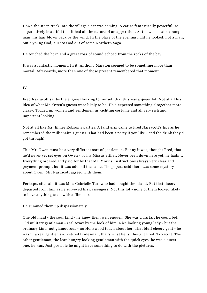Down the steep track into the village a car was coming. A car so fantastically powerful, so superlatively beautiful that it had all the nature of an apparition. At the wheel sat a young man, his hair blown back by the wind. In the blaze of the evening light he looked, not a man, but a young God, a Hero God out of some Northern Saga.

He touched the horn and a great roar of sound echoed from the rocks of the bay.

It was a fantastic moment. In it, Anthony Marston seemed to be something more than mortal. Afterwards, more than one of those present remembered that moment.

#### IV

Fred Narracott sat by the engine thinking to himself that this was a queer lot. Not at all his idea of what Mr. Owen's guests were likely to be. He'd expected something altogether more classy. Togged up women and gentlemen in yachting costume and all very rich and important looking.

Not at all like Mr. Elmer Robson's parties. A faint grin came to Fred Narracott's lips as he remembered the millionaire's guests. That had been a party if you like - and the drink they'd got through!

This Mr. Owen must be a very different sort of gentleman. Funny it was, thought Fred, that he'd never yet set eyes on Owen - or his Missus either. Never been down here yet, he hadn't. Everything ordered and paid for by that Mr. Morris. Instructions always very clear and payment prompt, but it was odd, all the same. The papers said there was some mystery about Owen. Mr. Narracott agreed with them.

Perhaps, after all, it was Miss Gabrielle Turl who had bought the island. But that theory departed from him as he surveyed his passengers. Not this lot - none of them looked likely to have anything to do with a film star.

He summed them up dispassionately.

One old maid - the sour kind - he knew them well enough. She was a Tartar, he could bet. Old military gentleman - real Army by the look of him. Nice looking young lady - but the ordinary kind, not glamourous - no Hollywood touch about her. That bluff cheery gent - he wasn't a real gentleman. Retired tradesman, that's what he is, thought Fred Narracott. The other gentleman, the lean hungry looking gentleman with the quick eyes, he was a queer one, he was. Just possible he might have something to do with the pictures.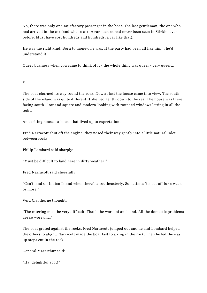No, there was only one satisfactory passenger in the boat. The last gentleman, the one who had arrived in the car (and what a car! A car such as had never been seen in Sticklehaven before. Must have cost hundreds and hundreds, a car like that).

He was the right kind. Born to money, he was. If the party had been all like him... he'd understand it...

Queer business when you came to think of it - the whole thing was queer - very queer...

V

The boat churned its way round the rock. Now at last the house came into view. The south side of the island was quite different It shelved gently down to the sea. The house was there facing south - low and square and modern-looking with rounded windows letting in all the light.

An exciting house - a house that lived up to expectation!

Fred Narracott shut off the engine, they nosed their way gently into a little natural inlet between rocks.

Philip Lombard said sharply:

"Must be difficult to land here in dirty weather."

Fred Narracott said cheerfully:

"Can't land on Indian Island when there's a southeasterly. Sometimes 'tis cut off for a week or more."

Vera Claythorne thought:

"The catering must be very difficult. That's the worst of an island. All the domestic problems are so worrying."

The boat grated against the rocks. Fred Narracott jumped out and he and Lombard helped the others to alight. Narracott made the boat fast to a ring in the rock. Then he led the way up steps cut in the rock.

General Macarthur said:

"Ha, delightful spot!"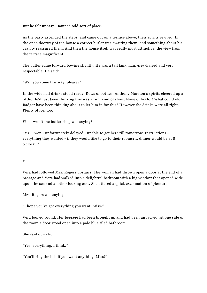But he felt uneasy. Damned odd sort of place.

As the party ascended the steps, and came out on a terrace above, their spirits revived. In the open doorway of the house a correct butler was awaiting them, and something about his gravity reassured them. And then the house itself was really most attractive, the view from the terrace magnificent...

The butler came forward bowing slightly. He was a tall lank man, grey-haired and very respectable. He said:

"Will you come this way, please?"

In the wide hall drinks stood ready. Rows of bottles. Anthony Marston's spirits cheered up a little. He'd just been thinking this was a rum kind of show. None of his lot! What could old Badger have been thinking about to let him in for this? However the drinks were all right. Plenty of ice, too.

What was it the butler chap was saying?

"Mr. Owen - unfortunately delayed - unable to get here till tomorrow. Instructions everything they wanted - if they would like to go to their rooms?... dinner would be at 8 o'clock..."

#### VI

Vera had followed Mrs. Rogers upstairs. The woman had thrown open a door at the end of a passage and Vera had walked into a delightful bedroom with a big window that opened wide upon the sea and another looking east. She uttered a quick exclamation of pleasure.

Mrs. Rogers was saying:

"I hope you've got everything you want, Miss?"

Vera looked round. Her luggage had been brought up and had been unpacked. At one side of the room a door stood open into a pale blue tiled bathroom.

She said quickly:

"Yes, everything, I think."

"You'll ring the bell if you want anything, Miss?"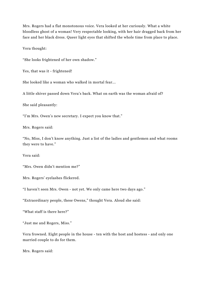Mrs. Rogers had a flat monotonous voice. Vera looked at her curiously. What a white bloodless ghost of a woman! Very respectable looking, with her hair dragged back from her face and her black dress. Queer light eyes that shifted the whole time from place to place.

Vera thought:

"She looks frightened of her own shadow."

Yes, that was it - frightened!

She looked like a woman who walked in mortal fear...

A little shiver passed down Vera's back. What on earth was the woman afraid of?

She said pleasantly:

"I'm Mrs. Owen's new secretary. I expect you know that."

Mrs. Rogers said:

"No, Miss, I don't know anything. Just a list of the ladies and gentlemen and what rooms they were to have."

Vera said:

"Mrs. Owen didn't mention me?"

Mrs. Rogers' eyelashes flickered.

"I haven't seen Mrs. Owen - not yet. We only came here two days ago."

"Extraordinary people, these Owens," thought Vera. Aloud she said:

"What staff is there here?"

"Just me and Rogers, Miss."

Vera frowned. Eight people in the house - ten with the host and hostess - and only one married couple to do for them.

Mrs. Rogers said: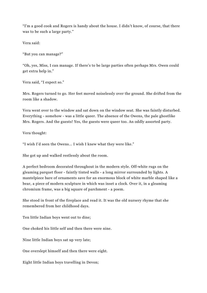"I'm a good cook and Rogers is handy about the house. I didn't know, of course, that there was to be such a large party."

Vera said:

"But you can manage?"

"Oh, yes, Miss, I can manage. If there's to be large parties often perhaps Mrs. Owen could get extra help in."

Vera said, "I expect so."

Mrs. Rogers turned to go. Her feet moved noiselessly over the ground. She drifted from the room like a shadow.

Vera went over to the window and sat down on the window seat. She was faintly disturbed. Everything - somehow - was a little queer. The absence of the Owens, the pale ghostlike Mrs. Rogers. And the guests! Yes, the guests were queer too. An oddly assorted party.

Vera thought:

"I wish I'd seen the Owens... I wish I knew what they were like."

She got up and walked restlessly about the room.

A perfect bedroom decorated throughout in the modern style. Off-white rugs on the gleaming parquet floor - faintly tinted walls - a long mirror surrounded by lights. A mantelpiece bare of ornaments save for an enormous block of white marble shaped like a bear, a piece of modern sculpture in which was inset a clock. Over it, in a gleaming chromium frame, was a big square of parchment - a poem.

She stood in front of the fireplace and read it. It was the old nursery rhyme that she remembered from her childhood days.

Ten little Indian boys went out to dine;

One choked his little self and then there were nine.

Nine little Indian boys sat up very late;

One overslept himself and then there were eight.

Eight little Indian boys travelling in Devon;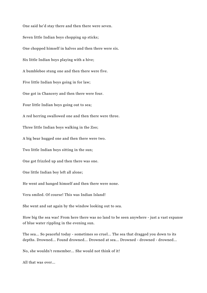One said he'd stay there and then there were seven. Seven little Indian boys chopping up sticks; One chopped himself in halves and then there were six. Six little Indian boys playing with a hive; A bumblebee stung one and then there were five. Five little Indian boys going in for law; One got in Chancery and then there were four. Four little Indian boys going out to sea; A red herring swallowed one and then there were three. Three little Indian boys walking in the Zoo; A big bear hugged one and then there were two. Two little Indian boys sitting in the sun; One got frizzled up and then there was one. One little Indian boy left all alone; He went and hanged himself and then there were none. Vera smiled. Of course! This was Indian Island! She went and sat again by the window looking out to sea. How big the sea was! From here there was no land to be seen anywhere - just a vast expanse of blue water rippling in the evening sun.

The sea... So peaceful today - sometimes so cruel... The sea that dragged you down to its depths. Drowned... Found drowned... Drowned at sea... Drowned - drowned - drowned...

No, she wouldn't remember... She would not think of it!

All that was over...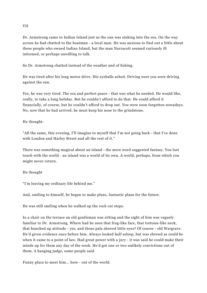Dr. Armstrong came to Indian Island just as the sun was sinking into the sea. On the way across he had chatted to the boatman - a local man. He was anxious to find out a little about these people who owned Indian Island, but the man Narracott seemed curiously ill informed, or perhaps unwilling to talk.

So Dr. Armstrong chatted instead of the weather and of fishing.

He was tired after his long motor drive. His eyeballs ached. Driving west you were driving against the sun.

Yes, he was very tired. The sea and perfect peace - that was what he needed. He would like, really, to take a long holiday. But he couldn't afford to do that. He could afford it financially, of course, but he couldn't afford to drop out. You were soon forgotten nowadays. No, now that he had arrived, he must keep his nose to the grindstone.

#### He thought:

"All the same, this evening, I'll imagine to myself that I'm not going back - that I've done with London and Harley Street and all the rest of it."

There was something magical about an island - the mere word suggested fantasy. You lost touch with the world - an island was a world of its own. A world, perhaps, from which you might never return.

#### He thought

"I'm leaving my ordinary life behind me."

And, smiling to himself, he began to make plans, fantastic plans for the future.

He was still smiling when he walked up the rock cut steps.

In a chair on the terrace an old gentleman was sitting and the sight of him was vaguely familiar to Dr. Armstrong. Where had he seen that frog-like face, that tortoise-like neck, that hunched up attitude - yes, and those pale shrewd little eyes? Of course - old Wargrave. He'd given evidence once before him. Always looked half asleep, but was shrewd as could be when it came to a point of law. Had great power with a jury - it was said he could make their minds up for them any day of the week. He'd got one or two unlikely convictions out of them. A hanging judge, some people said.

Funny place to meet him... here - out of the world.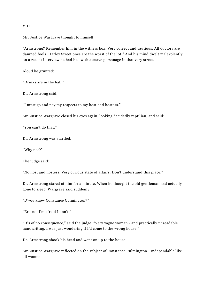#### VIII

Mr. Justice Wargrave thought to himself:

"Armstrong? Remember him in the witness box. Very correct and cautious. All doctors are damned fools. Harley Street ones are the worst of the lot." And his mind dwelt malevolently on a recent interview he had had with a suave personage in that very street.

Aloud he grunted:

"Drinks are in the hall."

Dr. Armstrong said:

"I must go and pay my respects to my host and hostess."

Mr. Justice Wargrave closed his eyes again, looking decidedly reptilian, and said:

"You can't do that."

Dr. Armstrong was startled.

"Why not?"

The judge said:

"No host and hostess. Very curious state of affairs. Don't understand this place."

Dr. Armstrong stared at him for a minute. When he thought the old gentleman had actually gone to sleep, Wargrave said suddenly:

"D'you know Constance Culmington?"

"Er - no, I'm afraid I don't."

"It's of no consequence," said the judge. "Very vague woman - and practically unreadable handwriting. I was just wondering if I'd come to the wrong house."

Dr. Armstrong shook his head and went on up to the house.

Mr. Justice Wargrave reflected on the subject of Constance Culmington. Undependable like all women.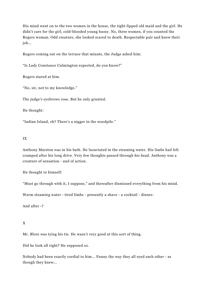His mind went on to the two women in the house, the tight-lipped old maid and the girl. He didn't care for the girl, cold-blooded young hussy. No, three women, if you counted the Rogers woman. Odd creature, she looked scared to death. Respectable pair and knew their job...

Rogers coming out on the terrace that minute, the Judge asked him:

"Is Lady Constance Culmington expected, do you know?"

Rogers stared at him.

"No, sir, not to my knowledge."

The judge's eyebrows rose. But he only grunted.

He thought:

"Indian Island, eh? There's a nigger in the woodpile."

#### IX

Anthony Marston was in his bath. He luxuriated in the steaming water. His limbs had felt cramped after his long drive. Very few thoughts passed through his head. Anthony was a creature of sensation - and of action.

He thought to himself:

"Must go through with it, I suppose," and thereafter dismissed everything from his mind.

Warm steaming water - tired limbs - presently a shave - a cocktail - dinner.

And after -?

#### X

Mr. Blore was tying his tie. He wasn't very good at this sort of thing.

Did he look all right? He supposed so.

Nobody had been exactly cordial to him... Funny the way they all eyed each other - as though they knew...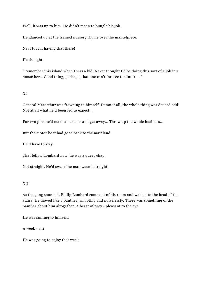Well, it was up to him. He didn't mean to bungle his job.

He glanced up at the framed nursery rhyme over the mantelpiece.

Neat touch, having that there!

He thought:

"Remember this island when I was a kid. Never thought I'd be doing this sort of a job in a house here. Good thing, perhaps, that one can't foresee the future..."

XI

General Macarthur was frowning to himself. Damn it all, the whole thing was deuced odd! Not at all what he'd been led to expect...

For two pins he'd make an excuse and get away... Throw up the whole business...

But the motor boat had gone back to the mainland.

He'd have to stay.

That fellow Lombard now, he was a queer chap.

Not straight. He'd swear the man wasn't straight.

XII

As the gong sounded, Philip Lombard came out of his room and walked to the head of the stairs. He moved like a panther, smoothly and noiselessly. There was something of the panther about him altogether. A beast of prey - pleasant to the eye.

He was smiling to himself.

A week - eh?

He was going to enjoy that week.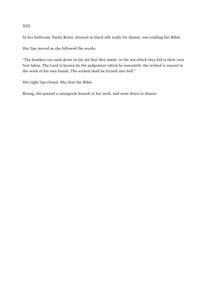#### XIII

In her bedroom, Emily Brent, dressed in black silk ready for dinner, was reading her Bible.

Her lips moved as she followed the words:

"The heathen are sunk down in the pit that they made: in the net which they hid is their own foot taken. The Lord is known by the judgement which he executeth: the wicked is snared in the work of his own hands. The wicked shall be turned into hell."

Her tight lips closed. She shut the Bible.

Rising, she pinned a cairngorm brooch at her neck, and went down to dinner.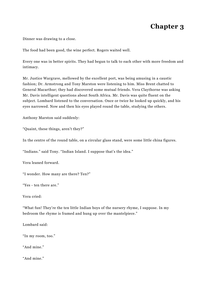## Chapter 3

Dinner was drawing to a close.

The food had been good, the wine perfect. Rogers waited well.

Every one was in better spirits. They had begun to talk to each other with more freedom and intimacy.

Mr. Justice Wargrave, mellowed by the excellent port, was being amusing in a caustic fashion; Dr. Armstrong and Tony Marston were listening to him. Miss Brent chatted to General Macarthur; they had discovered some mutual friends. Vera Claythorne was asking Mr. Davis intelligent questions about South Africa. Mr. Davis was quite fluent on the subject. Lombard listened to the conversation. Once or twice he looked up quickly, and his eyes narrowed. Now and then his eyes played round the table, studying the others.

Anthony Marston said suddenly:

"Quaint, these things, aren't they?"

In the centre of the round table, on a circular glass stand, were some little china figures.

"Indians." said Tony. "Indian Island. I suppose that's the idea."

Vera leaned forward.

"I wonder. How many are there? Ten?"

"Yes - ten there are."

Vera cried:

"What fun! They're the ten little Indian boys of the nursery rhyme, I suppose. In my bedroom the rhyme is framed and hung up over the mantelpiece."

Lombard said:

"In my room, too."

"And mine."

"And mine."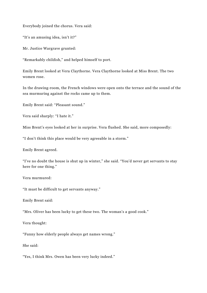Everybody joined the chorus. Vera said:

"It's an amusing idea, isn't it?"

Mr. Justice Wargrave grunted:

"Remarkably childish," and helped himself to port.

Emily Brent looked at Vera Claythorne. Vera Claythorne looked at Miss Brent. The two women rose.

In the drawing-room, the French windows were open onto the terrace and the sound of the sea murmuring against the rocks came up to them.

Emily Brent said: "Pleasant sound."

Vera said sharply: "I hate it."

Miss Brent's eyes looked at her in surprise. Vera flushed. She said, more composedly:

"I don't think this place would be very agreeable in a storm."

Emily Brent agreed.

"I've no doubt the house is shut up in winter," she said. "You'd never get servants to stay here for one thing."

Vera murmured:

"It must be difficult to get servants anyway."

Emily Brent said:

"Mrs. Oliver has been lucky to get these two. The woman's a good cook."

Vera thought:

"Funny how elderly people always get names wrong."

She said:

"Yes, I think Mrs. Owen has been very lucky indeed."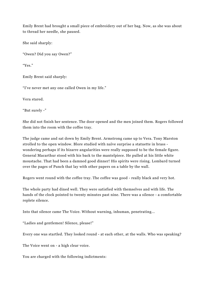Emily Brent had brought a small piece of embroidery out of her bag. Now, as she was about to thread her needle, she paused.

She said sharply:

"Owen? Did you say Owen?"

"Yes."

Emily Brent said sharply:

"I've never met any one called Owen in my life."

Vera stared.

"But surely -"

She did not finish her sentence. The door opened and the men joined them. Rogers followed them into the room with the coffee tray.

The judge came and sat down by Emily Brent. Armstrong came up to Vera. Tony Marston strolled to the open window. Blore studied with naïve surprise a statuette in brass wondering perhaps if its bizarre angularities were really supposed to be the female figure. General Macarthur stood with his back to the mantelpiece. He pulled at his little white moustache. That had been a damned good dinner! His spirits were rising. Lombard turned over the pages of Punch that lay with other papers on a table by the wall.

Rogers went round with the coffee tray. The coffee was good - really black and very hot.

The whole party had dined well. They were satisfied with themselves and with life. The hands of the clock pointed to twenty minutes past nine. There was a silence - a comfortable replete silence.

Into that silence came The Voice. Without warning, inhuman, penetrating...

"Ladies and gentlemen! Silence, please!"

Every one was startled. They looked round - at each other, at the walls. Who was speaking?

The Voice went on - a high clear voice.

You are charged with the following indictments: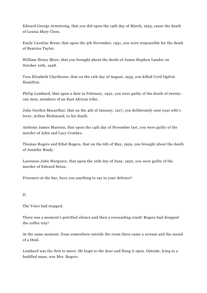Edward George Armstrong, that you did upon the 14th day of March, 1925, cause the death of Louisa Mary Clees.

Emily Caroline Brent, that upon the 5th November, 1931, you were responsible for the death of Beatrice Taylor.

William Henry Blore, that you brought about the death of James Stephen Landor on October 10th, 1928.

Vera Elizabeth Claythorne, that on the 11th day of August, 1935, you killed Cyril Ogilvie Hamilton.

Philip Lombard, that upon a date in February, 1932, you were guilty of the death of twentyone men, members of an East African tribe.

John Gordon Macarthur, that on the 4th of January, 1917, you deliberately sent your wife's lover, Arthur Richmond, to his death.

Anthony James Marston, that upon the 14th day of November last, you were guilty of the murder of John and Lucy Combes.

Thomas Rogers and Ethel Rogers, that on the 6th of May, 1929, you brought about the death of Jennifer Brady.

Lawrence John Wargrave, that upon the 10th day of June, 1930, you were guilty of the murder of Edward Seton.

Prisoners at the bar, have you anything to say in your defence?

#### II

The Voice had stopped.

There was a moment's petrified silence and then a resounding crash! Rogers had dropped the coffee tray!

At the same moment, from somewhere outside the room there came a scream and the sound of a thud.

Lombard was the first to move. He leapt to the door and flung it open. Outside, lying in a huddled mass, was Mrs. Rogers.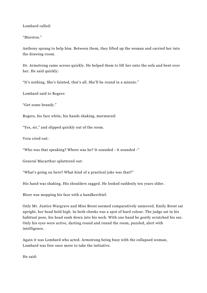Lombard called:

"Marston."

Anthony sprang to help him. Between them, they lifted up the woman and carried her into the drawing-room.

Dr. Armstrong came across quickly. He helped them to lift her onto the sofa and bent over her. He said quickly:

"It's nothing. She's fainted, that's all. She'll be round in a minute."

Lombard said to Rogers:

"Get some brandy."

Rogers, his face white, his hands shaking, murmured:

"Yes, sir," and slipped quickly out of the room.

Vera cried out:

"Who was that speaking? Where was he? It sounded - it sounded -"

General Macarthur spluttered out:

"What's going on here? What kind of a practical joke was that?"

His hand was shaking. His shoulders sagged. He looked suddenly ten years older.

Blore was mopping his face with a handkerchief.

Only Mr. Justice Wargrave and Miss Brent seemed comparatively unmoved. Emily Brent sat upright, her head held high. In both cheeks was a spot of hard colour. The judge sat in his habitual pose, his head sunk down into his neck. With one hand he gently scratched his ear. Only his eyes were active, darting round and round the room, puzzled, alert with intelligence.

Again it was Lombard who acted. Armstrong being busy with the collapsed woman, Lombard was free once more to take the initiative.

He said: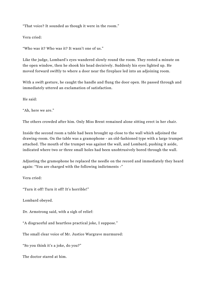"That voice? It sounded as though it were in the room."

Vera cried:

"Who was it? Who was it? It wasn't one of us."

Like the judge, Lombard's eyes wandered slowly round the room. They rested a minute on the open window, then he shook his head decisively. Suddenly his eyes lighted up. He moved forward swiftly to where a door near the fireplace led into an adjoining room.

With a swift gesture, he caught the handle and flung the door open. He passed through and immediately uttered an exclamation of satisfaction.

He said:

"Ah, here we are."

The others crowded after him. Only Miss Brent remained alone sitting erect in her chair.

Inside the second room a table had been brought up close to the wall which adjoined the drawing-room. On the table was a gramophone - an old-fashioned type with a large trumpet attached. The mouth of the trumpet was against the wall, and Lombard, pushing it aside, indicated where two or three small holes had been unobtrusively bored through the wall.

Adjusting the gramophone he replaced the needle on the record and immediately they heard again: "You are charged with the following indictments -"

Vera cried:

"Turn it off! Turn it off! It's horrible!"

Lombard obeyed.

Dr. Armstrong said, with a sigh of relief:

"A disgraceful and heartless practical joke, I suppose."

The small clear voice of Mr. Justice Wargrave murmured:

"So you think it's a joke, do you?"

The doctor stared at him.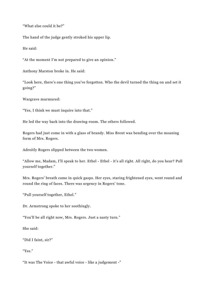"What else could it be?"

The hand of the judge gently stroked his upper lip.

He said:

"At the moment I'm not prepared to give an opinion."

Anthony Marston broke in. He said:

"Look here, there's one thing you've forgotten. Who the devil turned the thing on and set it going?"

Wargrave murmured:

"Yes, I think we must inquire into that."

He led the way back into the drawing-room. The others followed.

Rogers had just come in with a glass of brandy. Miss Brent was bending over the moaning form of Mrs. Rogers.

Adroitly Rogers slipped between the two women.

"Allow me, Madam, I'll speak to her. Ethel - Ethel - it's all right. All right, do you hear? Pull yourself together."

Mrs. Rogers' breath came in quick gasps. Her eyes, staring frightened eyes, went round and round the ring of faces. There was urgency in Rogers' tone.

"Pull yourself together, Ethel."

Dr. Armstrong spoke to her soothingly.

"You'll be all right now, Mrs. Rogers. Just a nasty turn."

She said:

"Did I faint, sir?"

"Yes."

"It was The Voice - that awful voice - like a judgement -"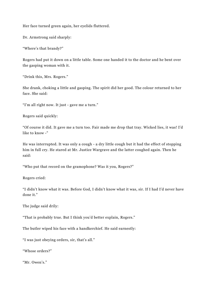Her face turned green again, her eyelids fluttered.

Dr. Armstrong said sharply:

"Where's that brandy?"

Rogers had put it down on a little table. Some one handed it to the doctor and he bent over the gasping woman with it.

"Drink this, Mrs. Rogers."

She drank, choking a little and gasping. The spirit did her good. The colour returned to her face. She said:

"I'm all right now. It just - gave me a turn."

Rogers said quickly:

"Of course it did. It gave me a turn too. Fair made me drop that tray. Wicked lies, it was! I'd like to know -"

He was interrupted. It was only a cough - a dry little cough but it had the effect of stopping him in full cry. He stared at Mr. Justice Wargrave and the latter coughed again. Then he said:

"Who put that record on the gramophone? Was it you, Rogers?"

Rogers cried:

"I didn't know what it was. Before God, I didn't know what it was, sir. If I had I'd never have done it."

The judge said drily:

"That is probably true. But I think you'd better explain, Rogers."

The butler wiped his face with a handkerchief. He said earnestly:

"I was just obeying orders, sir, that's all."

"Whose orders?"

"Mr. Owen's."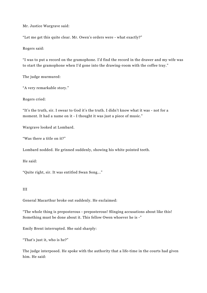Mr. Justice Wargrave said:

"Let me get this quite clear. Mr. Owen's orders were - what exactly?"

Rogers said:

"I was to put a record on the gramophone. I'd find the record in the drawer and my wife was to start the gramophone when I'd gone into the drawing-room with the coffee tray."

The judge murmured:

"A very remarkable story."

Rogers cried:

"It's the truth, sir. I swear to God it's the truth. I didn't know what it was - not for a moment. It had a name on it - I thought it was just a piece of music."

Wargrave looked at Lombard.

"Was there a title on it?"

Lombard nodded. He grinned suddenly, showing his white pointed teeth.

He said:

"Quite right, sir. It was entitled Swan Song..."

III

General Macarthur broke out suddenly. He exclaimed:

"The whole thing is preposterous - preposterous! Slinging accusations about like this! Something must be done about it. This fellow Owen whoever he is -"

Emily Brent interrupted. She said sharply:

"That's just it, who is he?"

The judge interposed. He spoke with the authority that a life-time in the courts had given him. He said: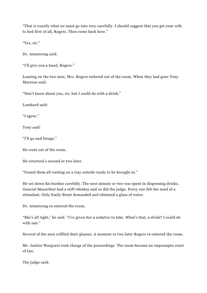"That is exactly what we must go into very carefully. I should suggest that you get your wife to bed first of all, Rogers. Then come back here."

"Yes, sir."

Dr. Armstrong said:

"I'll give you a hand, Rogers."

Leaning on the two men, Mrs. Rogers tottered out of the room. When they had gone Tony Marston said:

"Don't know about you, sir, but I could do with a drink."

Lombard said:

"I agree."

Tony said:

"I'll go and forage."

He went out of the room.

He returned a second or two later.

"Found them all waiting on a tray outside ready to be brought in."

He set down his burden carefully. The next minute or two was spent in dispensing drinks. General Macarthur had a stiff whiskey and so did the judge. Every one felt the need of a stimulant. Only Emily Brent demanded and obtained a glass of water.

Dr. Armstrong re-entered the room.

"She's all right," he said. "I've given her a sedative to take. What's that, a drink? I could do with one."

Several of the men refilled their glasses. A moment or two later Rogers re-entered the room.

Mr. Justice Wargrave took charge of the proceedings. The room became an impromptu court of law.

The judge said: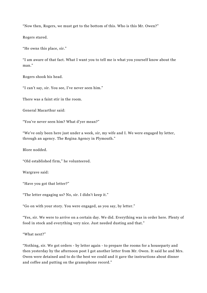"Now then, Rogers, we must get to the bottom of this. Who is this Mr. Owen?"

Rogers stared.

"He owns this place, sir."

"I am aware of that fact. What I want you to tell me is what you yourself know about the man."

Rogers shook his head.

"I can't say, sir. You see, I've never seen him."

There was a faint stir in the room.

General Macarthur said:

"You've never seen him? What d'yer mean?"

"We've only been here just under a week, sir, my wife and I. We were engaged by letter, through an agency. The Regina Agency in Plymouth."

Blore nodded.

"Old established firm," he volunteered.

Wargrave said:

"Have you got that letter?"

"The letter engaging us? No, sir. I didn't keep it."

"Go on with your story. You were engaged, as you say, by letter."

"Yes, sir. We were to arrive on a certain day. We did. Everything was in order here. Plenty of food in stock and everything very nice. Just needed dusting and that."

"What next?"

"Nothing, sir. We got orders - by letter again - to prepare the rooms for a houseparty and then yesterday by the afternoon post I got another letter from Mr. Owen. It said he and Mrs. Owen were detained and to do the best we could and it gave the instructions about dinner and coffee and putting on the gramophone record."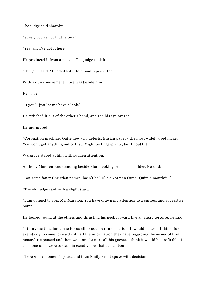The judge said sharply:

"Surely you've got that letter?"

"Yes, sir, I've got it here."

He produced it from a pocket. The judge took it.

"H'm," he said. "Headed Ritz Hotel and typewritten."

With a quick movement Blore was beside him.

He said:

"If you'll just let me have a look."

He twitched it out of the other's hand, and ran his eye over it.

He murmured:

"Coronation machine. Quite new - no defects. Ensign paper - the most widely used make. You won't get anything out of that. Might be fingerprints, but I doubt it."

Wargrave stared at him with sudden attention.

Anthony Marston was standing beside Blore looking over his shoulder. He said:

"Got some fancy Christian names, hasn't he? Ulick Norman Owen. Quite a mouthful."

"The old judge said with a slight start:

"I am obliged to you, Mr. Marston. You have drawn my attention to a curious and suggestive point."

He looked round at the others and thrusting his neck forward like an angry tortoise, he said:

"I think the time has come for us all to pool our information. It would be well, I think, for everybody to come forward with all the information they have regarding the owner of this house." He paused and then went on. "We are all his guests. I think it would be profitable if each one of us were to explain exactly how that came about."

There was a moment's pause and then Emily Brent spoke with decision.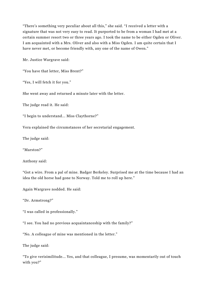"There's something very peculiar about all this," she said. "I received a letter with a signature that was not very easy to read. It purported to be from a woman I had met at a certain summer resort two or three years ago. I took the name to be either Ogden or Oliver. I am acquainted with a Mrs. Oliver and also with a Miss Ogden. I am quite certain that I have never met, or become friendly with, any one of the name of Owen."

Mr. Justice Wargrave said:

"You have that letter, Miss Brent?"

"Yes, I will fetch it for you."

She went away and returned a minute later with the letter.

The judge read it. He said:

"I begin to understand... Miss Claythorne?"

Vera explained the circumstances of her secretarial engagement.

The judge said:

"Marston?"

Anthony said:

"Got a wire. From a pal of mine. Badger Berkeley. Surprised me at the time because I had an idea the old horse had gone to Norway. Told me to roll up here."

Again Wargrave nodded. He said:

"Dr. Armstrong?"

"I was called in professionally."

"I see. You had no previous acquaintanceship with the family?"

"No. A colleague of mine was mentioned in the letter."

The judge said:

"To give verisimilitude... Yes, and that colleague, I presume, was momentarily out of touch with you?"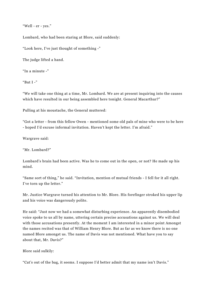"Well - er - yes."

Lombard, who had been staring at Blore, said suddenly:

"Look here, I've just thought of something -"

The judge lifted a hand.

"In a minute -"

"But  $I -$ "

"We will take one thing at a time, Mr. Lombard. We are at present inquiring into the causes which have resulted in our being assembled here tonight. General Macarthur?"

Pulling at his moustache, the General muttered:

"Got a letter - from this fellow Owen - mentioned some old pals of mine who were to be here - hoped I'd excuse informal invitation. Haven't kept the letter. I'm afraid."

Wargrave said:

"Mr. Lombard?"

Lombard's brain had been active. Was he to come out in the open, or not? He made up his mind.

"Same sort of thing," he said. "Invitation, mention of mutual friends - I fell for it all right. I've torn up the letter."

Mr. Justice Wargrave turned his attention to Mr. Blore. His forefinger stroked his upper lip and his voice was dangerously polite.

He said: "Just now we had a somewhat disturbing experience. An apparently disembodied voice spoke to us all by name, uttering certain precise accusations against us. We will deal with those accusations presently. At the moment I am interested in a minor point Amongst the names recited was that of William Henry Blore. But as far as we know there is no one named Blore amongst us. The name of Davis was not mentioned. What have you to say about that, Mr. Davis?"

Blore said sulkily:

"Cat's out of the bag, it seems. I suppose I'd better admit that my name isn't Davis."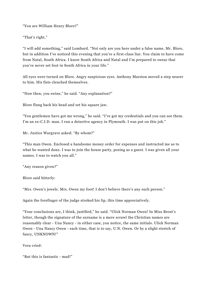"You are William Henry Blore?"

"That's right."

"I will add something," said Lombard. "Not only are you here under a false name, Mr. Blore, but in addition I've noticed this evening that you're a first-class liar. You claim to have come from Natal, South Africa. I know South Africa and Natal and I'm prepared to swear that you've never set foot in South Africa in your life."

All eyes were turned on Blore. Angry suspicious eyes. Anthony Marston moved a step nearer to him. His fists clenched themselves.

"Now then, you swine," he said. "Any explanation?"

Blore flung back his head and set his square jaw.

"You gentlemen have got me wrong," he said. "I've got my credentials and you can see them. I'm an ex-C.I.D. man. I run a detective agency in Plymouth. I was put on this job."

Mr. Justice Wargrave asked: "By whom?"

"This man Owen. Enclosed a handsome money order for expenses and instructed me as to what he wanted done. I was to join the house party, posing as a guest. I was given all your names. I was to watch you all."

"Any reason given?"

Blore said bitterly:

"Mrs. Owen's jewels. Mrs. Owen my foot! I don't believe there's any such person."

Again the forefinger of the judge stroked his lip, this time appreciatively.

"Your conclusions are, I think, justified," he said. "Ulick Norman Owen! In Miss Brent's letter, though the signature of the surname is a mere scrawl the Christian names are reasonably clear - Una Nancy - in either case, you notice, the same initials. Ulick Norman Owen - Una Nancy Owen - each time, that is to say, U.N. Owen. Or by a slight stretch of fancy, UNKNOWN!"

Vera cried:

"But this is fantastic - mad!"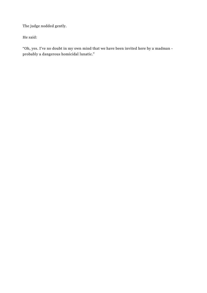The judge nodded gently.

He said:

"Oh, yes. I've no doubt in my own mind that we have been invited here by a madman probably a dangerous homicidal lunatic."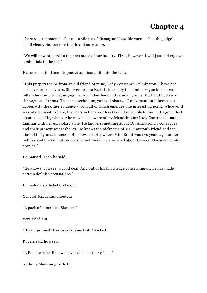## Chapter 4

There was a moment's silence - a silence of dismay and bewilderment. Then the judge's small clear voice took up the thread once more.

"We will now proceed to the next stage of our inquiry. First, however, I will just add my own credentials to the list."

He took a letter from his pocket and tossed it onto the table.

"This purports to be from an old friend of mine, Lady Constance Culmington. I hove not seen her for some years. She went to the East. It is exactly the kind of vague incoherent letter she would write, urging me to join her here and referring to her host and hostess in the vaguest of terms. The same technique, you will observe. I only mention it because it agrees with the other evidence - from all of which emerges one interesting point. Whoever it was who enticed us here, that person knows or has taken the trouble to find out a good deal about us all. He, whoever he may be, is aware of my friendship for Lady Constance - and is familiar with her epistolary style. He knows something about Dr. Armstrong's colleagues and their present whereabouts. He knows the nickname of Mr. Marston's friend and the kind of telegrams he sends. He knows exactly where Miss Brent was two years ago for her holiday and the kind of people she met there. He knows all about General Macarthur's old cronies."

He paused. Then he said:

"He knows, you see, a good deal. And out of his knowledge concerning us, he has made certain definite accusations."

Immediately a babel broke out.

General Macarthur shouted:

"A pack of damn lies! Slander!"

Vera cried out:

"It's iniquitous!" Her breath came fast. "Wicked!"

Rogers said hoarsely:

"A lie - a wicked lie... we never did - neither of us..."

Anthony Marston growled: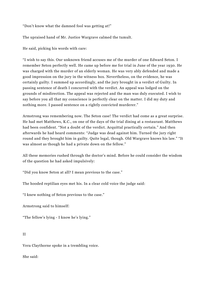"Don't know what the damned fool was getting at!"

The upraised hand of Mr. Justice Wargrave calmed the tumult.

He said, picking his words with care:

"I wish to say this. Our unknown friend accuses me of the murder of one Edward Seton. I remember Seton perfectly well. He came up before me for trial in June of the year 1930. He was charged with the murder of an elderly woman. He was very ably defended and made a good impression on the jury in the witness box. Nevertheless, on the evidence, he was certainly guilty. I summed up accordingly, and the jury brought in a verdict of Guilty. In passing sentence of death I concurred with the verdict. An appeal was lodged on the grounds of misdirection. The appeal was rejected and the man was duly executed. I wish to say before you all that my conscience is perfectly clear on the matter. I did my duty and nothing more. I passed sentence on a rightly convicted murderer."

Armstrong was remembering now. The Seton case! The verdict had come as a great surprise. He had met Matthews, K.C., on one of the days of the trial dining at a restaurant. Matthews had been confident. "Not a doubt of the verdict. Acquittal practically certain." And then afterwards he had heard comments: "Judge was dead against him. Turned the jury right round and they brought him in guilty. Quite legal, though. Old Wargrave knows his law." "It was almost as though he had a private down on the fellow."

All these memories rushed through the doctor's mind. Before he could consider the wisdom of the question he had asked impulsively:

"Did you know Seton at all? I mean previous to the case."

The hooded reptilian eyes met his. In a clear cold voice the judge said:

"I knew nothing of Seton previous to the case."

Armstrong said to himself:

"The fellow's lying - I know he's lying."

#### II

Vera Claythorne spoke in a trembling voice.

She said: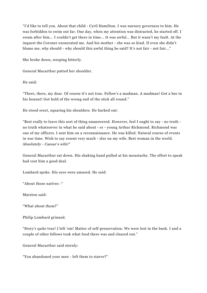"I'd like to tell you. About that child - Cyril Hamilton. I was nursery governess to him. He was forbidden to swim out far. One day, when my attention was distracted, he started off. I swam after him... I couldn't get there in time... It was awful... But it wasn't my fault. At the inquest the Coroner exonerated me. And his mother - she was so kind. If even she didn't blame me, why should - why should this awful thing be said? It's not fair - not fair..."

She broke down, weeping bitterly.

General Macarthur patted her shoulder.

He said:

"There, there, my dear. Of course it's not true. Fellow's a madman. A madman! Got a bee in his bonnet! Got hold of the wrong end of the stick all round."

He stood erect, squaring his shoulders. He barked out:

"Best really to leave this sort of thing unanswered. However, feel I ought to say - no truth no truth whatsoever in what he said about - er - young Arthur Richmond. Richmond was one of my officers. I sent him on a reconnaissance. He was killed. Natural course of events in war time. Wish to say resent very much - slur on my wife. Best woman in the world. Absolutely - Caesar's wife!"

General Macarthur sat down. His shaking hand pulled at his moustache. The effort to speak had cost him a good deal.

Lombard spoke. His eyes were amused. He said:

"About those natives -"

Marston said:

"What about them?"

Philip Lombard grinned.

"Story's quite true! I left 'em! Matter of self-preservation. We were lost in the bush. I and a couple of other fellows took what food there was and cleared out."

General Macarthur said sternly:

"You abandoned your men - left them to starve?"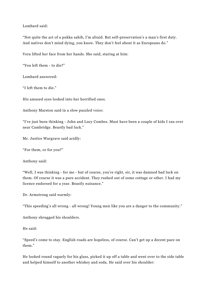Lombard said:

"Not quite the act of a pukka sahib, I'm afraid. But self-preservation's a man's first duty. And natives don't mind dying, you know. They don't feel about it as Europeans do."

Vera lifted her face from her hands. She said, staring at him:

"You left them - to die?"

Lombard answered:

"I left them to die."

His amused eyes looked into her horrified ones.

Anthony Marston said in a slow puzzled voice:

"I've just been thinking - John and Lucy Combes. Must have been a couple of kids I ran over near Cambridge. Beastly bad luck."

Mr. Justice Wargrave said acidly:

"For them, or for you?"

Anthony said:

"Well, I was thinking - for me - but of course, you're right, sir, it was damned bad luck on them. Of course it was a pure accident. They rushed out of some cottage or other. I had my licence endorsed for a year. Beastly nuisance."

Dr. Armstrong said warmly:

"This speeding's all wrong - all wrong! Young men like you are a danger to the community."

Anthony shrugged his shoulders.

He said:

"Speed's come to stay. English roads are hopeless, of course. Can't get up a decent pace on them."

He looked round vaguely for his glass, picked it up off a table and went over to the side table and helped himself to another whiskey and soda. He said over his shoulder: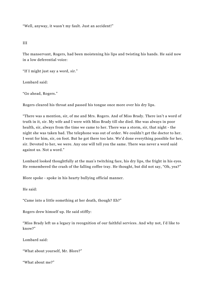"Well, anyway, it wasn't my fault. Just an accident!"

III

The manservant, Rogers, had been moistening his lips and twisting his hands. He said now in a low deferential voice:

"If I might just say a word, sir."

Lombard said:

"Go ahead, Rogers."

Rogers cleared his throat and passed his tongue once more over his dry lips.

"There was a mention, sir, of me and Mrs. Rogers. And of Miss Brady. There isn't a word of truth in it, sir. My wife and I were with Miss Brady till she died. She was always in poor health, sir, always from the time we came to her. There was a storm, sir, that night - the night she was taken bad. The telephone was out of order. We couldn't get the doctor to her. I went for him, sir, on foot. But he got there too late. We'd done everything possible for her, sir. Devoted to her, we were. Any one will tell you the same. There was never a word said against us. Not a word."

Lombard looked thoughtfully at the man's twitching face, his dry lips, the fright in his eyes. He remembered the crash of the falling coffee tray. He thought, but did not say, "Oh, yea?"

Blore spoke - spoke in his hearty bullying official manner.

He said:

"Came into a little something at her death, though? Eh?"

Rogers drew himself up. He said stiffly:

"Miss Brady left us a legacy in recognition of our faithful services. And why not, I'd like to know?"

Lombard said:

"What about yourself, Mr. Blore?"

"What about me?"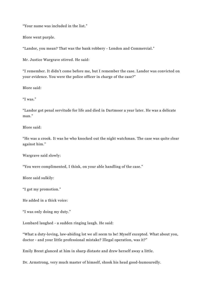"Your name was included in the list."

Blore went purple.

"Landor, you mean? That was the bank robbery - London and Commercial."

Mr. Justice Wargrave stirred. He said:

"I remember. It didn't come before me, but I remember the case. Landor was convicted on your evidence. You were the police officer in charge of the case?"

Blore said:

"I was."

"Landor got penal servitude for life and died in Dartmoor a year later. He was a delicate man<sup>"</sup>

Blore said:

"He was a crook. It was he who knocked out the night watchman. The case was quite clear against him."

Wargrave said slowly:

"You were complimented, I think, on your able handling of the case."

Blore said sulkily:

"I got my promotion."

He added in a thick voice:

"I was only doing my duty."

Lombard laughed - a sudden ringing laugh. He said:

"What a duty-loving, law-abiding lot we all seem to be! Myself excepted. What about you, doctor - and your little professional mistake? Illegal operation, was it?"

Emily Brent glanced at him in sharp distaste and drew herself away a little.

Dr. Armstrong, very much master of himself, shook his head good-humouredly.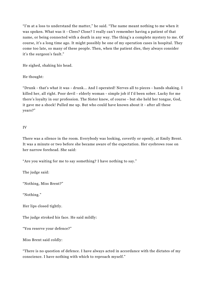"I'm at a loss to understand the matter," he said. "The name meant nothing to me when it was spoken. What was it - Clees? Close? I really can't remember having a patient of that name, or being connected with a death in any way. The thing's a complete mystery to me. Of course, it's a long time ago. It might possibly be one of my operation cases in hospital. They come too late, so many of these people. Then, when the patient dies, they always consider it's the surgeon's fault."

He sighed, shaking his head.

He thought:

"Drunk - that's what it was - drunk... And I operated! Nerves all to pieces - hands shaking. I killed her, all right. Poor devil - elderly woman - simple job if I'd been sober. Lucky for me there's loyalty in our profession. The Sister knew, of course - but she held her tongue, God, it gave me a shock! Pulled me up. But who could have known about it - after all these years?"

### IV

There was a silence in the room. Everybody was looking, covertly or openly, at Emily Brent. It was a minute or two before she became aware of the expectation. Her eyebrows rose on her narrow forehead. She said:

"Are you waiting for me to say something? I have nothing to say."

The judge said:

"Nothing, Miss Brent?"

"Nothing."

Her lips closed tightly.

The judge stroked his face. He said mildly:

"You reserve your defence?"

Miss Brent said coldly:

"There is no question of defence. I have always acted in accordance with the dictates of my conscience. I have nothing with which to reproach myself."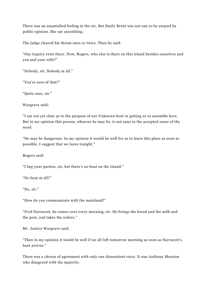There was an unsatisfied feeling in the air. But Emily Brent was not one to be swayed by public opinion. She sat unyielding.

The judge cleared his throat once or twice. Then he said:

"Our inquiry rests there. Now, Rogers, who else is there on this island besides ourselves and you and your wife?"

"Nobody, sir. Nobody at all."

"You're sure of that?"

"Quite sure, sir."

Wargrave said:

"I am not yet clear as to the purpose of our Unknown host in getting us to assemble here. But in my opinion this person, whoever he may be, is not sane in the accepted sense of the word.

"He may be dangerous. In my opinion it would be well for us to leave this place as soon as possible. I suggest that we leave tonight."

Rogers said:

"I beg your pardon, sir, but there's no boat on the island."

"No boat at all?"

"No, sir."

"How do you communicate with the mainland?"

"Fred Narracott, he comes over every morning, sir. He brings the bread and the milk and the post, and takes the orders."

Mr. Justice Wargrave said:

"Then in my opinion it would be well if we all left tomorrow morning as soon as Narracott's boat arrives."

There was a chorus of agreement with only one dissentient voice. It was Anthony Marston who disagreed with the majority.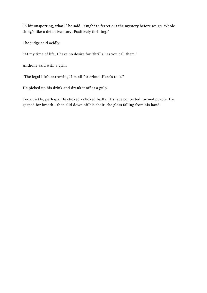"A bit unsporting, what?" he said. "Ought to ferret out the mystery before we go. Whole thing's like a detective story. Positively thrilling."

The judge said acidly:

"At my time of life, I have no desire for 'thrills,' as you call them."

Anthony said with a grin:

"The legal life's narrowing! I'm all for crime! Here's to it."

He picked up his drink and drank it off at a gulp.

Too quickly, perhaps. He choked - choked badly. His face contorted, turned purple. He gasped for breath - then slid down off his chair, the glass falling from his hand.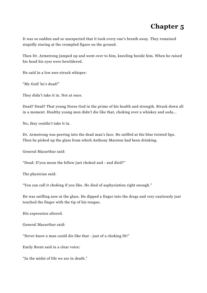# Chapter 5

It was so sudden and so unexpected that it took every one's breath away. They remained stupidly staring at the crumpled figure on the ground.

Then Dr. Armstrong jumped up and went over to him, kneeling beside him. When he raised his head his eyes were bewildered.

He said in a low awe-struck whisper:

"My God! he's dead!"

They didn't take it in. Not at once.

Dead? Dead? That young Norse God in the prime of his health and strength. Struck down all in a moment. Healthy young men didn't die like that, choking over a whiskey and soda...

No, they couldn't take it in.

Dr. Armstrong was peering into the dead man's face. He sniffed at the blue twisted lips. Then he picked up the glass from which Anthony Marston had been drinking.

General Macarthur said:

"Dead: D'you mean the fellow just choked and - and died?"

The physician said:

"You can call it choking if you like. He died of asphyxiation right enough."

He was sniffing now at the glass. He dipped a finger into the dregs and very cautiously just touched the finger with the tip of his tongue.

His expression altered.

General Macarthur said:

"Never knew a man could die like that - just of a choking fit!"

Emily Brent said in a clear voice:

"In the midst of life we are in death."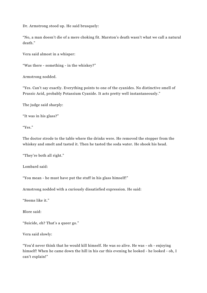Dr. Armstrong stood up. He said brusquely:

"No, a man doesn't die of a mere choking fit. Marston's death wasn't what we call a natural death."

Vera said almost in a whisper:

"Was there - something - in the whiskey?"

Armstrong nodded.

"Yes. Can't say exactly. Everything points to one of the cyanides. No distinctive smell of Prussic Acid, probably Potassium Cyanide. It acts pretty well instantaneously."

The judge said sharply:

"It was in his glass?"

"Yes."

The doctor strode to the table where the drinks were. He removed the stopper from the whiskey and smelt and tasted it. Then he tasted the soda water. He shook his head.

"They're both all right."

Lombard said:

"You mean - he must have put the stuff in his glass himself!"

Armstrong nodded with a curiously dissatisfied expression. He said:

"Seems like it."

Blore said:

"Suicide, eh? That's a queer go."

Vera said slowly:

"You'd never think that he would kill himself. He was so alive. He was - oh - enjoying himself! When he came down the hill in his car this evening he looked - he looked - oh, I can't explain!"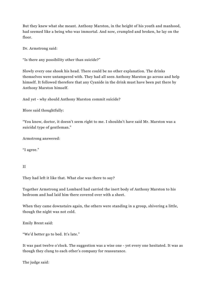But they knew what she meant. Anthony Marston, in the height of his youth and manhood, had seemed like a being who was immortal. And now, crumpled and broken, he lay on the floor.

Dr. Armstrong said:

"Is there any possibility other than suicide?"

Slowly every one shook his head. There could be no other explanation. The drinks themselves were untampered with. They had all seen Anthony Marston go across and help himself. It followed therefore that any Cyanide in the drink must have been put there by Anthony Marston himself.

And yet - why should Anthony Marston commit suicide?

Blore said thoughtfully:

"You know, doctor, it doesn't seem right to me. I shouldn't have said Mr. Marston was a suicidal type of gentleman."

Armstrong answered:

"I agree."

II

They had left it like that. What else was there to say?

Together Armstrong and Lombard had carried the inert body of Anthony Marston to his bedroom and had laid him there covered over with a sheet.

When they came downstairs again, the others were standing in a group, shivering a little, though the night was not cold.

Emily Brent said:

"We'd better go to bed. It's late."

It was past twelve o'clock. The suggestion was a wise one - yet every one hesitated. It was as though they clung to each other's company for reassurance.

The judge said: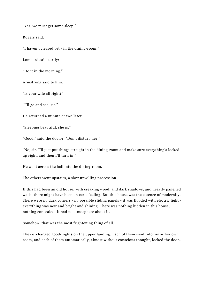"Yes, we must get some sleep."

Rogers said:

"I haven't cleared yet - in the dining-room."

Lombard said curtly:

"Do it in the morning."

Armstrong said to him:

"Is your wife all right?"

"I'll go and see, sir."

He returned a minute or two later.

"Sleeping beautiful, she is."

"Good," said the doctor. "Don't disturb her."

"No, sir. I'll just put things straight in the dining-room and make sure everything's locked up right, and then I'll turn in."

He went across the hall into the dining-room.

The others went upstairs, a slow unwilling procession.

If this had been an old house, with creaking wood, and dark shadows, and heavily panelled walls, there might have been an eerie feeling. But this house was the essence of modernity. There were no dark corners - no possible sliding panels - it was flooded with electric light everything was new and bright and shining. There was nothing hidden in this house, nothing concealed. It had no atmosphere about it.

Somehow, that was the most frightening thing of all...

They exchanged good-nights on the upper landing. Each of them went into his or her own room, and each of them automatically, almost without conscious thought, locked the door...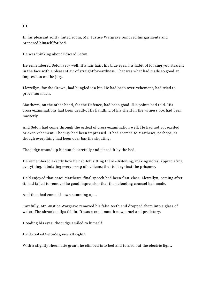In his pleasant softly tinted room, Mr. Justice Wargrave removed his garments and prepared himself for bed.

He was thinking about Edward Seton.

He remembered Seton very well. His fair hair, his blue eyes, his habit of looking you straight in the face with a pleasant air of straightforwardness. That was what had made so good an impression on the jury.

Llewellyn, for the Crown, had bungled it a bit. He had been over-vehement, had tried to prove too much.

Matthews, on the other hand, for the Defence, had been good. His points had told. His cross-examinations had been deadly. His handling of his client in the witness box had been masterly.

And Seton had come through the ordeal of cross-examination well. He had not got excited or over-vehement. The jury had been impressed. It had seemed to Matthews, perhaps, as though everything had been over bar the shouting.

The judge wound up his watch carefully and placed it by the bed.

He remembered exactly how he had felt sitting there - listening, making notes, appreciating everything, tabulating every scrap of evidence that told against the prisoner.

He'd enjoyed that case! Matthews' final speech had been first-class. Llewellyn, coming after it, had failed to remove the good impression that the defending counsel had made.

And then had come his own summing up...

Carefully, Mr. Justice Wargrave removed his false teeth and dropped them into a glass of water. The shrunken lips fell in. It was a cruel mouth now, cruel and predatory.

Hooding his eyes, the judge smiled to himself.

He'd cooked Seton's goose all right!

With a slightly rheumatic grunt, he climbed into bed and turned out the electric light.

III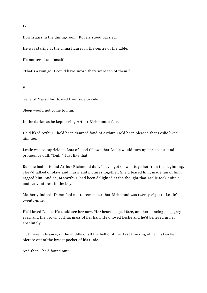Downstairs in the dining-room, Rogers stood puzzled.

He was staring at the china figures in the centre of the table.

He muttered to himself:

"That's a rum go! I could have sworn there were ten of them."

V

General Macarthur tossed from side to side.

Sleep would not come to him.

In the darkness he kept seeing Arthur Richmond's face.

He'd liked Arthur - he'd been damned fond of Arthur. He'd been pleased that Leslie liked him too.

Leslie was so capricious. Lots of good fellows that Leslie would turn up her nose at and pronounce dull. "Dull!" Just like that.

But she hadn't found Arthur Richmond dull. They'd got on well together from the beginning. They'd talked of plays and music and pictures together. She'd teased him, made fun of him, ragged him. And he, Macarthur, had been delighted at the thought that Leslie took quite a motherly interest in the boy.

Motherly indeed! Damn fool not to remember that Richmond was twenty-eight to Leslie's twenty-nine.

He'd loved Leslie. He could see her now. Her heart-shaped face, and her dancing deep grey eyes, and the brown curling mass of her hair. He'd loved Leslie and he'd believed in her absolutely.

Out there in France, in the middle of all the hell of it, he'd sat thinking of her, taken her picture out of the breast pocket of his tunic.

And then - he'd found out!

IV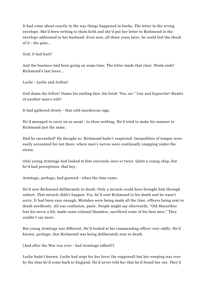It had come about exactly in the way things happened in books. The letter in the wrong envelope. She'd been writing to them both and she'd put her letter to Richmond in the envelope addressed to her husband. Even now, all these years later, he could feel the shock of it - the pain...

God, it had hurt!

And the business had been going on some time. The letter made that clear. Week-ends! Richmond's last leave...

Leslie - Leslie and Arthur!

God damn the fellow! Damn his smiling face, his brisk "Yes, sir." Liar and hypocrite! Stealer of another man's wife!

It had gathered slowly - that cold murderous rage.

He'd managed to carry on as usual - to show nothing. He'd tried to make his manner to Richmond just the same.

Had he succeeded? He thought so. Richmond hadn't suspected. Inequalities of temper were easily accounted for out there, where men's nerves were continually snapping under the strain.

Only young Armitage had looked at him curiously once or twice. Quite a young chap, but he'd had perceptions, that boy.

Armitage, perhaps, had guessed - when the time came.

He'd sent Richmond deliberately to death. Only a miracle could have brought him through unhurt. That miracle didn't happen. Yes, he'd sent Richmond to his death and he wasn't sorry. It had been easy enough. Mistakes were being made all the time, officers being sent to death needlessly. All was confusion, panic. People might say afterwards, "Old Macarthur lost his nerve a bit, made some colossal blunders, sacrificed some of his best men." They couldn't say more.

But young Armitage was different. He'd looked at his commanding officer very oddly. He'd known, perhaps, that Richmond was being deliberately sent to death.

(And after the War was over - had Armitage talked?)

Leslie hadn't known. Leslie had wept for her lover (he supposed) but her weeping was over by the time he'd come back to England. He'd never told her that he'd found her out. They'd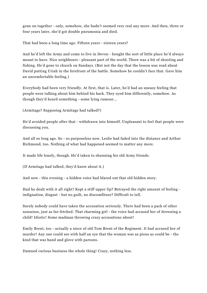gone on together - only, somehow, she hadn't seemed very real any more. And then, three or four years later, she'd got double pneumonia and died.

That had been a long time ago. Fifteen years - sixteen years?

And he'd left the Army and come to live in Devon - bought the sort of little place he'd always meant to have. Nice neighbours - pleasant part of the world. There was a bit of shooting and fishing. He'd gone to church on Sundays. (But not the day that the lesson was read about David putting Uriah in the forefront of the battle. Somehow he couldn't face that. Gave him an uncomfortable feeling.)

Everybody had been very friendly. At first, that is. Later, he'd had an uneasy feeling that people were talking about him behind his back. They eyed him differently, somehow. As though they'd heard something - some lying rumour...

(Armitage? Supposing Armitage had talked?)

He'd avoided people after that - withdrawn into himself. Unpleasant to feel that people were discussing you.

And all so long ago. So - so purposeless now. Leslie had faded into the distance and Arthur Richmond, too. Nothing of what had happened seemed to matter any more.

It made life lonely, though. He'd taken to shunning his old Army friends.

(If Armitage had talked, they'd know about it.)

And now - this evening - a hidden voice had blared out that old hidden story.

Had he dealt with it all right? Kept a stiff upper lip? Betrayed the right amount of feeling indignation, disgust - but no guilt, no discomfiture? Difficult to tell.

Surely nobody could have taken the accusation seriously. There had been a pack of other nonsense, just as far-fetched. That charming girl - the voice had accused her of drowning a child! Idiotic! Some madman throwing crazy accusations about!

Emily Brent, too - actually a niece of old Tom Brent of the Regiment. It had accused her of murder! Any one could see with half an eye that the woman was as pious as could be - the kind that was hand and glove with parsons.

Damned curious business the whole thing! Crazy, nothing less.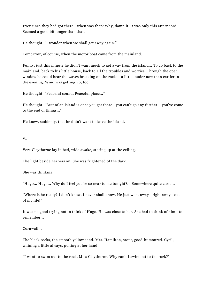Ever since they had got there - when was that? Why, damn it, it was only this afternoon! Seemed a good bit longer than that.

He thought: "I wonder when we shall get away again."

Tomorrow, of course, when the motor boat came from the mainland.

Funny, just this minute he didn't want much to get away from the island... To go back to the mainland, back to his little house, back to all the troubles and worries. Through the open window he could hear the waves breaking on the rocks - a little louder now than earlier in the evening. Wind was getting up, too.

He thought: "Peaceful sound. Peaceful place..."

He thought: "Best of an island is once you get there - you can't go any further... you've come to the end of things..."

He knew, suddenly, that he didn't want to leave the island.

### VI

Vera Claythorne lay in bed, wide awake, staring up at the ceiling.

The light beside her was on. She was frightened of the dark.

She was thinking:

"Hugo... Hugo... Why do I feel you're so near to me tonight?... Somewhere quite close...

"Where is he really? I don't know. I never shall know. He just went away - right away - out of my life!"

It was no good trying not to think of Hugo. He was close to her. She had to think of him - to remember...

Cornwall...

The black rocks, the smooth yellow sand. Mrs. Hamilton, stout, good-humoured. Cyril, whining a little always, pulling at her hand.

"I want to swim out to the rock. Miss Claythorne. Why can't I swim out to the rock?"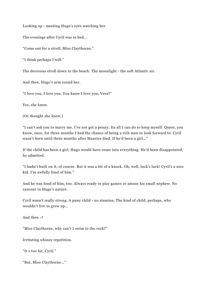Looking up - meeting Hugo's eyes watching her.

The evenings after Cyril was in bed...

"Come out for a stroll, Miss Claythorne."

"I think perhaps I will."

The decorous stroll down to the beach. The moonlight - the soft Atlantic air.

And then, Hugo's arm round her.

"I love you, I love you. You know I love you, Vera?"

Yes, she knew.

(Or thought she knew.)

"I can't ask you to marry me. I've not got a penny. Its all I can do to keep myself. Queer, you know, once, for three months I had the chance of being a rich man to look forward to. Cyril wasn't born until three months after Maurice died. If he'd been a girl..."

If the child has been a girl, Hugo would have come into everything. He'd been disappointed, he admitted.

"I hadn't built on it, of course. But it was a bit of a knock. Oh, well, luck's luck! Cyril's a nice kid. I'm awfully fond of him."

And he was fond of him, too. Always ready to play games or amuse his small nephew. No rancour in Hugo's nature.

Cyril wasn't really strong. A puny child - no stamina. The kind of child, perhaps, who wouldn't live to grow up...

And then -?

"Miss Claythorne, why can't I swim to the rock?"

Irritating whiney repetition.

"It s too far, Cyril."

"But, Miss Claythorne..."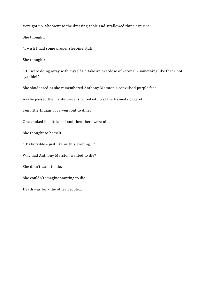Vera got up. She went to the dressing-table and swallowed three aspirins.

She thought:

"I wish I had some proper sleeping stuff."

She thought:

"If I were doing away with myself I'd take an overdose of veronal - something like that - not cyanide!"

She shuddered as she remembered Anthony Marston's convulsed purple face.

As she passed the mantelpiece, she looked up at the framed doggerel.

Ten little Indian boys went out to dine;

One choked his little self and then there were nine.

She thought to herself:

"It's horrible - just like us this evening..."

Why had Anthony Marston wanted to die?

She didn't want to die.

She couldn't imagine wanting to die...

Death was for - the other people...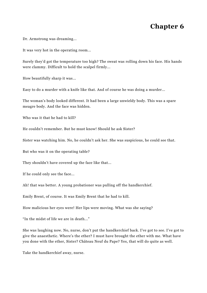## Chapter 6

Dr. Armstrong was dreaming...

It was very hot in the operating room...

Surely they'd got the temperature too high? The sweat was rolling down his face. His hands were clammy. Difficult to hold the scalpel firmly...

How beautifully sharp it was...

Easy to do a murder with a knife like that. And of course he was doing a murder...

The woman's body looked different. It had been a large unwieldy body. This was a spare meagre body. And the face was hidden.

Who was it that he had to kill?

He couldn't remember. But he must know! Should he ask Sister?

Sister was watching him. No, he couldn't ask her. She was suspicious, he could see that.

But who was it on the operating table?

They shouldn't have covered up the face like that...

If he could only see the face...

Ah! that was better. A young probationer was pulling off the handkerchief.

Emily Brent, of course. It was Emily Brent that he had to kill.

How malicious her eyes were! Her lips were moving. What was she saying?

"In the midst of life we are in death..."

She was laughing now. No, nurse, don't put the handkerchief back. I've got to see. I've got to give the anaesthetic. Where's the ether? I must have brought the ether with me. What have you done with the ether, Sister? Château Neuf du Pape? Yes, that will do quite as well.

Take the handkerchief away, nurse.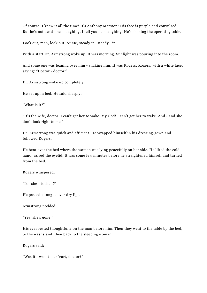Of course! I knew it all the time! It's Anthony Marston! His face is purple and convulsed. But he's not dead - he's laughing. I tell you he's laughing! He's shaking the operating table.

Look out, man, look out. Nurse, steady it - steady - it -

With a start Dr. Armstrong woke up. It was morning. Sunlight was pouring into the room.

And some one was leaning over him - shaking him. It was Rogers. Rogers, with a white face, saying: "Doctor - doctor!"

Dr. Armstrong woke up completely.

He sat up in bed. He said sharply:

"What is it?"

"It's the wife, doctor. I can't get her to wake. My God! I can't get her to wake. And - and she don't look right to me."

Dr. Armstrong was quick and efficient. He wrapped himself in his dressing-gown and followed Rogers.

He bent over the bed where the woman was lying peacefully on her side. He lifted the cold hand, raised the eyelid. It was some few minutes before he straightened himself and turned from the bed.

Rogers whispered:

"Is - she - is she -?"

He passed a tongue over dry lips.

Armstrong nodded.

"Yes, she's gone."

His eyes rested thoughtfully on the man before him. Then they went to the table by the bed, to the washstand, then back to the sleeping woman.

Rogers said:

"Was it - was it - 'er 'eart, doctor?"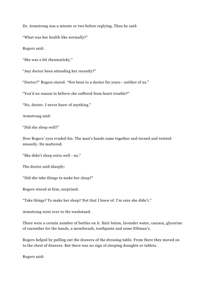Dr. Armstrong was a minute or two before replying. Then he said:

"What was her health like normally?"

Rogers said:

"She was a bit rheumaticky."

"Any doctor been attending her recently?"

"Doctor?" Rogers stared. "Not been to a doctor for years - neither of us."

"You'd no reason to believe she suffered from heart trouble?"

"No, doctor. I never knew of anything."

Armstrong said:

"Did she sleep well?"

Now Rogers' eyes evaded his. The man's hands came together and turned and twisted uneasily. He muttered.

"She didn't sleep extra well - no."

The doctor said sharply:

"Did she take things to make her sleep?"

Rogers stared at him, surprised.

"Take things? To make her sleep? Not that I knew of. I'm sure she didn't."

Armstrong went over to the washstand.

There were a certain number of bottles on it. Hair lotion, lavender water, cascara, glycerine of cucumber for the hands, a mouthwash, toothpaste and some Elliman's.

Rogers helped by pulling out the drawers of the dressing-table. From there they moved on to the chest of drawers. But there was no sign of sleeping draughts or tablets.

Rogers said: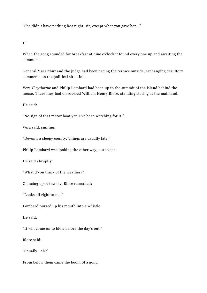"She didn't have nothing last night, sir, except what you gave her..."

II

When the gong sounded for breakfast at nine o'clock it found every one up and awaiting the summons.

General Macarthur and the judge had been pacing the terrace outside, exchanging desultory comments on the political situation.

Vera Claythorne and Philip Lombard had been up to the summit of the island behind the house. There they had discovered William Henry Blore, standing staring at the mainland.

He said:

"No sign of that motor boat yet. I've been watching for it."

Vera said, smiling:

"Devon's a sleepy county. Things are usually late."

Philip Lombard was looking the other way, out to sea.

He said abruptly:

"What d'you think of the weather?"

Glancing up at the sky, Blore remarked:

"Looks all right to me."

Lombard pursed up his mouth into a whistle.

He said:

"It will come on to blow before the day's out."

Blore said:

"Squally - eh?"

From below them came the boom of a gong.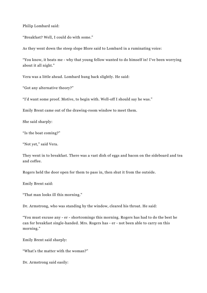Philip Lombard said:

"Breakfast? Well, I could do with some."

As they went down the steep slope Blore said to Lombard in a ruminating voice:

"You know, it beats me - why that young fellow wanted to do himself in! I've been worrying about it all night."

Vera was a little ahead. Lombard hung back slightly. He said:

"Got any alternative theory?"

"I'd want some proof. Motive, to begin with. Well-off I should say he was."

Emily Brent came out of the drawing-room window to meet them.

She said sharply:

"Is the boat coming?"

"Not yet," said Vera.

They went in to breakfast. There was a vast dish of eggs and bacon on the sideboard and tea and coffee.

Rogers held the door open for them to pass in, then shut it from the outside.

Emily Brent said:

"That man looks ill this morning."

Dr. Armstrong, who was standing by the window, cleared his throat. He said:

"You must excuse any - er - shortcomings this morning. Rogers has had to do the best he can for breakfast single-handed. Mrs. Rogers has - er - not been able to carry on this morning."

Emily Brent said sharply:

"What's the matter with the woman?"

Dr. Armstrong said easily: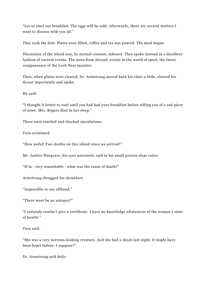"Let us start our breakfast. The eggs will be cold. Afterwards, there are several matters I want to discuss with you all."

They took the hint. Plates were filled, coffee and tea was poured. The meal began.

Discussion of the island was, by mutual consent, tabooed. They spoke instead in a desultory fashion of current events. The news from abroad, events in the world of sport, the latest reappearance of the Loch Ness monster.

Then, when plates were cleared, Dr. Armstrong moved back his chair a little, cleared his throat importantly and spoke.

He said:

"I thought it better to wait until you had had your breakfast before telling you of a sad piece of news. Mrs. Rogers died in her sleep."

There were startled and shocked ejaculations.

Vera exclaimed:

"How awful! Two deaths on this island since we arrived!"

Mr. Justice Wargrave, his eyes narrowed, said in his small precise clear voice:

"H'm - very remarkable - what was the cause of death?"

Armstrong shrugged his shoulders.

"Impossible to say offhand."

"There must be an autopsy?"

"I certainly couldn't give a certificate. I have no knowledge whatsoever of the woman's state of health."

Vera said:

"She was a very nervous-looking creature. And she had a shock last night. It might have been heart failure, I suppose?"

Dr. Armstrong said drily: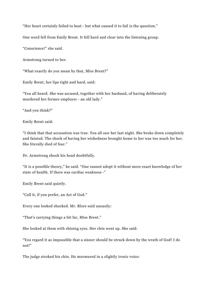"Her heart certainly failed to beat - but what caused it to fail is the question."

One word fell from Emily Brent. It fell hard and clear into the listening group.

"Conscience!" she said.

Armstrong turned to her.

"What exactly do you mean by that, Miss Brent?"

Emily Brent, her lips tight and hard, said:

"You all heard. She was accused, together with her husband, of having deliberately murdered her former employer - an old lady."

"And you think?"

Emily Brent said:

"I think that that accusation was true. You all saw her last night. She broke down completely and fainted. The shock of having her wickedness brought home to her was too much for her. She literally died of fear."

Dr. Armstrong shook his head doubtfully.

"It is a possible theory," he said. "One cannot adopt it without more exact knowledge of her state of health. If there was cardiac weakness -"

Emily Brent said quietly.

"Call it, if you prefer, an Act of God."

Every one looked shocked. Mr. Blore said uneasily:

"That's carrying things a bit far, Miss Brent."

She looked at them with shining eyes. Her chin went up. She said:

"You regard it as impossible that a sinner should be struck down by the wrath of God! I do not!"

The judge stroked his chin. He murmured in a slightly ironic voice: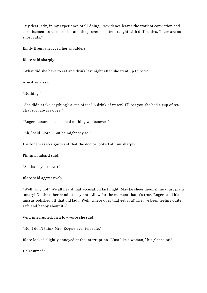"My dear lady, in my experience of ill-doing, Providence leaves the work of conviction and chastisement to us mortals - and the process is often fraught with difficulties. There are no short cuts."

Emily Brent shrugged her shoulders.

Blore said sharply:

"What did she have to eat and drink last night after she went up to bed?"

Armstrong said:

"Nothing."

"She didn't take anything? A cup of tea? A drink of water? I'll bet you she had a cup of tea. That sort always does."

"Rogers assures me she had nothing whatsoever."

"Ah," said Blore. "But he might say so!"

His tone was so significant that the doctor looked at him sharply.

Philip Lombard said:

"So that's your idea?"

Blore said aggressively:

"Well, why not? We all heard that accusation last night. May be sheer moonshine - just plain lunacy! On the other hand, it may not. Allow for the moment that it's true. Rogers and his missus polished off that old lady. Well, where does that get you? They've been feeling quite safe and happy about it -"

Vera interrupted. In a low voice she said:

"No, I don't think Mrs. Rogers ever felt safe."

Blore looked slightly annoyed at the interruption. "Just like a woman," his glance said.

He resumed: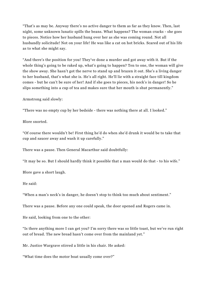"That's as may be. Anyway there's no active danger to them as far as they know. Then, last night, some unknown lunatic spills the beans. What happens? The woman cracks - she goes to pieces. Notice how her husband hung over her as she was coming round. Not all husbandly solicitude! Not on your life! He was like a cat on hot bricks. Scared out of his life as to what she might say.

"And there's the position for you! They've done a murder and got away with it. But if the whole thing's going to be raked up, what's going to happen? Ten to one, the woman will give the show away. She hasn't got the nerve to stand up and brazen it out. She's a living danger to her husband, that's what she is. He's all right. He'll lie with a straight face till kingdom comes - but he can't be sure of her! And if she goes to pieces, his neck's in danger! So he slips something into a cup of tea and makes sure that her mouth is shut permanently."

Armstrong said slowly:

"There was no empty cup by her bedside - there was nothing there at all. I looked."

Blore snorted.

"Of course there wouldn't be! First thing he'd do when she'd drunk it would be to take that cup and saucer away and wash it up carefully."

There was a pause. Then General Macarthur said doubtfully:

"It may be so. But I should hardly think it possible that a man would do that - to his wife."

Blore gave a short laugh.

He said:

"When a man's neck's in danger, he doesn't stop to think too much about sentiment."

There was a pause. Before any one could speak, the door opened and Rogers came in.

He said, looking from one to the other:

"Is there anything more I can get you? I'm sorry there was so little toast, but we've run right out of bread. The new bread hasn't come over from the mainland yet."

Mr. Justice Wargrave stirred a little in his chair. He asked:

"What time does the motor boat usually come over?"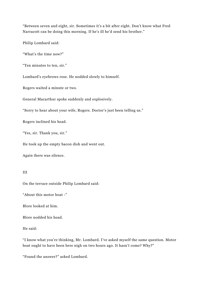"Between seven and eight, sir. Sometimes it's a bit after eight. Don't know what Fred Narracott can be doing this morning. If he's ill he'd send his brother."

Philip Lombard said:

"What's the time now?"

"Ten minutes to ten, sir."

Lombard's eyebrows rose. He nodded slowly to himself.

Rogers waited a minute or two.

General Macarthur spoke suddenly and explosively.

"Sorry to hear about your wife, Rogers. Doctor's just been telling us."

Rogers inclined his head.

"Yes, sir. Thank you, sir."

He took up the empty bacon dish and went out.

Again there was silence.

#### III

On the terrace outside Philip Lombard said:

"About this motor boat -"

Blore looked at him.

Blore nodded his head.

He said:

"I know what you're thinking, Mr. Lombard. I've asked myself the same question. Motor boat ought to have been here nigh on two hours ago. It hasn't come? Why?"

"Found the answer?" asked Lombard.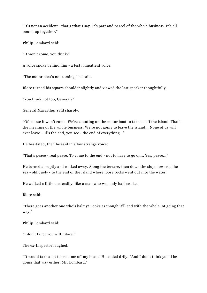"It's not an accident - that's what I say. It's part and parcel of the whole business. It's all bound up together."

Philip Lombard said:

"It won't come, you think?"

A voice spoke behind him - a testy impatient voice.

"The motor boat's not coming," he said.

Blore turned his square shoulder slightly and viewed the last speaker thoughtfully.

"You think not too, General?"

General Macarthur said sharply:

"Of course it won't come. We're counting on the motor boat to take us off the island. That's the meaning of the whole business. We're not going to leave the island... None of us will ever leave... Il's the end, you see - the end of everything..."

He hesitated, then he said in a low strange voice:

"That's peace - real peace. To come to the end - not to have to go on... Yes, peace..."

He turned abruptly and walked away. Along the terrace, then down the slope towards the sea - obliquely - to the end of the island where loose rocks went out into the water.

He walked a little unsteadily, like a man who was only half awake.

Blore said:

"There goes another one who's balmy! Looks as though it'll end with the whole lot going that way."

Philip Lombard said:

"I don't fancy you will, Blore."

The ex-Inspector laughed.

"It would take a lot to send me off my head." He added drily: "And I don't think you'll be going that way either, Mr. Lombard."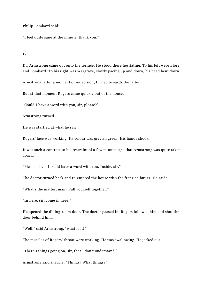Philip Lombard said:

"I feel quite sane at the minute, thank you."

#### IV

Dr. Armstrong came out onto the terrace. He stood there hesitating. To his left were Blore and Lombard. To his right was Wargrave, slowly pacing up and down, his head bent down.

Armstrong, after a moment of indecision, turned towards the latter.

But at that moment Rogers came quickly out of the house.

"Could I have a word with you, sir, please?"

Armstrong turned.

He was startled at what he saw.

Rogers' face was working. Its colour was greyish green. His hands shook.

It was such a contrast to his restraint of a few minutes ago that Armstrong was quite taken aback.

"Please, sir, if I could have a word with you. Inside, sir."

The doctor turned back and re-entered the house with the frenzied butler. He said:

"What's the matter, man? Pull yourself together."

"In here, sir, come in here."

He opened the dining-room door. The doctor passed in. Rogers followed him and shut the door behind him.

"Well," said Armstrong, "what is it?"

The muscles of Rogers' throat were working. He was swallowing. He jerked out

"There's things going on, sir, that I don't understand."

Armstrong said sharply: "Things? What things?"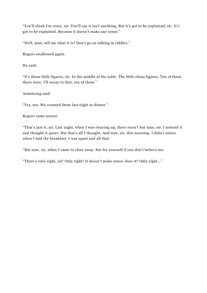"You'll think I'm crazy, sir. You'll say it isn't anything. But it's got to be explained, sir. It's got to be explained. Because it doesn't make any sense."

"Well, man, tell me what it is? Don't go on talking in riddles."

Rogers swallowed again.

He said:

"It's those little figures, sir. In the middle of the table. The little china figures. Ten of them, there were. I'll swear to that, ten of them."

Armstrong said:

"Yes, ten. We counted them last night at dinner."

Rogers came nearer.

"That's just it, sir. Last night, when I was clearing up, there wasn't but nine, sir. I noticed it and thought it queer. But that's all I thought. And now, sir, this morning. I didn't notice when I laid the breakfast. I was upset and all that.

"But now, sir, when I came to clear away. See for yourself if you don't believe me.

"There's only eight, sir! Only eight! It doesn't make sense, does it? Only eight..."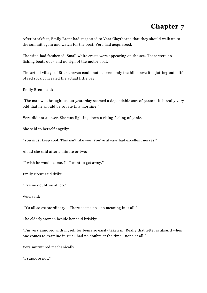# Chapter 7

After breakfast, Emily Brent had suggested to Vera Claythorne that they should walk up to the summit again and watch for the boat. Vera had acquiesced.

The wind had freshened. Small white crests were appearing on the sea. There were no fishing boats out - and no sign of the motor boat.

The actual village of Sticklehaven could not be seen, only the hill above it, a jutting-out cliff of red rock concealed the actual little bay.

Emily Brent said:

"The man who brought us out yesterday seemed a dependable sort of person. It is really very odd that he should be so late this morning."

Vera did not answer. She was fighting down a rising feeling of panic.

She said to herself angrily:

"You must keep cool. This isn't like you. You've always had excellent nerves."

Aloud she said after a minute or two:

"I wish he would come. I - I want to get away."

Emily Brent said drily:

"I've no doubt we all do."

Vera said:

"It's all so extraordinary... There seems no - no meaning in it all."

The elderly woman beside her said briskly:

"I'm very annoyed with myself for being so easily taken in. Really that letter is absurd when one comes to examine it. But I had no doubts at the time - none at all."

Vera murmured mechanically:

"I suppose not."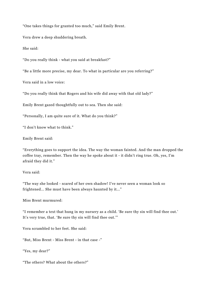"One takes things for granted too much," said Emily Brent.

Vera drew a deep shuddering breath.

She said:

"Do you really think - what you said at breakfast?"

"Be a little more precise, my dear. To what in particular are you referring?"

Vera said in a low voice:

"Do you really think that Rogers and his wife did away with that old lady?"

Emily Brent gazed thoughtfully out to sea. Then she said:

"Personally, I am quite sure of it. What do you think?"

"I don't know what to think."

Emily Brent said:

"Everything goes to support the idea. The way the woman fainted. And the man dropped the coffee tray, remember. Then the way he spoke about it - it didn't ring true. Oh, yes, I'm afraid they did it."

Vera said:

"The way she looked - scared of her own shadow! I've never seen a woman look so frightened... She must have been always haunted by it..."

Miss Brent murmured:

"I remember a text that hung in my nursery as a child. 'Be sure thy sin will find thee out.' It's very true, that. 'Be sure thy sin will find thee out.'"

Vera scrambled to her feet. She said:

"But, Miss Brent - Miss Brent - in that case -"

"Yes, my dear?"

"The others? What about the others?"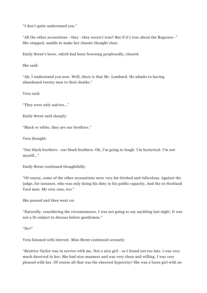"I don't quite understand you."

"All the other accusations - they - they weren't true? But if it's true about the Rogerses -" She stopped, unable to make her chaotic thought clear.

Emily Brent's brow, which had been frowning perplexedly, cleared.

She said:

"Ah, I understand you now. Well, there is that Mr. Lombard. He admits to having abandoned twenty men to their deaths."

Vera said:

"They were only natives..."

Emily Brent said sharply:

"Black or white, they are our brothers."

Vera thought:

"Our black brothers - our black brothers. Oh, I'm going to laugh. I'm hysterical. I'm not myself..."

Emily Brent continued thoughtfully:

"Of course, some of the other accusations were very far-fetched and ridiculous. Against the judge, for instance, who was only doing his duty in his public capacity, And the ex-Scotland Yard man. My own case, too."

She paused and then went on:

"Naturally, considering the circumstances, I was not going to say anything last night. It was not a fit subject to discuss before gentlemen."

"No?"

Vera listened with interest. Miss Brent continued serenely:

"Beatrice Taylor was in service with me. Not a nice girl - as I found out too late. I was very much deceived in her. She had nice manners and was very clean and willing. I was very pleased with her. Of course all that was the sheerest hypocrisy! She was a loose girl with no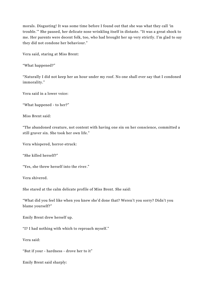morals. Disgusting! It was some time before I found out that she was what they call 'in trouble.'" She paused, her delicate nose wrinkling itself in distaste. "It was a great shock to me. Her parents were decent folk, too, who had brought her up very strictly. I'm glad to say they did not condone her behaviour."

Vera said, staring at Miss Brent:

"What happened?"

"Naturally I did not keep her an hour under my roof. No one shall ever say that I condoned immorality."

Vera said in a lower voice:

"What happened - to her?"

Miss Brent said:

"The abandoned creature, not content with having one sin on her conscience, committed a still graver sin. She took her own life."

Vera whispered, horror-struck:

"She killed herself?"

"Yes, she threw herself into the river."

Vera shivered.

She stared at the calm delicate profile of Miss Brent. She said:

"What did you feel like when you knew she'd done that? Weren't you sorry? Didn't you blame yourself?"

Emily Brent drew herself up.

"I? I had nothing with which to reproach myself."

Vera said:

"But if your - hardness - drove her to it"

Emily Brent said sharply: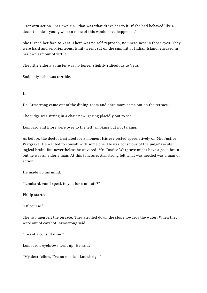"Her own action - her own sin - that was what drove her to it. If she had behaved like a decent modest young woman none of this would have happened."

She turned her face to Vera. There was no self-reproach, no uneasiness in those eyes. They were hard and self-righteous. Emily Brent sat on the summit of Indian Island, encased in her own armour of virtue.

The little elderly spinster was no longer slightly ridiculous to Vera.

Suddenly - she was terrible.

II

Dr. Armstrong came out of the dining-room and once more came out on the terrace.

The judge was sitting in a chair now, gazing placidly out to sea.

Lombard and Blore were over to the left, smoking but not talking.

As before, the doctor hesitated for a moment His eye rested speculatively on Mr. Justice Wargrave. He wanted to consult with some one. He was conscious of the judge's acute logical brain. But nevertheless he wavered. Mr. Justice Wargrave might have a good brain but he was an elderly man. At this juncture, Armstrong felt what was needed was a man of action.

He made up his mind.

"Lombard, can I speak to you for a minute?"

Philip started.

"Of course."

The two men left the terrace. They strolled down the slope towards the water. When they were out of earshot, Armstrong said:

"I want a consultation."

Lombard's eyebrows went up. He said:

"My dear fellow, I've no medical knowledge."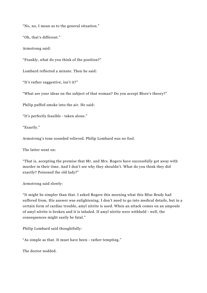"No, no, I mean as to the general situation."

"Oh, that's different."

Armstrong said:

"Frankly, what do you think of the position?"

Lombard reflected a minute. Then he said:

"It's rather suggestive, isn't it?"

"What are your ideas on the subject of that woman? Do you accept Blore's theory?"

Philip puffed smoke into the air. He said:

"It's perfectly feasible - taken alone."

"Exactly."

Armstrong's tone sounded relieved. Philip Lombard was no fool.

The latter went on:

"That is, accepting the premise that Mr. and Mrs. Rogers have successfully got away with murder in their time. And I don't see why they shouldn't. What do you think they did exactly? Poisoned the old lady?"

Armstrong said slowly:

"It might be simpler than that. I asked Rogers this morning what this Miss Brady had suffered from. His answer was enlightening. I don't need to go into medical details, but in a certain form of cardiac trouble, amyl nitrite is used. When an attack comes on an ampoule of amyl nitrite is broken and it is inhaled. If amyl nitrite were withheld - well, the consequences might easily be fatal."

Philip Lombard said thoughtfully:

"As simple as that. It must have been - rather tempting."

The doctor nodded.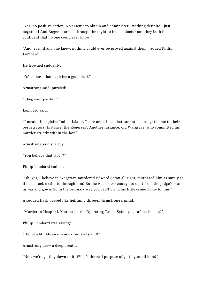"Yes, no positive action. No arsenic to obtain and administer - nothing definite - just negation! And Rogers hurried through the night to fetch a doctor and they both felt confident that no one could ever know."

"And, even if any one knew, nothing could ever be proved against them," added Philip Lombard.

He frowned suddenly.

"Of course - that explains a good deal."

Armstrong said, puzzled:

"I beg your pardon."

Lombard said:

"I mean - it explains Indian Island. There are crimes that cannot be brought home to their perpetrators. Instance, the Rogerses'. Another instance, old Wargrave, who committed his murder strictly within the law."

Armstrong said sharply:

"You believe that story?"

Philip Lombard smiled.

"Oh, yes, I believe it. Wargrave murdered Edward Seton all right, murdered him as surely as if he'd stuck a stiletto through him! But he was clever enough to do it from the judge's seat in wig and gown. So in the ordinary way you can't bring his little crime home to him."

A sudden flash passed like lightning through Armstrong's mind.

"Murder in Hospital. Murder on the Operating Table. Safe - yes, safe as houses!"

Philip Lombard was saying:

"Hence - Mr. Owen - hence - Indian Island!"

Armstrong drew a deep breath.

"Now we're getting down to it. What's the real purpose of getting us all here?"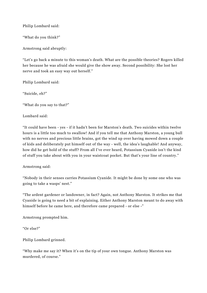Philip Lombard said:

"What do you think?"

Armstrong said abruptly:

"Let's go back a minute to this woman's death. What are the possible theories? Rogers killed her because he was afraid she would give the show away. Second possibility: She lost her nerve and took an easy way out herself."

Philip Lombard said:

"Suicide, eh?"

"What do you say to that?"

Lombard said:

"It could have been - yes - if it hadn't been for Marston's death. Two suicides within twelve hours is a little too much to swallow! And if you tell me that Anthony Marston, a young bull with no nerves and precious little brains, got the wind up over having mowed down a couple of kids and deliberately put himself out of the way - well, the idea's laughable! And anyway, how did he get hold of the stuff? From all I've ever heard, Potassium Cyanide isn't the kind of stuff you take about with you in your waistcoat pocket. But that's your line of country."

Armstrong said:

"Nobody in their senses carries Potassium Cyanide. It might be done by some one who was going to take a wasps' nest."

"The ardent gardener or landowner, in fact? Again, not Anthony Marston. It strikes me that Cyanide is going to need a bit of explaining. Either Anthony Marston meant to do away with himself before he came here, and therefore came prepared - or else -"

Armstrong prompted him.

"Or else?"

Philip Lombard grinned.

"Why make me say it? When it's on the tip of your own tongue. Anthony Marston was murdered, of course."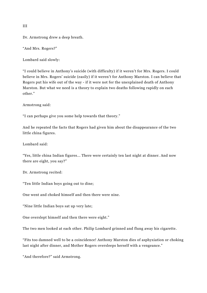Dr. Armstrong drew a deep breath.

"And Mrs. Rogers?"

Lombard said slowly:

"I could believe in Anthony's suicide (with difficulty) if it weren't for Mrs. Rogers. I could believe in Mrs. Rogers' suicide (easily) if it weren't for Anthony Marston. I can believe that Rogers put his wife out of the way - if it were not for the unexplained death of Anthony Marston. But what we need is a theory to explain two deaths following rapidly on each other."

Armstrong said:

"I can perhaps give you some help towards that theory."

And he repeated the facts that Rogers had given him about the disappearance of the two little china figures.

Lombard said:

"Yes, little china Indian figures... There were certainly ten last night at dinner. And now there are eight, you say?"

Dr. Armstrong recited:

"Ten little Indian boys going out to dine;

One went and choked himself and then there were nine.

"Nine little Indian boys sat up very late;

One overslept himself and then there were eight."

The two men looked at each other. Philip Lombard grinned and flung away his cigarette.

"Fits too damned well to be a coincidence! Anthony Marston dies of asphyxiation or choking last night after dinner, and Mother Rogers oversleeps herself with a vengeance."

"And therefore?" said Armstrong.

III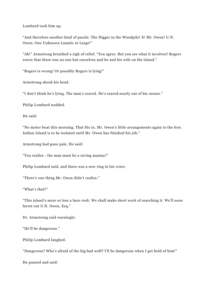Lombard took him up.

"And therefore another kind of puzzle. The Nigger in the Woodpile! X! Mr. Owen! U.N. Owen. One Unknown Lunatic at Large!"

"Ah!" Armstrong breathed a sigh of relief. "You agree. But you see what it involves? Rogers swore that there was no one but ourselves and he and his wife on the island."

"Rogers is wrong! Or possibly Rogers is lying!"

Armstrong shook his head.

"I don't think he's lying. The man's scared. He's scared nearly out of his senses."

Philip Lombard nodded.

He said:

"No motor boat this morning. That fits in. Mr. Owen's little arrangements again to the fore. Indian Island is to be isolated until Mr. Owen has finished his job."

Armstrong had gone pale. He said:

"You realize - the man must be a raving maniac!"

Philip Lombard said, and there was a new ring in his voice:

"There's one thing Mr. Owen didn't realize."

"What's that?"

"This island's more or less a bare rock. We shall make short work of searching it. We'll soon ferret out U.N. Owen, Esq."

Dr. Armstrong said warningly:

"He'll be dangerous."

Philip Lombard laughed.

"Dangerous? Who's afraid of the big bad wolf? I'll be dangerous when I get hold of him!"

He paused and said: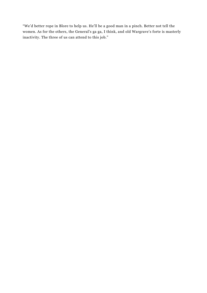"We'd better rope in Blore to help us. He'll be a good man in a pinch. Better not tell the women. As for the others, the General's ga ga, I think, and old Wargrave's forte is masterly inactivity. The three of us can attend to this job."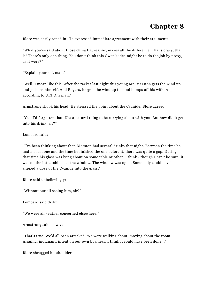# Chapter 8

Blore was easily roped in. He expressed immediate agreement with their arguments.

"What you've said about those china figures, sir, makes all the difference. That's crazy, that is! There's only one thing. You don't think this Owen's idea might be to do the job by proxy, as it were?"

"Explain yourself, man."

"Well, I mean like this. After the racket last night this young Mr. Marston gets the wind up and poisons himself. And Rogers, he gets the wind up too and bumps off his wife! All according to U.N.O.'s plan."

Armstrong shook his head. He stressed the point about the Cyanide. Blore agreed.

"Yes, I'd forgotten that. Not a natural thing to be carrying about with you. But how did it get into his drink, sir?"

Lombard said:

"I've been thinking about that. Marston had several drinks that night. Between the time he had his last one and the time he finished the one before it, there was quite a gap. During that time his glass was lying about on some table or other. I think - though I can't be sure, it was on the little table near the window. The window was open. Somebody could have slipped a dose of the Cyanide into the glass."

Blore said unbelievingly:

"Without our all seeing him, sir?"

Lombard said drily:

"We were all - rather concerned elsewhere."

Armstrong said slowly:

"That's true. We'd all been attacked. We were walking about, moving about the room. Arguing, indignant, intent on our own business. I think it could have been done..."

Blore shrugged his shoulders.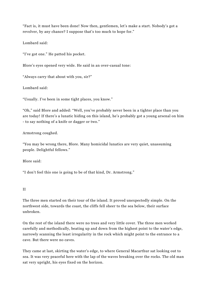"Fact is, it must have been done! Now then, gentlemen, let's make a start. Nobody's got a revolver, by any chance? I suppose that's too much to hope for."

Lombard said:

"I've got one." He patted his pocket.

Blore's eyes opened very wide. He said in an over-casual tone:

"Always carry that about with you, sir?"

Lombard said:

"Usually. I've been in some tight places, you know."

"Oh," said Blore and added: "Well, you've probably never been in a tighter place than you are today! If there's a lunatic hiding on this island, he's probably got a young arsenal on him - to say nothing of a knife or dagger or two."

Armstrong coughed.

"You may be wrong there, Blore. Many homicidal lunatics are very quiet, unassuming people. Delightful fellows."

Blore said:

"I don't feel this one is going to be of that kind, Dr. Armstrong."

### II

The three men started on their tour of the island. It proved unexpectedly simple. On the northwest side, towards the coast, the cliffs fell sheer to the sea below, their surface unbroken.

On the rest of the island there were no trees and very little cover. The three men worked carefully and methodically, beating up and down from the highest point to the water's edge, narrowly scanning the least irregularity in the rock which might point to the entrance to a cave. But there were no caves.

They came at last, skirting the water's edge, to where General Macarthur sat looking out to sea. It was very peaceful here with the lap of the waves breaking over the rocks. The old man sat very upright, his eyes fixed on the horizon.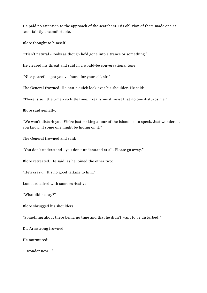He paid no attention to the approach of the searchers. His oblivion of them made one at least faintly uncomfortable.

Blore thought to himself:

"'Tisn't natural - looks as though he'd gone into a trance or something."

He cleared his throat and said in a would-be conversational tone:

"Nice peaceful spot you've found for yourself, sir."

The General frowned. He cast a quick look over his shoulder. He said:

"There is so little time - so little time. I really must insist that no one disturbs me."

Blore said genially:

"We won't disturb you. We're just making a tour of the island, so to speak. Just wondered, you know, if some one might be hiding on it."

The General frowned and said:

"You don't understand - you don't understand at all. Please go away."

Blore retreated. He said, as he joined the other two:

"He's crazy... It's no good talking to him."

Lombard asked with some curiosity:

"What did he say?"

Blore shrugged his shoulders.

"Something about there being no time and that he didn't want to be disturbed."

Dr. Armstrong frowned.

He murmured:

"I wonder now..."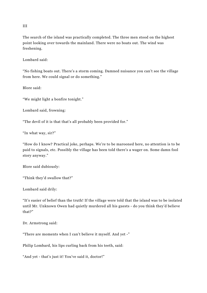III

The search of the island was practically completed. The three men stood on the highest point looking over towards the mainland. There were no boats out. The wind was freshening.

Lombard said:

"No fishing boats out. There's a storm coming. Damned nuisance you can't see the village from here. We could signal or do something."

Blore said:

"We might light a bonfire tonight."

Lombard said, frowning:

"The devil of it is that that's all probably been provided for."

"In what way, sir?"

"How do I know? Practical joke, perhaps. We're to be marooned here, no attention is to be paid to signals, etc. Possibly the village has been told there's a wager on. Some damn fool story anyway."

Blore said dubiously:

"Think they'd swallow that?"

Lombard said drily:

"It's easier of belief than the truth! If the village were told that the island was to be isolated until Mr. Unknown Owen had quietly murdered all his guests - do you think they'd believe that?"

Dr. Armstrong said:

"There are moments when I can't believe it myself. And yet -"

Philip Lombard, his lips curling back from his teeth, said:

"And yet - that's just it! You've said it, doctor!"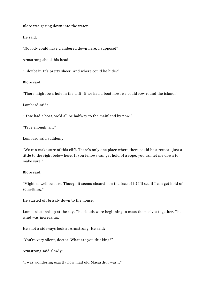Blore was gazing down into the water.

He said:

"Nobody could have clambered down here, I suppose?"

Armstrong shook his head.

"I doubt it. It's pretty sheer. And where could he hide?"

Blore said:

"There might be a hole in the cliff. If we had a boat now, we could row round the island."

Lombard said:

"If we had a boat, we'd all be halfway to the mainland by now!"

"True enough, sir."

Lombard said suddenly:

"We can make sure of this cliff. There's only one place where there could be a recess - just a little to the right below here. If you fellows can get hold of a rope, you can let me down to make sure."

Blore said:

"Might as well be sure. Though it seems absurd - on the face of it! I'll see if I can get hold of something."

He started off briskly down to the house.

Lombard stared up at the sky. The clouds were beginning to mass themselves together. The wind was increasing.

He shot a sideways look at Armstrong. He said:

"You're very silent, doctor. What are you thinking?"

Armstrong said slowly:

"I was wondering exactly how mad old Macarthur was..."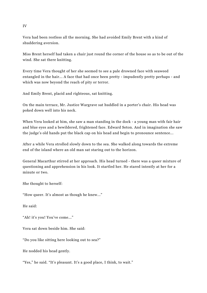Vera had been restless all the morning. She had avoided Emily Brent with a kind of shuddering aversion.

Miss Brent herself had taken a chair just round the corner of the house so as to be out of the wind. She sat there knitting.

Every time Vera thought of her she seemed to see a pale drowned face with seaweed entangled in the hair... A face that had once been pretty - impudently pretty perhaps - and which was now beyond the reach of pity or terror.

And Emily Brent, placid and righteous, sat knitting.

On the main terrace, Mr. Justice Wargrave sat huddled in a porter's chair. His head was poked down well into his neck.

When Vera looked at him, she saw a man standing in the dock - a young man with fair hair and blue eyes and a bewildered, frightened face. Edward Seton. And in imagination she saw the judge's old hands put the black cap on his head and begin to pronounce sentence...

After a while Vera strolled slowly down to the sea. She walked along towards the extreme end of the island where an old man sat staring out to the horizon.

General Macarthur stirred at her approach. His head turned - there was a queer mixture of questioning and apprehension in his look. It startled her. He stared intently at her for a minute or two.

She thought to herself:

"How queer. It's almost as though he knew..."

He said:

"Ah! it's you! You've come..."

Vera sat down beside him. She said:

"Do you like sitting here looking out to sea?"

He nodded his head gently.

"Yes," he said. "It's pleasant. It's a good place, I think, to wait."

IV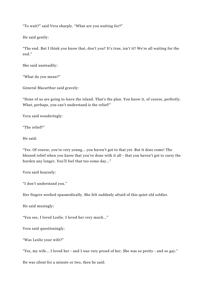"To wait?" said Vera sharply. "What are you waiting for?"

He said gently:

"The end. But I think you know that, don't you? It's true, isn't it? We're all waiting for the end."

She said unsteadily:

"What do you mean?"

General Macarthur said gravely:

"None of us are going to leave the island. That's the plan. You know it, of course, perfectly. What, perhaps, you can't understand is the relief!"

Vera said wonderingly:

"The relief?"

He said:

"Yes. Of course, you're very young... you haven't got to that yet. But it does come! The blessed relief when you know that you've done with it all - that you haven't got to carry the burden any longer. You'll feel that too some day..."

Vera said hoarsely:

"I don't understand you."

Her fingers worked spasmodically. She felt suddenly afraid of this quiet old soldier.

He said musingly:

"You see, I loved Leslie. I loved her very much..."

Vera said questioningly:

"Was Leslie your wife?"

"Yes, my wife... I loved her - and I was very proud of her. She was so pretty - and so gay."

He was silent for a minute or two, then he said: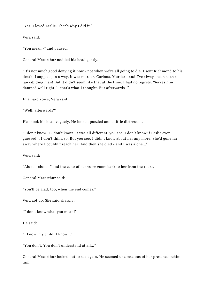"Yes, I loved Leslie. That's why I did it."

Vera said:

"You mean -" and paused.

General Macarthur nodded his head gently.

"It's not much good denying it now - not when we're all going to die. I sent Richmond to his death. I suppose, in a way, it was murder. Curious. Murder - and I've always been such a law-abiding man! But it didn't seem like that at the time. I had no regrets. 'Serves him damned well right!' - that's what I thought. But afterwards -"

In a hard voice, Vera said:

"Well, afterwards?"

He shook his head vaguely. He looked puzzled and a little distressed.

"I don't know. I - don't know. It was all different, you see. I don't know if Leslie ever guessed... I don't think so. But you see, I didn't know about her any more. She'd gone far away where I couldn't reach her. And then she died - and I was alone..."

Vera said:

"Alone - alone -" and the echo of her voice came back to her from the rocks.

General Macarthur said:

"You'll be glad, too, when the end comes."

Vera got up. She said sharply:

"I don't know what you mean!"

He said:

"I know, my child, I know..."

"You don't. You don't understand at all..."

General Macarthur looked out to sea again. He seemed unconscious of her presence behind him.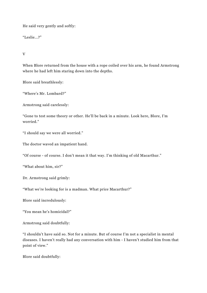He said very gently and softly:

"Leslie...?"

V

When Blore returned from the house with a rope coiled over his arm, he found Armstrong where he had left him staring down into the depths.

Blore said breathlessly:

"Where's Mr. Lombard?"

Armstrong said carelessly:

"Gone to test some theory or other. He'll be back in a minute. Look here, Blore, I'm worried."

"I should say we were all worried."

The doctor waved an impatient hand.

"Of course - of course. I don't mean it that way. I'm thinking of old Macarthur."

"What about him, sir?"

Dr. Armstrong said grimly:

"What we're looking for is a madman. What price Macarthur?"

Blore said incredulously:

"You mean he's homicidal?"

Armstrong said doubtfully:

"I shouldn't have said so. Not for a minute. But of course I'm not a specialist in mental diseases. I haven't really had any conversation with him - I haven't studied him from that point of view."

Blore said doubtfully: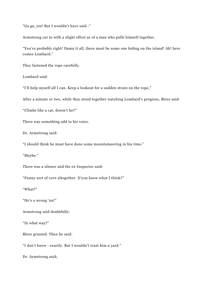"Ga ga, yes! But I wouldn't have said -"

Armstrong cut in with a slight effort as of a man who pulls himself together.

"You're probably right! Damn it all, there must be some one hiding on the island! Ah! here comes Lombard."

They fastened the rope carefully.

Lombard said:

"I'll help myself all I can. Keep a lookout for a sudden strain on the rope,"

After a minute or two, while they stood together watching Lombard's progress, Blore said:

"Climbs like a cat, doesn't he?"

There was something odd in his voice.

Dr. Armstrong said:

"I should think he must have done some mountaineering in his time."

"Maybe."

There was a silence and the ex-Inspector said:

"Funny sort of cove altogether. D'you know what I think?"

"What?"

"He's a wrong 'un!"

Armstrong said doubtfully:

"In what way?"

Blore grunted. Then he said:

"I don't know - exactly. But I wouldn't trust him a yard."

Dr. Armstrong said;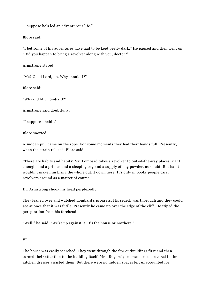"I suppose he's led an adventurous life."

Blore said:

"I bet some of his adventures have had to be kept pretty dark." He paused and then went on: "Did you happen to bring a revolver along with you, doctor?"

Armstrong stared.

"Me? Good Lord, no. Why should I?"

Blore said:

"Why did Mr. Lombard?"

Armstrong said doubtfully:

"I suppose - habit."

Blore snorted.

A sudden pull came on the rope. For some moments they had their hands full. Presently, when the strain relaxed, Blore said:

"There are habits and habits! Mr. Lombard takes a revolver to out-of-the-way places, right enough, and a primus and a sleeping bag and a supply of bug powder, no doubt! But habit wouldn't make him bring the whole outfit down here! It's only in books people carry revolvers around as a matter of course,"

Dr. Armstrong shook his head perplexedly.

They leaned over and watched Lombard's progress. His search was thorough and they could see at once that it was futile. Presently he came up over the edge of the cliff. He wiped the perspiration from his forehead.

"Well," he said. "We're up against it. It's the house or nowhere."

### VI

The house was easily searched. They went through the few outbuildings first and then turned their attention to the building itself. Mrs. Rogers' yard measure discovered in the kitchen dresser assisted them. But there were no hidden spaces left unaccounted for.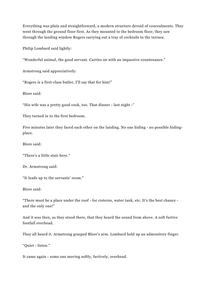Everything was plain and straightforward, a modern structure devoid of concealments. They went through the ground floor first. As they mounted to the bedroom floor, they saw through the landing window Rogers carrying out a tray of cocktails to the terrace.

Philip Lombard said lightly:

"Wonderful animal, the good servant. Carries on with an impassive countenance."

Armstrong said appreciatively:

"Rogers is a first-class butler, I'll say that for him!"

Blore said:

"His wife was a pretty good cook, too. That dinner - last night -"

They turned in to the first bedroom.

Five minutes later they faced each other on the landing. No one hiding - no possible hidingplace.

Blore said:

"There's a little stair here."

Dr. Armstrong said:

"It leads up to the servants' room."

Blore said:

"There must be a place under the roof - for cisterns, water tank, etc. It's the best chance and the only one!"

And it was then, as they stood there, that they heard the sound from above. A soft furtive footfall overhead.

They all heard it. Armstrong grasped Blore's arm. Lombard held up an admonitory finger.

"Quiet - listen."

It came again - some one moving softly, furtively, overhead.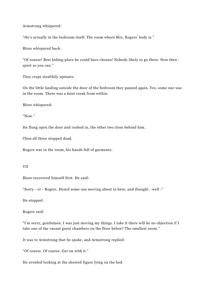Armstrong whispered:

"He's actually in the bedroom itself. The room where Mrs. Rogers' body is."

Blore whispered back:

"Of course! Best hiding-place he could have chosen! Nobody likely to go there. Now then quiet as you can."

They crept stealthily upstairs.

On the little landing outside the door of the bedroom they paused again. Yes, some one was in the room. There was a faint creak from within.

Blore whispered:

"Now."

He flung open the door and rushed in, the other two close behind him.

Then all three stopped dead.

Rogers was in the room, his hands full of garments.

VII

Blore recovered himself first. He said:

"Sorry - er - Rogers. Heard some one moving about in here, and thought - well -"

He stopped.

Rogers said:

"I'm sorry, gentlemen. I was just moving my things. I take it there will be no objection if I take one of the vacant guest chambers on the floor below? The smallest room."

It was to Armstrong that he spoke, and Armstrong replied:

"Of course. Of course. Get on with it."

He avoided looking at the sheeted figure lying on the bed.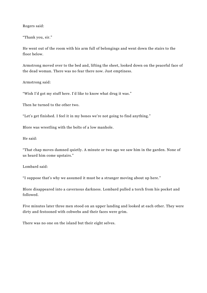Rogers said:

"Thank you, sir."

He went out of the room with his arm full of belongings and went down the stairs to the floor below.

Armstrong moved over to the bed and, lifting the sheet, looked down on the peaceful face of the dead woman. There was no fear there now. Just emptiness.

Armstrong said:

"Wish I'd got my stuff here. I'd like to know what drug it was."

Then he turned to the other two.

"Let's get finished. I feel it in my bones we're not going to find anything."

Blore was wrestling with the bolts of a low manhole.

He said:

"That chap moves damned quietly. A minute or two ago we saw him in the garden. None of us heard him come upstairs."

Lombard said:

"I suppose that's why we assumed it must be a stranger moving about up here."

Blore disappeared into a cavernous darkness. Lombard pulled a torch from his pocket and followed.

Five minutes later three men stood on an upper landing and looked at each other. They were dirty and festooned with cobwebs and their faces were grim.

There was no one on the island but their eight selves.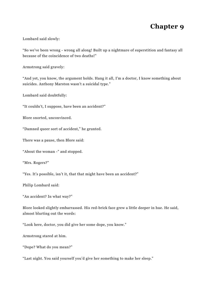# Chapter 9

Lombard said slowly:

"So we've been wrong - wrong all along! Built up a nightmare of superstition and fantasy all because of the coincidence of two deaths!"

Armstrong said gravely:

"And yet, you know, the argument holds. Hang it all, I'm a doctor, I know something about suicides. Anthony Marston wasn't a suicidal type."

Lombard said doubtfully:

"It couldn't, I suppose, have been an accident?"

Blore snorted, unconvinced.

"Damned queer sort of accident," he grunted.

There was a pause, then Blore said:

"About the woman -" and stopped.

"Mrs. Rogers?"

"Yes. It's possible, isn't it, that that might have been an accident?"

Philip Lombard said:

"An accident? In what way?"

Blore looked slightly embarrassed. His red-brick face grew a little deeper in hue. He said, almost blurting out the words:

"Look here, doctor, you did give her some dope, you know."

Armstrong stared at him.

"Dope? What do you mean?"

"Last night. You said yourself you'd give her something to make her sleep."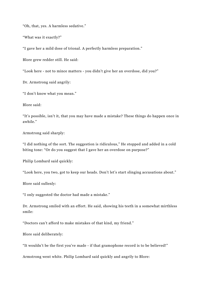"Oh, that, yes. A harmless sedative."

"What was it exactly?"

"I gave her a mild dose of trional. A perfectly harmless preparation."

Blore grew redder still. He said:

"Look here - not to mince matters - you didn't give her an overdose, did you?"

Dr. Armstrong said angrily:

"I don't know what you mean."

Blore said:

"It's possible, isn't it, that you may have made a mistake? These things do happen once in awhile."

Armstrong said sharply:

"I did nothing of the sort. The suggestion is ridiculous," He stopped and added in a cold biting tone: "Or do you suggest that I gave her an overdose on purpose?"

Philip Lombard said quickly:

"Look here, you two, got to keep our heads. Don't let's start slinging accusations about."

Blore said sullenly:

"I only suggested the doctor had made a mistake."

Dr. Armstrong smiled with an effort. He said, showing his teeth in a somewhat mirthless smile:

"Doctors can't afford to make mistakes of that kind, my friend."

Blore said deliberately:

"It wouldn't be the first you've made - if that gramophone record is to be believed!"

Armstrong went white. Philip Lombard said quickly and angrily to Blore: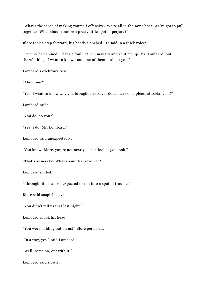"What's the sense of making yourself offensive? We're all in the same boat. We've got to pull together. What about your own pretty little spot of perjury?"

Blore took a step forward, his hands clenched. He said in a thick voice:

"Perjury be damned! That's a foul lie! You may try and shut me up, Mr. Lombard, but there's things I want to know - and one of them is about you!"

Lombard's eyebrows rose.

"About me?"

"Yes. I want to know why you brought a revolver down here on a pleasant social visit?"

Lombard said:

"You do, do you?"

"Yes, I do, Mr. Lombard."

Lombard said unexpectedly:

"You know, Blore, you're not nearly such a fool as you look."

"That's as may be. What about that revolver?"

Lombard smiled.

"I brought it because I expected to run into a spot of trouble."

Blore said suspiciously:

"You didn't tell us that last night."

Lombard shook his head.

"You were holding out on us?" Blore persisted.

"In a way, yes," said Lombard.

"Well, come on, out with it."

Lombard said slowly: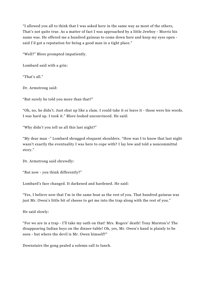"I allowed you all to think that I was asked here in the same way as most of the others, That's not quite true. As a matter of fact I was approached by a little Jewboy - Morris his name was. He offered me a hundred guineas to come down here and keep my eyes open said I'd got a reputation for being a good man in a tight place."

"Well?" Blore prompted impatiently.

Lombard said with a grin:

"That's all."

Dr. Armstrong said:

"But surely he told you more than that?"

"Oh, no, he didn't. Just shut up like a clam. I could take it or leave it - those were his words. I was hard up. I took it." Blore looked unconvinced. He said:

"Why didn't you tell us all this last night?"

"My dear man -" Lombard shrugged eloquent shoulders. "How was I to know that last night wasn't exactly the eventuality I was here to cope with? I lay low and told a noncommittal story."

Dr. Armstrong said shrewdly:

"But now - you think differently?"

Lombard's face changed. It darkened and hardened. He said:

"Yes, I believe now that I'm in the same boat as the rest of you. That hundred guineas was just Mr. Owen's little bit of cheese to get me into the trap along with the rest of you."

He said slowly:

"For we are in a trap - I'll take my oath on that! Mrs. Rogers' death! Tony Marston's! The disappearing Indian boys on the dinner-table! Oh, yes, Mr. Owen's hand is plainly to be seen - but where the devil is Mr. Owen himself?"

Downstairs the gong pealed a solemn call to lunch.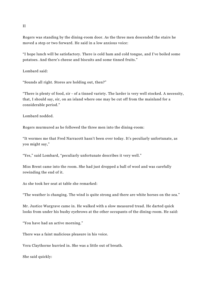Rogers was standing by the dining-room door. As the three men descended the stairs he moved a step or two forward. He said in a low anxious voice:

"I hope lunch will be satisfactory. There is cold ham and cold tongue, and I've boiled some potatoes. And there's cheese and biscuits and some tinned fruits."

Lombard said:

"Sounds all right. Stores are holding out, then?"

"There is plenty of food, sir - of a tinned variety. The larder is very well stocked. A necessity, that, I should say, sir, on an island where one may be cut off from the mainland for a considerable period."

Lombard nodded.

Rogers murmured as he followed the three men into the dining-room:

"It wormes me that Fred Narracott hasn't been over today. It's peculiarly unfortunate, as you might say,"

"Yes," said Lombard, "peculiarly unfortunate describes it very well."

Miss Brent came into the room. She had just dropped a ball of wool and was carefully rewinding the end of it.

As she took her seat at table she remarked:

"The weather is changing. The wind is quite strong and there are white horses on the sea."

Mr. Justice Wargrave came in. He walked with a slow measured tread. He darted quick looks from under his bushy eyebrows at the other occupants of the dining-room. He said:

"You have had an active morning."

There was a faint malicious pleasure in his voice.

Vera Claythorne hurried in. She was a little out of breath.

She said quickly:

II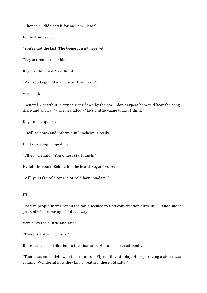"I hope you didn't wait for me. Am I late?"

Emily Brent said:

"You're not the last. The General isn't here yet."

They sat round the table.

Rogers addressed Miss Brent:

"Will you begin, Madam, or will you wait?"

Vera said:

"General Macarthur is sitting right down by the sea. I don't expect he would hear the gong there and anyway" - she hesitated - "he's a little vague today, I think."

Rogers said quickly:

"I will go down and inform him luncheon is ready."

Dr. Armstrong jumped up.

"I'll go," he said. "You others start lunch."

He left the room. Behind him he heard Rogers' voice.

"Will you take cold tongue or cold ham, Madam?"

#### III

The five people sitting round the table seemed to find conversation difficult. Outside sudden gusts of wind came up and died away.

Vera shivered a little and said:

"There is a storm coming."

Blore made a contribution to the discourse. He said conversationally:

"There was an old fellow in the train from Plymouth yesterday. He kept saying a storm was coming. Wonderful how they know weather, these old salts."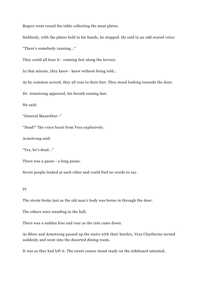Rogers went round the table collecting the meat plates.

Suddenly, with the plates held in his hands, he stopped. He said in an odd scared voice:

"There's somebody running..."

They could all hear it - running feet along the terrace.

In that minute, they knew - knew without being told...

As by common accord, they all rose to their feet. They stood looking towards the door.

Dr. Armstrong appeared, his breath coming fast.

He said:

"General Macarthur -"

"Dead!" The voice burst from Vera explosively.

Armstrong said:

"Yes, he's dead..."

There was a pause - a long pause.

Seven people looked at each other and could find no words to say.

#### IV

The storm broke just as the old man's body was borne in through the door.

The others were standing in the hall.

There was a sudden hiss and roar as the rain came down.

As Blore and Armstrong passed up the stairs with their burden, Vera Claythorne turned suddenly and went into the deserted dining-room.

It was as they had left it. The sweet course stood ready on the sideboard untasted,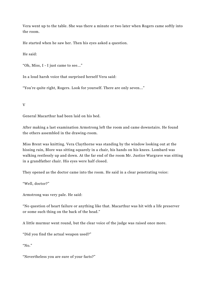Vera went up to the table. She was there a minute or two later when Rogers came softly into the room.

He started when he saw her. Then his eyes asked a question.

He said:

"Oh, Miss, I - I just came to see..."

In a loud harsh voice that surprised herself Vera said:

"You're quite right, Rogers. Look for yourself. There are only seven..."

V

General Macarthur had been laid on his bed.

After making a last examination Armstrong left the room and came downstairs. He found the others assembled in the drawing-room.

Miss Brent was knitting. Vera Claythorne was standing by the window looking out at the hissing rain, Blore was sitting squarely in a chair, his hands on his knees. Lombard was walking restlessly up and down. At the far end of the room Mr. Justice Wargrave was sitting in a grandfather chair. His eyes were half closed.

They opened as the doctor came into the room. He said in a clear penetrating voice:

"Well, doctor?"

Armstrong was very pale. He said:

"No question of heart failure or anything like that. Macarthur was hit with a life preserver or some such thing on the back of the head."

A little murmur went round, but the clear voice of the judge was raised once more.

"Did you find the actual weapon used?"

"No."

"Nevertheless you are sure of your facts?"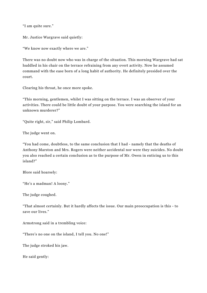"I am quite sure."

Mr. Justice Wargrave said quietly:

"We know now exactly where we are."

There was no doubt now who was in charge of the situation. This morning Wargrave had sat huddled in his chair on the terrace refraining from any overt activity. Now he assumed command with the ease born of a long habit of authority. He definitely presided over the court.

Clearing his throat, he once more spoke.

"This morning, gentlemen, whilst I was sitting on the terrace. I was an observer of your activities. There could be little doubt of your purpose. You were searching the island for an unknown murderer?"

"Quite right, sir," said Philip Lombard.

The judge went on.

"You had come, doubtless, to the same conclusion that I had - namely that the deaths of Anthony Marston and Mrs. Rogers were neither accidental nor were they suicides. No doubt you also reached a certain conclusion as to the purpose of Mr. Owen in enticing us to this island?"

Blore said hoarsely:

"He's a madman! A loony."

The judge coughed.

"That almost certainly. But it hardly affects the issue. Our main preoccupation is this - to save our lives."

Armstrong said in a trembling voice:

"There's no one on the island, I tell you. No one!"

The judge stroked his jaw.

He said gently: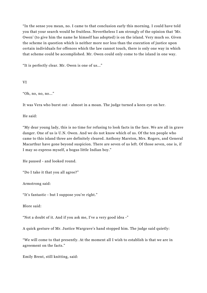"In the sense you mean, no. I came to that conclusion early this morning. I could have told you that your search would be fruitless. Nevertheless I am strongly of the opinion that 'Mr. Owen' (to give him the name he himself has adopted) is on the island. Very much so. Given the scheme in question which is neither more nor less than the execution of justice upon certain individuals for offences which the law cannot touch, there is only one way in which that scheme could be accomplished. Mr. Owen could only come to the island in one way.

"It is perfectly clear. Mr. Owen is one of us..."

VI

"Oh, no, no, no..."

It was Vera who burst out - almost in a moan. The judge turned a keen eye on her.

He said:

"My dear young lady, this is no time for refusing to look facts in the face. We are all in grave danger. One of us is U.N. Owen. And we do not know which of us. Of the ten people who came to this island three are definitely cleared. Anthony Marston, Mrs. Rogers, and General Macarthur have gone beyond suspicion. There are seven of us left. Of those seven, one is, if I may so express myself, a bogus little Indian boy."

He paused - and looked round.

"Do I take it that you all agree?"

Armstrong said:

"It's fantastic - but I suppose you're right."

Blore said:

"Not a doubt of it. And if you ask me, I've a very good idea -"

A quick gesture of Mr. Justice Wargrave's hand stopped him. The judge said quietly:

"We will come to that presently. At the moment all I wish to establish is that we are in agreement on the facts."

Emily Brent, still knitting, said: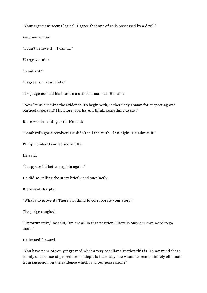"Your argument seems logical. I agree that one of us is possessed by a devil."

Vera murmured:

"I can't believe it... I can't..."

Wargrave said:

"Lombard?"

"I agree, sir, absolutely."

The judge nodded his head in a satisfied manner. He said:

"Now let us examine the evidence. To begin with, is there any reason for suspecting one particular person? Mr. Blore, you have, I think, something to say."

Blore was breathing hard. He said:

"Lombard's got a revolver. He didn't tell the truth - last night. He admits it."

Philip Lombard smiled scornfully.

He said:

"I suppose I'd better explain again."

He did so, telling the story briefly and succinctly.

Blore said sharply:

"What's to prove it? There's nothing to corroborate your story."

The judge coughed.

"Unfortunately," he said, "we are all in that position. There is only our own word to go upon."

He leaned forward.

"You have none of you yet grasped what a very peculiar situation this is. To my mind there is only one course of procedure to adopt. Is there any one whom we can definitely eliminate from suspicion on the evidence which is in our possession?"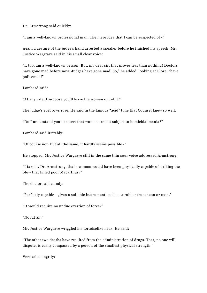Dr. Armstrong said quickly:

"I am a well-known professional man. The mere idea that I can be suspected of -"

Again a gesture of the judge's hand arrested a speaker before he finished his speech. Mr. Justice Wargrave said in his small clear voice:

"I, too, am a well-known person! But, my dear sir, that proves less than nothing! Doctors have gone mad before now. Judges have gone mad. So," he added, looking at Blore, "have policemen!"

Lombard said:

"At any rate, I suppose you'll leave the women out of it."

The judge's eyebrows rose. He said in the famous "acid" tone that Counsel knew so well:

"Do I understand you to assert that women are not subject to homicidal mania?"

Lombard said irritably:

"Of course not. But all the same, it hardly seems possible -"

He stopped. Mr. Justice Wargrave still in the same thin sour voice addressed Armstrong.

"I take it, Dr. Armstrong, that a woman would have been physically capable of striking the blow that killed poor Macarthur?"

The doctor said calmly:

"Perfectly capable - given a suitable instrument, such as a rubber truncheon or cosh."

"It would require no undue exertion of force?"

"Not at all."

Mr. Justice Wargrave wriggled his tortoiselike neck. He said:

"The other two deaths have resulted from the administration of drugs. That, no one will dispute, is easily compassed by a person of the smallest physical strength."

Vera cried angrily: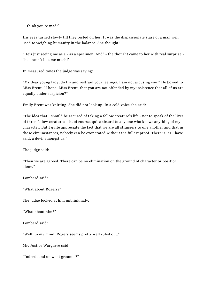"I think you're mad!"

His eyes turned slowly till they rested on her. It was the dispassionate stare of a man well used to weighing humanity in the balance. She thought:

"He's just seeing me as a - as a specimen. And" - the thought came to her with real surprise - "he doesn't like me much!"

In measured tones the judge was saying:

"My dear young lady, do try and restrain your feelings. I am not accusing you." He bowed to Miss Brent. "I hope, Miss Brent, that you are not offended by my insistence that all of us are equally under suspicion?"

Emily Brent was knitting. She did not look up. In a cold voice she said:

"The idea that I should be accused of taking a fellow creature's life - not to speak of the lives of three fellow creatures - is, of course, quite absurd to any one who knows anything of my character. But I quite appreciate the fact that we are all strangers to one another and that in those circumstances, nobody can be exonerated without the fullest proof. There is, as I have said, a devil amongst us."

The judge said:

"Then we are agreed. There can be no elimination on the ground of character or position alone."

Lombard said:

"What about Rogers?"

The judge looked at him unblinkingly.

"What about him?"

Lombard said:

"Well, to my mind, Rogers seems pretty well ruled out."

Mr. Justice Wargrave said:

"Indeed, and on what grounds?"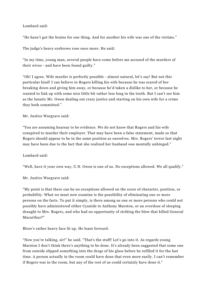### Lombard said:

"He hasn't got the brains for one thing. And for another his wife was one of the victims."

The judge's heavy eyebrows rose once more. He said:

"In my time, young man, several people have come before me accused of the murders of their wives - and have been found guilty."

"Oh! I agree. Wife murder is perfectly possible - almost natural, let's say! But not this particular kind! I can believe in Rogers killing his wife because he was scared of her breaking down and giving him away, or because he'd taken a dislike to her, or because he wanted to link up with some nice little bit rather less long in the tooth. But I can't see him as the lunatic Mr. Owen dealing out crazy justice and starting on his own wife for a crime they both committed."

Mr. Justice Wargrave said:

"You are assuming hearsay to be evidence. We do not know that Rogers and his wife conspired to murder their employer. That may have been a false statement, made so that Rogers should appear to be in the same position as ourselves. Mrs. Rogers' terror last night may have been due to the fact that she realized her husband was mentally unhinged."

### Lombard said:

"Well, have it your own way, U.N. Owen is one of us. No exceptions allowed. We all qualify."

Mr. Justice Wargrave said:

"My point is that there can be no exceptions allowed on the score of character, position, or probability. What we must now examine is the possibility of eliminating one or more persons on the facts. To put it simply, is there among us one or more persons who could not possibly have administered either Cyanide to Anthony Marston, or an overdose of sleeping draught to Mrs. Rogers, and who had no opportunity of striking the blow that killed General Macarthur?"

Blore's rather heavy face lit up. He leant forward.

"Now you're talking, sir!" he said. "That's the stuff! Let's go into it. As regards young Marston I don't think there's anything to be done. It's already been suggested that some one from outside slipped something into the dregs of his glass before he refilled it for the last time. A person actually in the room could have done that even more easily. I can't remember if Rogers was in the room, but any of the rest of us could certainly have done it."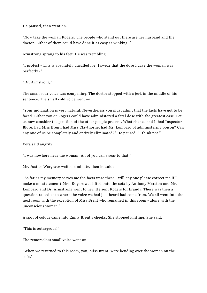He paused, then went on.

"Now take the woman Rogers. The people who stand out there are her husband and the doctor. Either of them could have done it as easy as winking -"

Armstrong sprang to his feet. He was trembling.

"I protest - This is absolutely uncalled for! I swear that the dose I gave the woman was perfectly -"

"Dr. Armstrong."

The small sour voice was compelling. The doctor stopped with a jerk in the middle of his sentence. The small cold voice went on.

"Your indignation is very natural. Nevertheless you must admit that the facts have got to be faced. Either you or Rogers could have administered a fatal dose with the greatest ease. Let us now consider the position of the other people present. What chance had I, had Inspector Blore, had Miss Brent, had Miss Claythorne, had Mr. Lombard of administering poison? Can any one of us be completely and entirely eliminated?" He paused. "I think not."

Vera said angrily:

"I was nowhere near the woman! All of you can swear to that."

Mr. Justice Wargrave waited a minute, then he said:

"As far as my memory serves me the facts were these - will any one please correct me if I make a misstatement? Mrs. Rogers was lifted onto the sofa by Anthony Marston and Mr. Lombard and Dr. Armstrong went to her. He sent Rogers for brandy. There was then a question raised as to where the voice we had just heard had come from. We all went into the next room with the exception of Miss Brent who remained in this room - alone with the unconscious woman."

A spot of colour came into Emily Brent's cheeks. She stopped knitting. She said:

"This is outrageous!"

The remorseless small voice went on.

"When we returned to this room, you, Miss Brent, were bending over the woman on the sofa."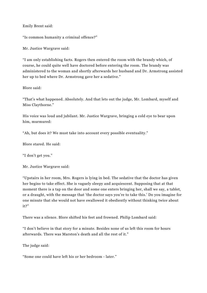Emily Brent said:

"Is common humanity a criminal offence?"

Mr. Justice Wargrave said:

"I am only establishing facts. Rogers then entered the room with the brandy which, of course, he could quite well have doctored before entering the room. The brandy was administered to the woman and shortly afterwards her husband and Dr. Armstrong assisted her up to bed where Dr. Armstrong gave her a sedative."

Blore said:

"That's what happened. Absolutely. And that lets out the judge, Mr. Lombard, myself and Miss Claythorne."

His voice was loud and jubilant. Mr. Justice Wargrave, bringing a cold eye to bear upon him, murmured:

"Ah, but does it? We must take into account every possible eventuality."

Blore stared. He said:

"I don't get you."

Mr. Justice Wargrave said:

"Upstairs in her room, Mrs. Rogers is lying in bed. The sedative that the doctor has given her begins to take effect. She is vaguely sleepy and acquiescent. Supposing that at that moment there is a tap on the door and some one enters bringing her, shall we say, a tablet, or a draught, with the message that 'the doctor says you're to take this.' Do you imagine for one minute that she would not have swallowed it obediently without thinking twice about it?"

There was a silence. Blore shifted his feet and frowned. Philip Lombard said:

"I don't believe in that story for a minute. Besides none of us left this room for hours afterwards. There was Marston's death and all the rest of it."

The judge said:

"Some one could have left his or her bedroom - later."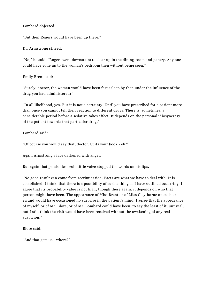Lombard objected:

"But then Rogers would have been up there."

Dr. Armstrong stirred.

"No," he said. "Rogers went downstairs to clear up in the dining-room and pantry. Any one could have gone up to the woman's bedroom then without being seen."

Emily Brent said:

"Surely, doctor, the woman would have been fast asleep by then under the influence of the drug you had administered?"

"In all likelihood, yes. But it is not a certainty. Until you have prescribed for a patient more than once you cannot tell their reaction to different drugs. There is, sometimes, a considerable period before a sedative takes effect. It depends on the personal idiosyncrasy of the patient towards that particular drug."

Lombard said:

"Of course you would say that, doctor. Suits your book - eh?"

Again Armstrong's face darkened with anger.

But again that passionless cold little voice stopped the words on his lips.

"No good result can come from recrimination. Facts are what we have to deal with. It is established, I think, that there is a possibility of such a thing as I have outlined occurring. I agree that its probability value is not high; though there again, it depends on who that person might have been. The appearance of Miss Brent or of Miss Claythorne on such an errand would have occasioned no surprise in the patient's mind. I agree that the appearance of myself, or of Mr. Blore, or of Mr. Lombard could have been, to say the least of it, unusual, but I still think the visit would have been received without the awakening of any real suspicion."

Blore said:

"And that gets us - where?"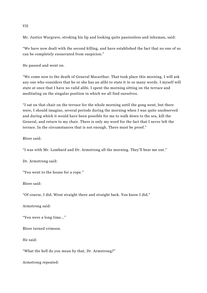Mr. Justice Wargrave, stroking his lip and looking quite passionless and inhuman, said:

"We have now dealt with the second killing, and have established the fact that no one of us can be completely exonerated from suspicion."

He paused and went on.

"We come now to the death of General Macarthur. That took place this morning. I will ask any one who considers that he or she has an alibi to state it in so many words. I myself will state at once that I have no valid alibi. I spent the morning sitting on the terrace and meditating on the singular position in which we all find ourselves.

"I sat on that chair on the terrace for the whole morning until the gong went, but there were, I should imagine, several periods during the morning when I was quite unobserved and during which it would have been possible for me to walk down to the sea, kill the General, and return to my chair. There is only my word for the fact that I never left the terrace. In the circumstances that is not enough. There must be proof."

Blore said:

"I was with Mr. Lombard and Dr. Armstrong all the morning. They'll bear me out."

Dr. Armstrong said:

"You went to the house for a rope."

Blore said:

"Of course, I did. Went straight there and straight back. You know I did."

Armstrong said:

"You were a long time..."

Blore turned crimson.

He said:

"What the hell do you mean by that, Dr. Armstrong?"

Armstrong repeated:

#### VII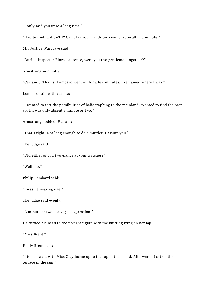"I only said you were a long time."

"Had to find it, didn't I? Can't lay your hands on a coil of rope all in a minute."

Mr. Justice Wargrave said:

"During Inspector Blore's absence, were you two gentlemen together?"

Armstrong said hotly:

"Certainly. That is, Lombard went off for a few minutes. I remained where I was."

Lombard said with a smile:

"I wanted to test the possibilities of heliographing to the mainland. Wanted to find the best spot. I was only absent a minute or two."

Armstrong nodded. He said:

"That's right. Not long enough to do a murder, I assure you."

The judge said:

"Did either of you two glance at your watches?"

"Well, no."

Philip Lombard said:

"I wasn't wearing one."

The judge said evenly:

"A minute or two is a vague expression."

He turned his head to the upright figure with the knitting lying on her lap.

"Miss Brent?"

Emily Brent said:

"I took a walk with Miss Claythorne up to the top of the island. Afterwards I sat on the terrace in the sun."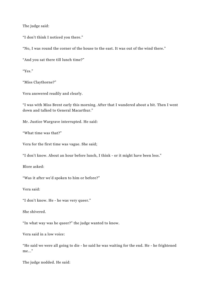The judge said:

"I don't think I noticed you there."

"No, I was round the corner of the house to the east. It was out of the wind there."

"And you sat there till lunch time?"

"Yes."

"Miss Claythorne?"

Vera answered readily and clearly.

"I was with Miss Brent early this morning. After that I wandered about a bit. Then I went down and talked to General Macarthur."

Mr. Justice Wargrave interrupted. He said:

"What time was that?"

Vera for the first time was vague. She said;

"I don't know. About an hour before lunch, I think - or it might have been less."

Blore asked:

"Was it after we'd spoken to him or before?"

Vera said:

"I don't know. He - he was very queer."

She shivered.

"In what way was he queer?" the judge wanted to know.

Vera said in a low voice:

"He said we were all going to die - he said he was waiting for the end. He - he frightened me..."

The judge nodded. He said: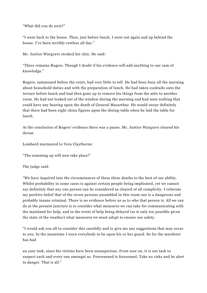"What did you do next?"

"I went back to the house. Then, just before lunch, I went out again and up behind the house. I've been terribly restless all day."

Mr. Justice Wargrave stroked his chin. He said:

"There remains Rogers. Though I doubt if his evidence will add anything to our sum of knowledge."

Rogers, summoned before the court, had very little to tell. He had been busy all the morning about household duties and with the preparation of lunch. He had taken cocktails onto the terrace before lunch and had then gone up to remove his things from the attic to another room. He had not looked out of the window during the morning and had seen nothing that could have any bearing upon the death of General Macarthur. He would swear definitely that there had been eight china figures upon the dining-table when he laid the table for lunch.

At the conclusion of Rogers' evidence there was a pause. Mr. Justice Wargrave cleared his throat.

Lombard murmured to Vera Claythorne:

"The summing up will now take place!"

The judge said:

"We have inquired into the circumstances of these three deaths to the best of our ability. Whilst probability in some cases is against certain people being implicated, yet we cannot say definitely that any one person can be considered as cleared of all complicity. I reiterate my positive belief that of the seven persons assembled in this room one is a dangerous and probably insane criminal. There is no evidence before us as to who that person is. All we can do at the present juncture is to consider what measures we can take for communicating with the mainland for help, and in the event of help being delayed (as is only too possible given the state of the weather) what measures we must adopt to ensure our safety.

"I would ask you all to consider this carefully and to give me any suggestions that may occur to you. In the meantime I warn everybody to be upon his or her guard. So far the murderer has had

an easy task, since his victims have been unsuspicious. From now on, it is our task to suspect each and every one amongst us. Forewarned is forearmed. Take no risks and be alert to danger. That is all."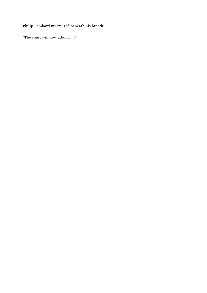Philip Lombard murmured beneath his breath:

"The court will now adjourn..."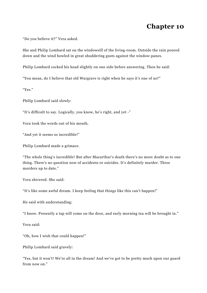# Chapter 10

"Do you believe it?" Vera asked.

She and Philip Lombard sat on the windowsill of the living-room. Outside the rain poured down and the wind howled in great shuddering gusts against the window-panes.

Philip Lombard cocked his head slightly on one side before answering. Then he said:

"You mean, do I believe that old Wargrave is right when he says it's one of us?"

"Yes."

Philip Lombard said slowly:

"It's difficult to say. Logically, you know, he's right, and yet -"

Vera took the words out of his mouth.

"And yet it seems so incredible!"

Philip Lombard made a grimace.

"The whole thing's incredible! But after Macarthur's death there's no more doubt as to one thing. There's no question now of accidents or suicides. It's definitely murder. Three murders up to date."

Vera shivered. She said:

"It's like some awful dream. I keep feeling that things like this can't happen!"

He said with understanding:

"I know. Presently a tap will come on the door, and early morning tea will be brought in."

Vera said:

"Oh, how I wish that could happen!"

Philip Lombard said gravely:

"Yes, but it won't! We're all in the dream! And we've got to be pretty much upon our guard from now on."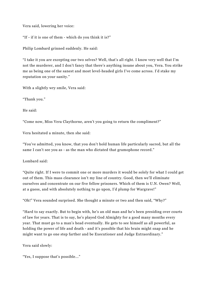Vera said, lowering her voice:

"If - if it is one of them - which do you think it is?"

Philip Lombard grinned suddenly. He said:

"I take it you are excepting our two selves? Well, that's all right. I know very well that I'm not the murderer, and I don't fancy that there's anything insane about you, Vera. You strike me as being one of the sanest and most level-headed girls I've come across. I'd stake my reputation on your sanity."

With a slightly wry smile, Vera said:

"Thank you."

He said:

"Come now, Miss Vera Claythorne, aren't you going to return the compliment?"

Vera hesitated a minute, then she said:

"You've admitted, you know, that you don't hold human life particularly sacred, but all the same I can't see you as - as the man who dictated that gramophone record."

Lombard said:

"Quite right. If I were to commit one or more murders it would be solely for what I could get out of them. This mass clearance isn't my line of country. Good, then we'll eliminate ourselves and concentrate on our five fellow prisoners. Which of them is U.N. Owen? Well, at a guess, and with absolutely nothing to go upon, I'd plump for Wargrave!"

"Oh!" Vera sounded surprised. She thought a minute or two and then said, "Why?"

"Hard to say exactly. But to begin with, he's an old man and he's been presiding over courts of law for years. That is to say, he's played God Almighty for a good many months every year. That must go to a man's head eventually. He gets to see himself as all powerful, as holding the power of life and death - and it's possible that his brain might snap and he might want to go one step farther and be Executioner and Judge Extraordinary."

Vera said slowly:

"Yes, I suppose that's possible..."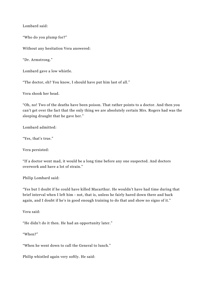Lombard said:

"Who do you plump for?"

Without any hesitation Vera answered:

"Dr. Armstrong."

Lombard gave a low whistle.

"The doctor, eh? You know, I should have put him last of all."

Vera shook her head.

"Oh, no! Two of the deaths have been poison. That rather points to a doctor. And then you can't get over the fact that the only thing we are absolutely certain Mrs. Rogers had was the sleeping draught that he gave her."

Lombard admitted:

"Yes, that's true."

Vera persisted:

"If a doctor went mad, it would be a long time before any one suspected. And doctors overwork and have a lot of strain."

Philip Lombard said:

"Yes but I doubt if he could have killed Macarthur. He wouldn't have had time during that brief interval when I left him - not, that is, unless he fairly hared down there and back again, and I doubt if he's in good enough training to do that and show no signs of it."

Vera said:

"He didn't do it then. He had an opportunity later."

"When?"

"When he went down to call the General to lunch."

Philip whistled again very softly. He said: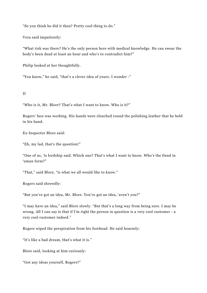"So you think he did it then? Pretty cool thing to do."

Vera said impatiently:

"What risk was there? He's the only person here with medical knowledge. He can swear the body's been dead at least an hour and who's to contradict him?"

Philip looked at her thoughtfully.

"You know," he said, "that's a clever idea of yours. I wonder -"

II

"Who is it, Mr. Blore? That's what I want to know. Who is it?"

Rogers' face was working. His hands were clenched round the polishing leather that he held in his hand.

Ex-Inspector Blore said:

"Eh, my lad, that's the question!"

"One of us, 'is lordship said. Which one? That's what I want to know. Who's the fiend in 'uman form?"

"That," said Blore, "is what we all would like to know."

Rogers said shrewdly:

"But you've got an idea, Mr. Blore. You've got an idea, 'aven't you?"

"I may have an idea," said Blore slowly. "But that's a long way from being sure. I may be wrong. All I can say is that if I'm right the person in question is a very cool customer - a very cool customer indeed."

Rogers wiped the perspiration from his forehead. He said hoarsely:

"It's like a bad dream, that's what it is."

Blore said, looking at him curiously:

"Got any ideas yourself, Rogers?"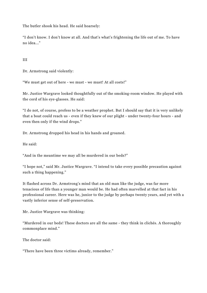The butler shook his head. He said hoarsely:

"I don't know. I don't know at all. And that's what's frightening the life out of me. To have no idea..."

III

Dr. Armstrong said violently:

"We must get out of here - we must - we must! At all costs!"

Mr. Justice Wargrave looked thoughtfully out of the smoking-room window. He played with the cord of his eye-glasses. He said:

"I do not, of course, profess to be a weather prophet. But I should say that it is very unlikely that a boat could reach us - even if they knew of our plight - under twenty-four hours - and even then only if the wind drops."

Dr. Armstrong dropped his head in his hands and groaned.

He said:

"And in the meantime we may all be murdered in our beds?"

"I hope not," said Mr. Justice Wargrave. "I intend to take every possible precaution against such a thing happening."

It flashed across Dr. Armstrong's mind that an old man like the judge, was far more tenacious of life than a younger man would be. He had often marvelled at that fact in his professional career. Here was he, junior to the judge by perhaps twenty years, and yet with a vastly inferior sense of self-preservation.

Mr. Justice Wargrave was thinking:

"Murdered in our beds! These doctors are all the same - they think in clichés. A thoroughly commonplace mind."

The doctor said:

"There have been three victims already, remember."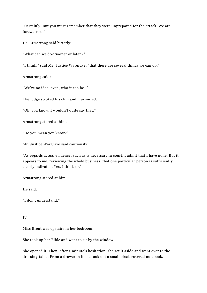"Certainly. But you must remember that they were unprepared for the attack. We are forewarned."

Dr. Armstrong said bitterly:

"What can we do? Sooner or later -"

"I think," said Mr. Justice Wargrave, "that there are several things we can do."

Armstrong said:

"We've no idea, even, who it can be -"

The judge stroked his chin and murmured:

"Oh, you know, I wouldn't quite say that."

Armstrong stared at him.

"Do you mean you know?"

Mr. Justice Wargrave said cautiously:

"As regards actual evidence, such as is necessary in court, I admit that I have none. But it appears to me, reviewing the whole business, that one particular person is sufficiently clearly indicated. Yes, I think so."

Armstrong stared at him.

He said:

"I don't understand."

### IV

Miss Brent was upstairs in her bedroom.

She took up her Bible and went to sit by the window.

She opened it. Then, after a minute's hesitation, she set it aside and went over to the dressing-table. From a drawer in it she took out a small black-covered notebook.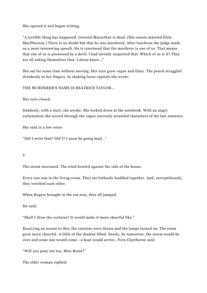She opened it and began writing.

"A terrible thing has happened. General Macarthur is dead. (His cousin married Elsie MacPherson.) There is no doubt but that he was murdered. After luncheon the judge made us a most interesting speech. He is convinced that the murderer is one of us. That means that one of us is possessed by a devil. I had already suspected that. Which of us is it? They are all asking themselves that. I alone know..."

She sat for some time without moving. Her eyes grew vague and filmy. The pencil straggled drunkenly in her fingers. In shaking loose capitals she wrote:

THE MURDERER'S NAME IS BEATRICE TAYLOR...

Her eyes closed.

Suddenly, with a start, she awoke. She looked down at the notebook. With an angry exclamation she scored through the vague unevenly scrawled characters of the last sentence.

She said in a low voice:

"Did I write that? Did I? I must be going mad..."

V

The storm increased. The wind howled against the side of the house.

Every one was in the living-room. They sat listlessly huddled together. And, surreptitiously, they watched each other.

When Rogers brought in the tea-tray, they all jumped.

He said:

"Shall I draw the curtains? It would make it more cheerful like."

Receiving an assent to this, the curtains were drawn and the lamps turned on. The room grew more cheerful. A little of the shadow lifted. Surely, by tomorrow, the storm would be over and some one would come - a boat would arrive...Vera Claythorne said:

"Will you pour out tea, Miss Brent?"

The elder woman replied: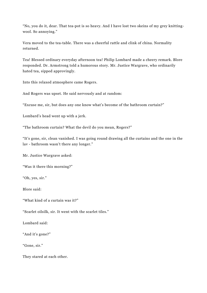"No, you do it, dear. That tea-pot is so heavy. And I have lost two skeins of my grey knittingwool. So annoying."

Vera moved to the tea-table. There was a cheerful rattle and clink of china. Normality returned.

Tea! Blessed ordinary everyday afternoon tea! Philip Lombard made a cheery remark. Blore responded. Dr. Armstrong told a humorous story. Mr. Justice Wargrave, who ordinarily hated tea, sipped approvingly.

Into this relaxed atmosphere came Rogers.

And Rogers was upset. He said nervously and at random:

"Excuse me, sir, but does any one know what's become of the bathroom curtain?"

Lombard's head went up with a jerk.

"The bathroom curtain? What the devil do you mean, Rogers?"

"It's gone, sir, clean vanished. I was going round drawing all the curtains and the one in the lav - bathroom wasn't there any longer."

Mr. Justice Wargrave asked:

"Was it there this morning?"

"Oh, yes, sir."

Blore said:

"What kind of a curtain was it?"

"Scarlet oilsilk, sir. It went with the scarlet tiles."

Lombard said:

"And it's gone?"

"Gone, sir."

They stared at each other.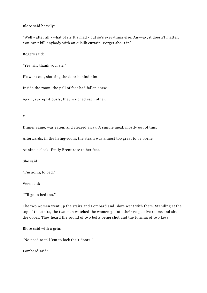Blore said heavily:

"Well - after all - what of it? It's mad - but so's everything else. Anyway, it doesn't matter. You can't kill anybody with an oilsilk curtain. Forget about it."

Rogers said:

"Yes, sir, thank you, sir."

He went out, shutting the door behind him.

Inside the room, the pall of fear had fallen anew.

Again, surreptitiously, they watched each other.

VI

Dinner came, was eaten, and cleared away. A simple meal, mostly out of tins.

Afterwards, in the living-room, the strain was almost too great to be borne.

At nine o'clock, Emily Brent rose to her feet.

She said:

"I'm going to bed."

Vera said:

"I'll go to bed too."

The two women went up the stairs and Lombard and Blore went with them. Standing at the top of the stairs, the two men watched the women go into their respective rooms and shut the doors. They heard the sound of two bolts being shot and the turning of two keys.

Blore said with a grin:

"No need to tell 'em to lock their doors!"

Lombard said: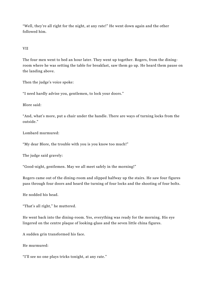"Well, they're all right for the night, at any rate!" He went down again and the other followed him.

## VII

The four men went to bed an hour later. They went up together. Rogers, from the diningroom where he was setting the table for breakfast, saw them go up. He heard them pause on the landing above.

Then the judge's voice spoke:

"I need hardly advise you, gentlemen, to lock your doors."

Blore said:

"And, what's more, put a chair under the handle. There are ways of turning locks from the outside."

Lombard murmured:

"My dear Blore, the trouble with you is you know too much!"

The judge said gravely:

"Good-night, gentlemen. May we all meet safely in the morning!"

Rogers came out of the dining-room and slipped halfway up the stairs. He saw four figures pass through four doors and heard the turning of four locks and the shooting of four bolts.

He nodded his head.

"That's all right," he muttered.

He went back into the dining-room. Yes, everything was ready for the morning. His eye lingered on the centre plaque of looking-glass and the seven little china figures.

A sudden grin transformed his face.

He murmured:

"I'll see no one plays tricks tonight, at any rate."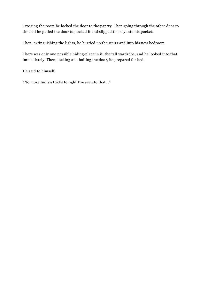Crossing the room he locked the door to the pantry. Then going through the other door to the hall he pulled the door to, locked it and slipped the key into his pocket.

Then, extinguishing the lights, he hurried up the stairs and into his new bedroom.

There was only one possible hiding-place in it, the tall wardrobe, and he looked into that immediately. Then, locking and bolting the door, he prepared for bed.

He said to himself:

"No more Indian tricks tonight I've seen to that..."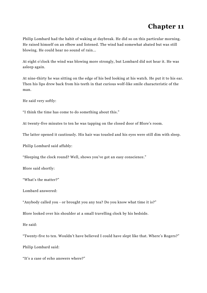# Chapter 11

Philip Lombard had the habit of waking at daybreak. He did so on this particular morning. He raised himself on an elbow and listened. The wind had somewhat abated but was still blowing. He could hear no sound of rain...

At eight o'clock the wind was blowing more strongly, but Lombard did not hear it. He was asleep again.

At nine-thirty he was sitting on the edge of his bed looking at his watch. He put it to his ear. Then his lips drew back from his teeth in that curious wolf-like smile characteristic of the man.

He said very softly:

"I think the time has come to do something about this."

At twenty-five minutes to ten he was tapping on the closed door of Blore's room.

The latter opened it cautiously. His hair was tousled and his eyes were still dim with sleep.

Philip Lombard said affably:

"Sleeping the clock round? Well, shows you've got an easy conscience."

Blore said shortly:

"What's the matter?"

Lombard answered:

"Anybody called you - or brought you any tea? Do you know what time it is?"

Blore looked over his shoulder at a small travelling clock by his bedside.

He said:

"Twenty-five to ten. Wouldn't have believed I could have slept like that. Where's Rogers?"

Philip Lombard said:

"It's a case of echo answers where?"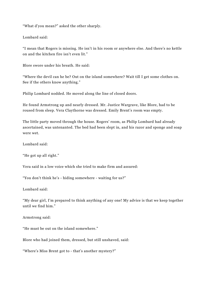"What d'you mean?" asked the other sharply.

Lombard said:

"I mean that Rogers is missing. He isn't in his room or anywhere else. And there's no kettle on and the kitchen fire isn't even lit."

Blore swore under his breath. He said:

"Where the devil can he be? Out on the island somewhere? Wait till I get some clothes on. See if the others know anything."

Philip Lombard nodded. He moved along the line of closed doors.

He found Armstrong up and nearly dressed. Mr. Justice Wargrave, like Blore, had to be roused from sleep. Vera Claythorne was dressed. Emily Brent's room was empty.

The little party moved through the house. Rogers' room, as Philip Lombard had already ascertained, was untenanted. The bed had been slept in, and his razor and sponge and soap were wet.

Lombard said:

"He got up all right."

Vera said in a low voice which she tried to make firm and assured:

"You don't think he's - hiding somewhere - waiting for us?"

Lombard said:

"My dear girl, I'm prepared to think anything of any one! My advice is that we keep together until we find him."

Armstrong said:

"He must be out on the island somewhere."

Blore who had joined them, dressed, but still unshaved, said:

"Where's Miss Brent got to - that's another mystery?"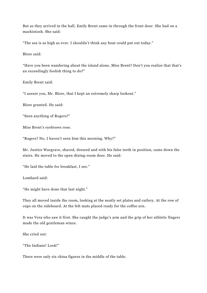But as they arrived in the hall, Emily Brent came in through the front door. She had on a mackintosh. She said:

"The sea is as high as ever. I shouldn't think any boat could put out today."

Blore said:

"Have you been wandering about the island alone, Miss Brent? Don't you realize that that's an exceedingly foolish thing to do?"

Emily Brent said:

"I assure you, Mr. Blore, that I kept an extremely sharp lookout."

Blore grunted. He said:

"Seen anything of Rogers?"

Miss Brent's eyebrows rose.

"Rogers? No, I haven't seen him this morning. Why?"

Mr. Justice Wargrave, shaved, dressed and with his false teeth in position, came down the stairs. He moved to the open dining-room door. He said:

"He laid the table for breakfast, I see."

Lombard said:

"He might have done that last night."

They all moved inside the room, looking at the neatly set plates and cutlery. At the row of cups on the sideboard. At the felt mats placed ready for the coffee urn.

It was Vera who saw it first. She caught the judge's arm and the grip of her athletic fingers made the old gentleman wince.

She cried out:

"The Indians! Look!"

There were only six china figures in the middle of the table.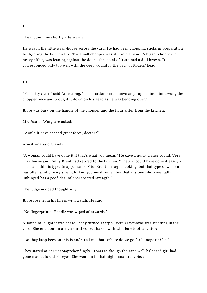They found him shortly afterwards.

He was in the little wash-house across the yard. He had been chopping sticks in preparation for lighting the kitchen fire. The small chopper was still in his hand. A bigger chopper, a heavy affair, was leaning against the door - the metal of it stained a dull brown. It corresponded only too well with the deep wound in the back of Rogers' head...

## III

"Perfectly clear," said Armstrong. "The murderer must have crept up behind him, swung the chopper once and brought it down on his head as he was bending over."

Blore was busy on the handle of the chopper and the flour sifter from the kitchen.

Mr. Justice Wargrave asked:

"Would it have needed great force, doctor?"

Armstrong said gravely:

"A woman could have done it if that's what you mean." He gave a quick glance round. Vera Claythorne and Emily Brent had retired to the kitchen. "The girl could have done it easily she's an athletic type. In appearance Miss Brent is fragile looking, but that type of woman has often a lot of wiry strength. And you must remember that any one who's mentally unhinged has a good deal of unsuspected strength."

The judge nodded thoughtfully.

Blore rose from his knees with a sigh. He said:

"No fingerprints. Handle was wiped afterwards."

A sound of laughter was heard - they turned sharply. Vera Claythorne was standing in the yard. She cried out in a high shrill voice, shaken with wild bursts of laughter:

"Do they keep bees on this island? Tell me that. Where do we go for honey? Ha! ha!"

They stared at her uncomprehendingly. It was as though the sane well-balanced girl had gone mad before their eyes. She went on in that high unnatural voice:

II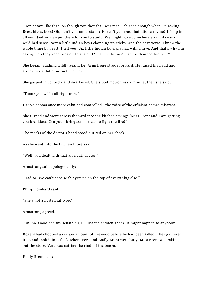"Don't stare like that! As though you thought I was mad. It's sane enough what I'm asking. Bees, hives, bees! Oh, don't you understand? Haven't you read that idiotic rhyme? It's up in all your bedrooms - put there for you to study! We might have come here straightaway if we'd had sense. Seven little Indian boys chopping up sticks. And the next verse. I know the whole thing by heart, I tell you! Six little Indian boys playing with a hive. And that's why I'm asking - do they keep bees on this island? - isn't it funny? - isn't it damned funny...?"

She began laughing wildly again. Dr. Armstrong strode forward. He raised his hand and struck her a flat blow on the cheek.

She gasped, hiccuped - and swallowed. She stood motionless a minute, then she said:

"Thank you... I'm all right now."

Her voice was once more calm and controlled - the voice of the efficient games mistress.

She turned and went across the yard into the kitchen saying: "Miss Brent and I are getting you breakfast. Can you - bring some sticks to light the fire?"

The marks of the doctor's hand stood out red on her cheek.

As she went into the kitchen Blore said:

"Well, you dealt with that all right, doctor."

Armstrong said apologetically:

"Had to! We can't cope with hysteria on the top of everything else."

Philip Lombard said:

"She's not a hysterical type."

Armstrong agreed.

"Oh, no. Good healthy sensible girl. Just the sudden shock. It might happen to anybody."

Rogers had chopped a certain amount of firewood before he had been killed. They gathered it up and took it into the kitchen. Vera and Emily Brent were busy. Miss Brent was raking out the stove. Vera was cutting the rind off the bacon.

Emily Brent said: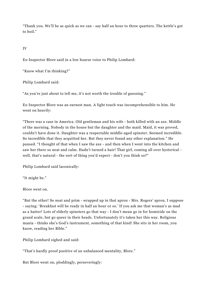"Thank you. We'll be as quick as we can - say half an hour to three quarters. The kettle's got to boil."

IV

Ex-Inspector Blore said in a low hoarse voice to Philip Lombard:

"Know what I'm thinking?"

Philip Lombard said:

"As you're just about to tell me, it's not worth the trouble of guessing."

Ex-Inspector Blore was an earnest man. A light touch was incomprehensible to him. He went on heavily:

"There was a case in America. Old gentleman and his wife - both killed with an axe. Middle of the morning. Nobody in the house but the daughter and the maid. Maid, it was proved, couldn't have done it. Daughter was a respectable middle-aged spinster. Seemed incredible. So incredible that they acquitted her. But they never found any other explanation." He paused. "I thought of that when I saw the axe - and then when I went into the kitchen and saw her there so neat and calm. Hadn't turned a hair! That girl, coming all over hysterical well, that's natural - the sort of thing you'd expect - don't you think so?"

Philip Lombard said laconically:

"It might be."

Blore went on.

"But the other! So neat and prim - wrapped up in that apron - Mrs. Rogers' apron, I suppose - saying: 'Breakfast will be ready in half an hour or so.' If you ask me that woman's as mad as a hatter! Lots of elderly spinsters go that way - I don't mean go in for homicide on the grand scale, but go queer in their heads. Unfortunately it's taken her this way. Religious mania - thinks she's God's instrument, something of that kind! She sits in her room, you know, reading her Bible."

Philip Lombard sighed and said:

"That's hardly proof positive of an unbalanced mentality, Blore."

But Blore went on, ploddingly, perseveringly: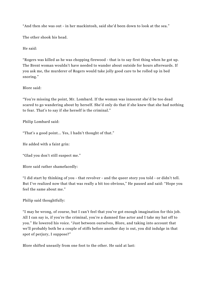"And then she was out - in her mackintosh, said she'd been down to look at the sea."

The other shook his head.

He said:

"Rogers was killed as he was chopping firewood - that is to say first thing when he got up. The Brent woman wouldn't have needed to wander about outside for hours afterwards. If you ask me, the murderer of Rogers would take jolly good care to be rolled up in bed snoring."

Blore said:

"You're missing the point, Mr. Lombard. If the woman was innocent she'd be too dead scared to go wandering about by herself. She'd only do that if she knew that she had nothing to fear. That's to say if she herself is the criminal."

Philip Lombard said:

"That's a good point... Yes, I hadn't thought of that."

He added with a faint grin:

"Glad you don't still suspect me."

Blore said rather shamefacedly:

"I did start by thinking of you - that revolver - and the queer story you told - or didn't tell. But I've realized now that that was really a bit too obvious," He paused and said: "Hope you feel the same about me."

Philip said thoughtfully:

"I may be wrong, of course, but I can't feel that you've got enough imagination for this job. All I can say is, if you're the criminal, you're a damned fine actor and I take my hat off to you." He lowered his voice. "Just between ourselves, Blore, and taking into account that we'll probably both be a couple of stiffs before another day is out, you did indulge in that spot of perjury, I suppose?"

Blore shifted uneasily from one foot to the other. He said at last: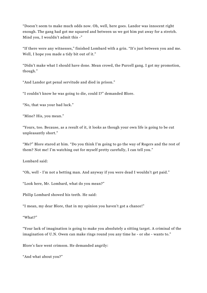"Doesn't seem to make much odds now. Oh, well, here goes. Landor was innocent right enough. The gang had got me squared and between us we got him put away for a stretch. Mind you, I wouldn't admit this -"

"If there were any witnesses," finished Lombard with a grin. "It's just between you and me. Well, I hope you made a tidy bit out of it."

"Didn't make what I should have done. Mean crowd, the Purcell gang. I got my promotion, though."

"And Landor got penal servitude and died in prison."

"I couldn't know he was going to die, could I?" demanded Blore.

"No, that was your bad luck."

"Mine? His, you mean."

"Yours, too. Because, as a result of it, it looks as though your own life is going to be cut unpleasantly short."

"Me?" Blore stared at him. "Do you think I'm going to go the way of Rogers and the rest of them? Not me! I'm watching out for myself pretty carefully, I can tell you."

Lombard said:

"Oh, well - I'm not a betting man. And anyway if you were dead I wouldn't get paid."

"Look here, Mr. Lombard, what do you mean?"

Philip Lombard showed his teeth. He said:

"I mean, my dear Blore, that in my opinion you haven't got a chance!"

"What?"

"Your lack of imagination is going to make you absolutely a sitting target. A criminal of the imagination of U.N. Owen can make rings round you any time he - or she - wants to."

Blore's face went crimson. He demanded angrily:

"And what about you?"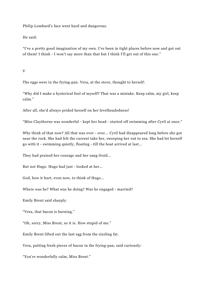Philip Lombard's face went hard and dangerous.

He said:

"I've a pretty good imagination of my own. I've been in tight places before now and got out of them! I think - I won't say more than that but I think I'll get out of this one."

V

The eggs were in the frying-pan. Vera, at the stove, thought to herself:

"Why did I make a hysterical fool of myself? That was a mistake. Keep calm, my girl, keep calm."

After all, she'd always prided herself on her levelheadedness!

"Miss Claythorne was wonderful - kept her head - started off swimming after Cyril at once."

Why think of that now? All that was over - over... Cyril had disappeared long before she got near the rock. She had felt the current take her, sweeping her out to sea. She had let herself go with it - swimming quietly, floating - till the boat arrived at last...

They had praised her courage and her sang-froid...

But not Hugo. Hugo had just - looked at her...

God, how it hurt, even now, to think of Hugo...

Where was he? What was he doing? Was he engaged - married?

Emily Brent said sharply:

"Vera, that bacon is burning."

"Oh, sorry, Miss Brent, so it is. How stupid of me."

Emily Brent lifted out the last egg from the sizzling fat.

Vera, putting fresh pieces of bacon in the frying-pan, said curiously:

"You're wonderfully calm, Miss Brent."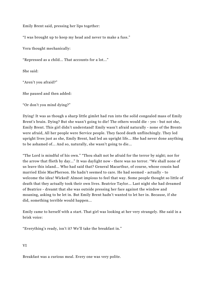Emily Brent said, pressing her lips together:

"I was brought up to keep my head and never to make a fuss."

Vera thought mechanically:

"Repressed as a child... That accounts for a lot..."

She said:

"Aren't you afraid?"

She paused and then added:

"Or don't you mind dying?"

Dying! It was as though a sharp little gimlet had run into the solid congealed mass of Emily Brent's brain. Dying? But she wasn't going to die! The others would die - yes - but not she, Emily Brent. This girl didn't understand! Emily wasn't afraid naturally - none of the Brents were afraid, All her people were Service people. They faced death unflinchingly. They led upright lives just as she, Emily Brent, had led an upright life... She had never done anything to be ashamed of... And so, naturally, she wasn't going to die...

"The Lord is mindful of his own." "Thou shalt not be afraid for the terror by night; nor for the arrow that flieth by day..." It was daylight now - there was no terror. "We shall none of us leave this island... Who had said that? General Macarthur, of course, whose cousin had married Elsie MacPherson. He hadn't seemed to care. He had seemed - actually - to welcome the idea! Wicked! Almost impious to feel that way. Some people thought so little of death that they actually took their own lives. Beatrice Taylor... Last night she had dreamed of Beatrice - dreamt that she was outside pressing her face against the window and moaning, asking to be let in. But Emily Brent hadn't wanted to let her in. Because, if she did, something terrible would happen...

Emily came to herself with a start. That girl was looking at her very strangely. She said in a brisk voice:

"Everything's ready, isn't it? We'll take the breakfast in."

VI

Breakfast was a curious meal. Every one was very polite.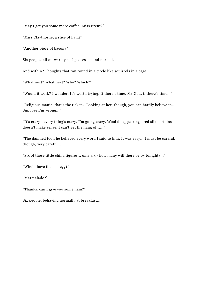"May I get you some more coffee, Miss Brent?"

"Miss Claythorne, a slice of ham?"

"Another piece of bacon?"

Six people, all outwardly self-possessed and normal.

And within? Thoughts that ran round in a circle like squirrels in a cage...

"What next? What next? Who? Which?"

"Would it work? I wonder. It's worth trying. If there's time. My God, if there's time..."

"Religious mania, that's the ticket... Looking at her, though, you can hardly believe it... Suppose I'm wrong..."

"It's crazy - every thing's crazy. I'm going crazy. Wool disappearing - red silk curtains - it doesn't make sense. I can't get the hang of it..."

"The damned fool, he believed every word I said to him. It was easy... I must be careful, though, very careful...

"Six of those little china figures... only six - how many will there be by tonight?..."

"Who'll have the last egg?"

"Marmalade?"

"Thanks, can I give you some ham?"

Six people, behaving normally at breakfast...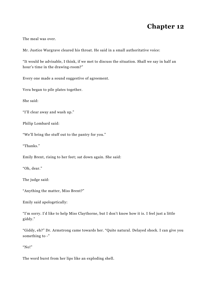# Chapter 12

The meal was over.

Mr. Justice Wargrave cleared his throat. He said in a small authoritative voice:

"It would be advisable, I think, if we met to discuss the situation. Shall we say in half an hour's time in the drawing-room?"

Every one made a sound suggestive of agreement.

Vera began to pile plates together.

She said:

"I'll clear away and wash up."

Philip Lombard said:

"We'll bring the stuff out to the pantry for you."

"Thanks."

Emily Brent, rising to her feet; sat down again. She said:

"Oh, dear."

The judge said:

"Anything the matter, Miss Brent?"

Emily said apologetically:

"I'm sorry. I'd like to help Miss Claythorne, but I don't know how it is. I feel just a little giddy."

"Giddy, eh?" Dr. Armstrong came towards her. "Quite natural. Delayed shock. I can give you something to -"

"No!"

The word burst from her lips like an exploding shell.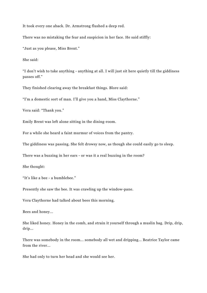It took every one aback. Dr. Armstrong flushed a deep red.

There was no mistaking the fear and suspicion in her face. He said stiffly:

"Just as you please, Miss Brent."

She said:

"I don't wish to take anything - anything at all. I will just sit here quietly till the giddiness passes off."

They finished clearing away the breakfast things. Blore said:

"I'm a domestic sort of man. I'll give you a hand, Miss Claythorne."

Vera said: "Thank you."

Emily Brent was left alone sitting in the dining-room.

For a while she heard a faint murmur of voices from the pantry.

The giddiness was passing. She felt drowsy now, as though she could easily go to sleep.

There was a buzzing in her ears - or was it a real buzzing in the room?

She thought:

"It's like a bee - a bumblebee."

Presently she saw the bee. It was crawling up the window-pane.

Vera Claythorne had talked about bees this morning.

Bees and honey...

She liked honey. Honey in the comb, and strain it yourself through a muslin bag. Drip, drip, drip...

There was somebody in the room... somebody all wet and dripping... Beatrice Taylor came from the river...

She had only to turn her head and she would see her.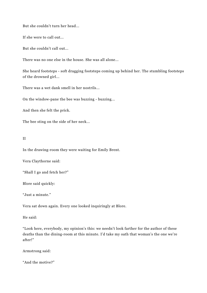But she couldn't turn her head...

If she were to call out...

But she couldn't call out...

There was no one else in the house. She was all alone...

She heard footsteps - soft dragging footsteps coming up behind her. The stumbling footsteps of the drowned girl...

There was a wet dank smell in her nostrils...

On the window-pane the bee was buzzing - buzzing...

And then she felt the prick.

The bee sting on the side of her neck...

II

In the drawing-room they were waiting for Emily Brent.

Vera Claythorne said:

"Shall I go and fetch her?"

Blore said quickly:

"Just a minute."

Vera sat down again. Every one looked inquiringly at Blore.

He said:

"Look here, everybody, my opinion's this: we needn't look farther for the author of these deaths than the dining-room at this minute. I'd take my oath that woman's the one we're after!"

Armstrong said:

"And the motive?"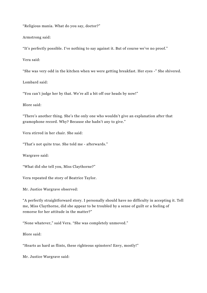"Religious mania. What do you say, doctor?"

Armstrong said:

"It's perfectly possible. I've nothing to say against it. But of course we've no proof."

Vera said:

"She was very odd in the kitchen when we were getting breakfast. Her eyes -" She shivered.

Lombard said:

"You can't judge her by that. We're all a bit off our heads by now!"

Blore said:

"There's another thing. She's the only one who wouldn't give an explanation after that gramophone record. Why? Because she hadn't any to give."

Vera stirred in her chair. She said:

"That's not quite true. She told me - afterwards."

Wargrave said:

"What did she tell you, Miss Claythorne?"

Vera repeated the story of Beatrice Taylor.

Mr. Justice Wargrave observed:

"A perfectly straightforward story. I personally should have no difficulty in accepting it. Tell me, Miss Claythorne, did she appear to be troubled by a sense of guilt or a feeling of remorse for her attitude in the matter?"

"None whatever," said Vera. "She was completely unmoved."

Blore said:

"Hearts as hard as flints, these righteous spinsters! Envy, mostly!"

Mr. Justice Wargrave said: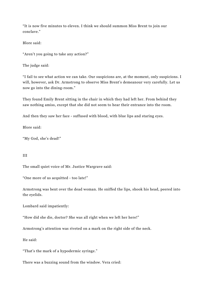"It is now five minutes to eleven. I think we should summon Miss Brent to join our conclave."

Blore said:

"Aren't you going to take any action?"

The judge said:

"I fail to see what action we can take. Our suspicions are, at the moment, only suspicions. I will, however, ask Dr. Armstrong to observe Miss Brent's demeanour very carefully. Let us now go into the dining-room."

They found Emily Brent sitting in the chair in which they had left her. From behind they saw nothing amiss, except that she did not seem to hear their entrance into the room.

And then they saw her face - suffused with blood, with blue lips and staring eyes.

Blore said:

"My God, she's dead!"

### III

The small quiet voice of Mr. Justice Wargrave said:

"One more of us acquitted - too late!"

Armstrong was bent over the dead woman. He sniffed the lips, shook his head, peered into the eyelids.

Lombard said impatiently:

"How did she die, doctor? She was all right when we left her here!"

Armstrong's attention was riveted on a mark on the right side of the neck.

He said:

"That's the mark of a hypodermic syringe."

There was a buzzing sound from the window. Vera cried: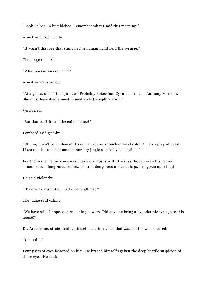"Look - a bee - a bumblebee. Remember what I said this morning!"

Armstrong said grimly:

"It wasn't that bee that stung her! A human hand held the syringe."

The judge asked:

"What poison was injected?"

Armstrong answered:

"At a guess, one of the cyanides. Probably Potassium Cyanide, same as Anthony Marston. She must have died almost immediately by asphyxiation."

Vera cried:

"But that bee? It can't be coincidence?"

Lombard said grimly:

"Oh, no, it isn't coincidence! It's our murderer's touch of local colour! He's a playful beast. Likes to stick to his damnable nursery jingle as closely as possible'"

For the first time his voice was uneven, almost shrill. It was as though even his nerves, seasoned by a long career of hazards and dangerous undertakings, had given out at last.

He said violently:

"It's mad! - absolutely mad - we're all mad!"

The judge said calmly:

"We have still, I hope, our reasoning powers. Did any one bring a hypodermic syringe to this house?"

Dr. Armstrong, straightening himself, said in a voice that was not too well assured:

"Yes, I did."

Four pairs of eyes fastened on him. He braced himself against the deep hostile suspicion of those eyes. He said: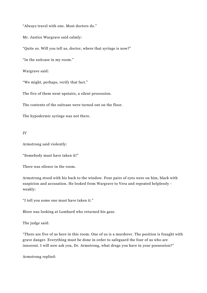"Always travel with one. Most doctors do."

Mr. Justice Wargrave said calmly:

"Quite so. Will you tell us, doctor, where that syringe is now?"

"In the suitcase in my room."

Wargrave said:

"We might, perhaps, verify that fact."

The five of them went upstairs, a silent procession.

The contents of the suitcase were turned out on the floor.

The hypodermic syringe was not there.

#### IV

Armstrong said violently:

"Somebody must have taken it!"

There was silence in the room.

Armstrong stood with his back to the window. Four pairs of eyes were on him, black with suspicion and accusation. He looked from Wargrave to Vera and repeated helplessly weakly:

"I tell you some one must have taken it."

Blore was looking at Lombard who returned his gaze.

The judge said:

"There are five of us here in this room. One of us is a murderer. The position is fraught with grave danger. Everything must be done in order to safeguard the four of us who are innocent. I will now ask you, Dr. Armstrong, what drugs you have in your possession?"

Armstrong replied: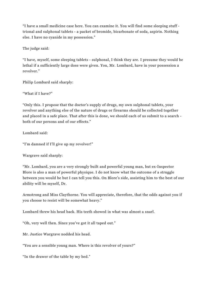"I have a small medicine case here. You can examine it. You will find some sleeping stuff trional and sulphonal tablets - a packet of bromide, bicarbonate of soda, aspirin. Nothing else. I have no cyanide in my possession."

The judge said:

"I have, myself, some sleeping tablets - sulphonal, I think they are. I presume they would be lethal if a sufficiently large dose were given. You, Mr. Lombard, have in your possession a revolver."

Philip Lombard said sharply:

"What if I have?"

"Only this. I propose that the doctor's supply of drugs, my own sulphonal tablets, your revolver and anything else of the nature of drugs or firearms should be collected together and placed in a safe place. That after this is done, we should each of us submit to a search both of our persons and of our effects."

Lombard said:

"I'm damned if I'll give up my revolver!"

Wargrave said sharply:

"Mr. Lombard, you are a very strongly built and powerful young man, but ex-Inspector Blore is also a man of powerful physique. I do not know what the outcome of a struggle between you would be but I can tell you this. On Blore's side, assisting him to the best of our ability will be myself, Dr.

Armstrong and Miss Claythorne. You will appreciate, therefore, that the odds against you if you choose to resist will be somewhat heavy."

Lombard threw his head back. His teeth showed in what was almost a snarl.

"Oh, very well then. Since you've got it all taped out."

Mr. Justice Wargrave nodded his head.

"You are a sensible young man. Where is this revolver of yours?"

"In the drawer of the table by my bed."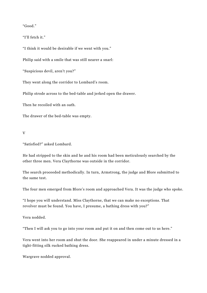"Good."

"I'll fetch it."

"I think it would be desirable if we went with you."

Philip said with a smile that was still nearer a snarl:

"Suspicious devil, aren't you?"

They went along the corridor to Lombard's room.

Philip strode across to the bed-table and jerked open the drawer.

Then he recoiled with an oath.

The drawer of the bed-table was empty.

V

"Satisfied?" asked Lombard.

He had stripped to the skin and he and his room had been meticulously searched by the other three men. Vera Claythorne was outside in the corridor.

The search proceeded methodically. In turn, Armstrong, the judge and Blore submitted to the same test.

The four men emerged from Blore's room and approached Vera. It was the judge who spoke.

"I hope you will understand. Miss Claythorne, that we can make no exceptions. That revolver must be found. You have, I presume, a bathing dress with you?"

Vera nodded.

"Then I will ask you to go into your room and put it on and then come out to us here."

Vera went into her room and shut the door. She reappeared in under a minute dressed in a tight-fitting silk rucked bathing dress.

Wargrave nodded approval.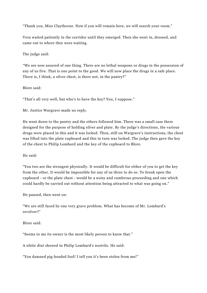"Thank you, Miss Claythorne. Now if you will remain here, we will search your room."

Vera waited patiently in the corridor until they emerged. Then she went in, dressed, and came out to where they were waiting.

The judge said:

"We are now assured of one thing. There are no lethal weapons or drugs in the possession of any of us five. That is one point to the good. We will now place the drugs in a safe place. There is, I think, a silver chest, is there not, in the pantry?"

Blore said:

"That's all very well, but who's to have the key? You, I suppose."

Mr. Justice Wargrave made no reply.

He went down to the pantry and the others followed him. There was a small case there designed for the purpose of holding silver and plate. By the judge's directions, the various drugs were placed in this and it was locked. Then, still on Wargrave's instructions, the chest was lifted into the plate cupboard and this in turn was locked. The judge then gave the key of the chest to Philip Lombard and the key of the cupboard to Blore.

He said:

"You two are the strongest physically. It would be difficult for either of you to get the key from the other. It would be impossible for any of us three to do so. To break open the cupboard - or the plate chest - would be a noisy and cumbrous proceeding and one which could hardly be carried out without attention being attracted to what was going on."

He paused, then went on:

"We are still faced by one very grave problem. What has become of Mr. Lombard's revolver?"

Blore said:

"Seems to me its owner is the most likely person to know that."

A white dint showed in Philip Lombard's nostrils. He said:

"You damned pig-headed fool! I tell you it's been stolen from me!"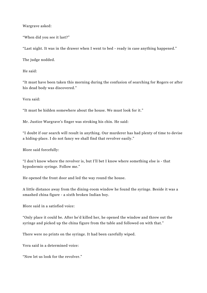Wargrave asked:

"When did you see it last?"

"Last night. It was in the drawer when I went to bed - ready in case anything happened."

The judge nodded.

He said:

"It must have been taken this morning during the confusion of searching for Rogers or after his dead body was discovered."

Vera said:

"It must be hidden somewhere about the house. We must look for it."

Mr. Justice Wargrave's finger was stroking his chin. He said:

"I doubt if our search will result in anything. Our murderer has had plenty of time to devise a hiding-place. I do not fancy we shall find that revolver easily."

Blore said forcefully:

"I don't know where the revolver is, but I'll bet I know where something else is - that hypodermic syringe. Follow me."

He opened the front door and led the way round the house.

A little distance away from the dining-room window he found the syringe. Beside it was a smashed china figure - a sixth broken Indian boy.

Blore said in a satisfied voice:

"Only place it could be. After he'd killed her, he opened the window and threw out the syringe and picked up the china figure from the table and followed on with that."

There were no prints on the syringe. It had been carefully wiped.

Vera said in a determined voice:

"Now let us look for the revolver."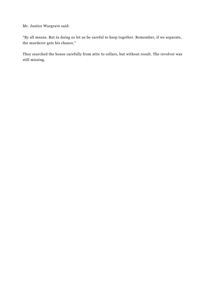Mr. Justice Wargrave said:

"By all means. But in doing so let us be careful to keep together. Remember, if we separate, the murderer gets his chance."

They searched the house carefully from attic to cellars, but without result. The revolver was still missing.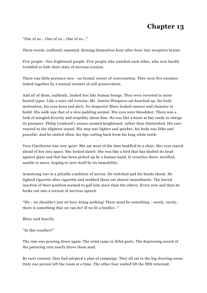# Chapter 13

"One of us... One of us... One of us..."

Three words, endlessly repeated, dinning themselves hour after hour into receptive brains.

Five people - five frightened people. Five people who watched each other, who now hardly troubled to hide their state of nervous tension.

There was little pretence now - no formal veneer of conversation. They were five enemies linked together by a mutual instinct of self-preservation.

And all of them, suddenly, looked less like human beings. They were reverted to more bestial types. Like a wary old tortoise, Mr. Justice Wargrave sat hunched up, his body motionless, his eyes keen and alert. Ex-Inspector Blore looked coarser and clumsier in build. His walk was that of a slow padding animal. His eyes were bloodshot. There was a look of mingled ferocity and stupidity about him. He was like a beast at bay ready to charge its pursuers. Philip Lombard's senses seemed heightened, rather than diminished. His ears reacted to the slightest sound. His step was lighter and quicker, his body was lithe and graceful. And he smiled often, his lips curling back from his long white teeth.

Vera Claythorne was very quiet. She sat most of the time huddled in a chair. Her eyes stared ahead of her into space. She looked dazed. She was like a bird that has dashed its head against glass and that has been picked up by a human hand. It crouches there, terrified, unable to move, hoping to save itself by its immobility.

Armstrong was in a pitiable condition of nerves. He twitched and his hands shook. He lighted cigarette after cigarette and stubbed them out almost immediately. The forced inaction of their position seemed to gall him more than the others. Every now and then he broke out into a torrent of nervous speech.

"We - we shouldn't just sit here doing nothing! There must be something - surely, surely, there is something that we can do? If we lit a bonfire -"

Blore said heavily:

"In this weather?"

The rain was pouring down again. The wind came in fitful gusts. The depressing sound of the pattering rain nearly drove them mad.

By tacit consent, they had adopted a plan of campaign. They all sat in the big drawing-room. Only one person left the room at a time. The other four waited till the fifth returned.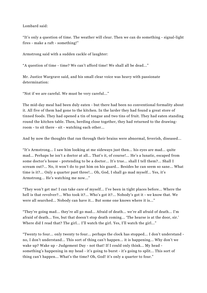Lombard said:

"It's only a question of time. The weather will clear. Then we can do something - signal-light fires - make a raft - something!"

Armstrong said with a sudden cackle of laughter:

"A question of time - time? We can't afford time! We shall all be dead..."

Mr. Justice Wargrave said, and his small clear voice was heavy with passionate determination:

"Not if we are careful. We must be very careful..."

The mid-day meal had been duly eaten - but there had been no conventional formality about it. All five of them had gone to the kitchen. In the larder they had found a great store of tinned foods. They had opened a tin of tongue and two tins of fruit. They had eaten standing round the kitchen table. Then, herding close together, they had returned to the drawingroom - to sit there - sit - watching each other...

And by now the thoughts that ran through their brains were abnormal, feverish, diseased...

"It's Armstrong... I saw him looking at me sideways just then... his eyes are mad... quite mad... Perhaps he isn't a doctor at all... That's it, of course!... He's a lunatic, escaped from some doctor's house - pretending to be a doctor... It's true... shall I tell them?... Shall I scream out?... No, it won't do to put him on his guard... Besides he can seem so sane... What time is it?... Only a quarter past three!... Oh, God, I shall go mad myself... Yes, it's Armstrong... He's watching me now..."

"They won't get me! I can take care of myself... I've been in tight places before... Where the hell is that revolver?... Who took it?... Who's got it?... Nobody's got it - we know that. We were all searched... Nobody can have it... But some one knows where it is..."

"They're going mad... they're all go mad... Afraid of death... we're all afraid of death... I'm afraid of death... Yes, but that doesn't stop death coming... 'The hearse is at the door, sir.' Where did I read that? The girl... I'll watch the girl. Yes, I'll watch the girl..."

"Twenty to four... only twenty to four... perhaps the clock has stopped... I don't understand no, I don't understand... This sort of thing can't happen... it is happening... Why don't we wake up? Wake up - Judgement Day - not that! If I could only think... My head something's happening in my head - it's going to burst - it's going to split... This sort of thing can't happen... What's the time? Oh, God! it's only a quarter to four."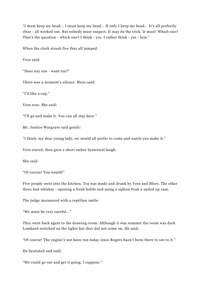"I must keep my head... I must keep my head... If only I keep my head... It's all perfectly clear - all worked out. But nobody must suspect. It may do the trick. It must! Which one? That's the question - which one? I think - yes, I rather think - yes - him."

When the clock struck five they all jumped.

Vera said:

"Does any one - want tea?"

There was a moment's silence. Blore said:

"I'd like a cup."

Vera rose. She said:

"I'll go and make it. You can all stay here."

Mr. Justice Wargrave said gently:

"I think, my dear young lady, we would all prefer to come and watch you make it."

Vera stared, then gave a short rather hysterical laugh.

She said:

"Of course! You would!"

Five people went into the kitchen. Tea was made and drunk by Vera and Blore. The other three had whiskey - opening a fresh bottle and using a siphon from a nailed up case.

The judge murmured with a reptilian smile:

"We must be very careful..."

They went back again to the drawing-room. Although it was summer the room was dark. Lombard switched on the lights but they did not come on. He said:

"Of course! The engine's not been run today since Rogers hasn't been there to see to it."

He hesitated and said:

"We could go out and get it going, I suppose."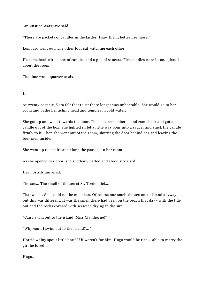Mr. Justice Wargrave said:

"There are packets of candles in the larder, I saw them, better use those."

Lombard went out. The other four sat watching each other.

He came back with a box of candles and a pile of saucers. Five candles were lit and placed about the room.

The time was a quarter to six.

II

At twenty past six, Vera felt that to sit there longer was unbearable. She would go to her room and bathe her aching head and temples in cold water.

She got up and went towards the door. Then she remembered and came back and got a candle out of the box. She lighted it, let a little wax pour into a saucer and stuck the candle firmly to it. Then she went out of the room, shutting the door behind her and leaving the four men inside.

She went up the stairs and along the passage to her room.

As she opened her door, she suddenly halted and stood stock still.

Her nostrils quivered.

The sea... The smell of the sea at St. Tredennick...

That was it. She could not be mistaken. Of course one smelt the sea on an island anyway, but this was different. It was the smell there had been on the beach that day - with the tide out and the rocks covered with seaweed drying in the sun.

"Can I swim out to the island, Miss Claythorne?"

"Why can't I swim out to the island?..."

Horrid whiny spoilt little brat! If it weren't for him, Hugo would be rich... able to marry the girl he loved...

Hugo...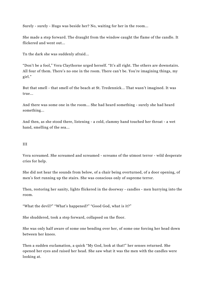Surely - surely - Hugo was beside her? No, waiting for her in the room...

She made a step forward. The draught from the window caught the flame of the candle. It flickered and went out...

Tn the dark she was suddenly afraid...

"Don't be a fool," Vera Claythorne urged herself. "It's all right. The others are downstairs. All four of them. There's no one in the room. There can't be. You're imagining things, my girl."

But that smell - that smell of the beach at St. Tredennick... That wasn't imagined. It was true...

And there was some one in the room... She had heard something - surely she had heard something...

And then, as she stood there, listening - a cold, clammy hand touched her throat - a wet hand, smelling of the sea...

## III

Vera screamed. She screamed and screamed - screams of the utmost terror - wild desperate cries for help.

She did not hear the sounds from below, of a chair being overturned, of a door opening, of men's feet running up the stairs. She was conscious only of supreme terror.

Then, restoring her sanity, lights flickered in the doorway - candles - men hurrying into the room.

"What the devil?" "What's happened?" "Good God, what is it?"

She shuddered, took a step forward, collapsed on the floor.

She was only half aware of some one bending over her, of some one forcing her head down between her knees.

Then a sudden exclamation, a quick "My God, look at that!" her senses returned. She opened her eyes and raised her head. She saw what it was the men with the candles were looking at.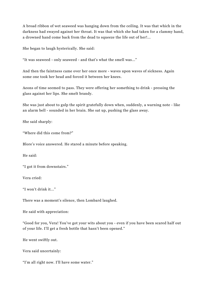A broad ribbon of wet seaweed was hanging down from the ceiling. It was that which in the darkness had swayed against her throat. It was that which she had taken for a clammy hand, a drowned hand come back from the dead to squeeze the life out of her!...

She began to laugh hysterically. She said:

"It was seaweed - only seaweed - and that's what the smell was..."

And then the faintness came over her once more - waves upon waves of sickness. Again some one took her head and forced it between her knees.

Aeons of time seemed to pass. They were offering her something to drink - pressing the glass against her lips. She smelt brandy.

She was just about to gulp the spirit gratefully down when, suddenly, a warning note - like an alarm bell - sounded in her brain. She sat up, pushing the glass away.

She said sharply:

"Where did this come from?"

Blore's voice answered. He stared a minute before speaking.

He said:

"I got it from downstairs."

Vera cried:

"I won't drink it..."

There was a moment's silence, then Lombard laughed.

He said with appreciation:

"Good for you, Vera! You've got your wits about you - even if you have been scared half out of your life. I'll get a fresh bottle that hasn't been opened."

He went swiftly out.

Vera said uncertainly:

"I'm all right now. I'll have some water."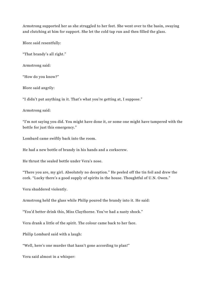Armstrong supported her as she struggled to her feet. She went over to the basin, swaying and clutching at him for support. She let the cold tap run and then filled the glass.

Blore said resentfully:

"That brandy's all right."

Armstrong said:

"How do you know?"

Blore said angrily:

"I didn't put anything in it. That's what you're getting at, I suppose."

Armstrong said:

"I'm not saying you did. You might have done it, or some one might have tampered with the bottle for just this emergency."

Lombard came swiftly back into the room.

He had a new bottle of brandy in his hands and a corkscrew.

He thrust the sealed bottle under Vera's nose.

"There you are, my girl. Absolutely no deception." He peeled off the tin foil and drew the cork. "Lucky there's a good supply of spirits in the house. Thoughtful of U.N. Owen."

Vera shuddered violently.

Armstrong held the glass while Philip poured the brandy into it. He said:

"You'd better drink this, Miss Claythorne. You've had a nasty shock."

Vera drank a little of the spirit. The colour came back to her face.

Philip Lombard said with a laugh:

"Well, here's one murder that hasn't gone according to plan!"

Vera said almost in a whisper: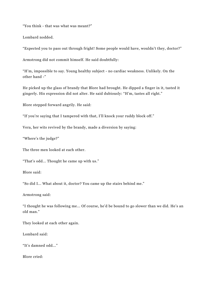"You think - that was what was meant?"

Lombard nodded.

"Expected you to pass out through fright! Some people would have, wouldn't they, doctor?"

Armstrong did not commit himself. He said doubtfully:

"H'm, impossible to say. Young healthy subject - no cardiac weakness. Unlikely. On the other hand -"

He picked up the glass of brandy that Blore had brought. He dipped a finger in it, tasted it gingerly. His expression did not alter. He said dubiously: "H'm, tastes all right."

Blore stepped forward angrily. He said:

"If you're saying that I tampered with that, I'll knock your ruddy block off."

Vera, her wits revived by the brandy, made a diversion by saying:

"Where's the judge?"

The three men looked at each other.

"That's odd... Thought he came up with us."

Blore said:

"So did I... What about it, doctor? You came up the stairs behind me."

Armstrong said:

"I thought he was following me... Of course, he'd be bound to go slower than we did. He's an old man."

They looked at each other again.

Lombard said:

"It's damned odd..."

Blore cried: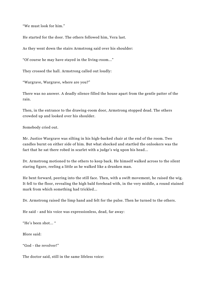"We must look for him."

He started for the door. The others followed him, Vera last.

As they went down the stairs Armstrong said over his shoulder:

"Of course he may have stayed in the living-room..."

They crossed the hall. Armstrong called out loudly:

"Wargrave, Wargrave, where are you?"

There was no answer. A deadly silence filled the house apart from the gentle patter of the rain.

Then, in the entrance to the drawing-room door, Armstrong stopped dead. The others crowded up and looked over his shoulder.

Somebody cried out.

Mr. Justice Wargrave was silting in his high-backed chair at the end of the room. Two candles burnt on either side of him. But what shocked and startled the onlookers was the fact that he sat there robed in scarlet with a judge's wig upon his head...

Dr. Armstrong motioned to the others to keep back. He himself walked across to the silent staring figure, reeling a little as he walked like a drunken man.

He bent forward, peering into the still face. Then, with a swift movement, he raised the wig. It fell to the floor, revealing the high bald forehead with, in the very middle, a round stained mark from which something had trickled...

Dr. Armstrong raised the limp hand and felt for the pulse. Then he turned to the others.

He said - and his voice was expressionless, dead, far away:

"He's been shot... "

Blore said:

"God - the revolver!"

The doctor said, still in the same lifeless voice: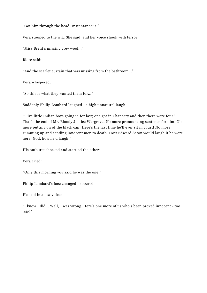"Got him through the head. Instantaneous."

Vera stooped to the wig. She said, and her voice shook with terror:

"Miss Brent's missing grey wool..."

Blore said:

"And the scarlet curtain that was missing from the bathroom..."

Vera whispered:

"So this is what they wanted them for..."

Suddenly Philip Lombard laughed - a high unnatural laugh.

"'Five little Indian boys going in for law; one got in Chancery and then there were four.' That's the end of Mr. Bloody Justice Wargrave. No more pronouncing sentence for him! No more putting on of the black cap! Here's the last time he'll ever sit in court! No more summing up and sending innocent men to death. How Edward Seton would laugh if he were here! God, how he'd laugh!"

His outburst shocked and startled the others.

Vera cried:

"Only this morning you said he was the one!"

Philip Lombard's face changed - sobered.

He said in a low voice:

"I know I did... Well, I was wrong. Here's one more of us who's been proved innocent - too late!"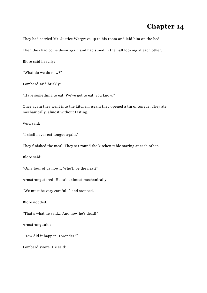# Chapter 14

They had carried Mr. Justice Wargrave up to his room and laid him on the bed.

Then they had come down again and had stood in the hall looking at each other.

Blore said heavily:

"What do we do now?"

Lombard said briskly:

"Have something to eat. We've got to eat, you know."

Once again they went into the kitchen. Again they opened a tin of tongue. They ate mechanically, almost without tasting.

Vera said:

"I shall never eat tongue again."

They finished the meal. They sat round the kitchen table staring at each other.

Blore said:

"Only four of us now... Who'll be the next?"

Armstrong stared. He said, almost mechanically:

"We must be very careful -" and stopped.

Blore nodded.

"That's what he said... And now he's dead!"

Armstrong said:

"How did it happen, I wonder?"

Lombard swore. He said: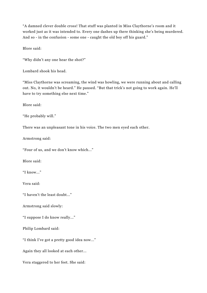"A damned clever double cross! That stuff was planted in Miss Claythorne's room and it worked just as it was intended to. Every one dashes up there thinking she's being murdered. And so - in the confusion - some one - caught the old boy off his guard."

Blore said:

"Why didn't any one hear the shot?"

Lombard shook his head.

"Miss Claythorne was screaming, the wind was howling, we were running about and calling out. No, it wouldn't be heard." He paused. "But that trick's not going to work again. He'll have to try something else next time."

Blore said:

"He probably will."

There was an unpleasant tone in his voice. The two men eyed each other.

Armstrong said:

"Four of us, and we don't know which..."

Blore said:

"I know..."

Vera said:

"I haven't the least doubt..."

Armstrong said slowly:

"I suppose I do know really..."

Philip Lombard said:

"I think I've got a pretty good idea now..."

Again they all looked at each other...

Vera staggered to her feet. She said: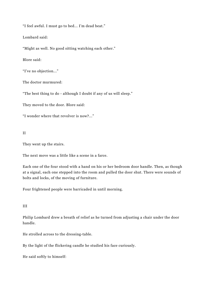"I feel awful. I must go to bed... I'm dead beat."

Lombard said:

"Might as well. No good sitting watching each other."

Blore said:

"I've no objection..."

The doctor murmured:

"The best thing to do - although I doubt if any of us will sleep."

They moved to the door. Blore said:

"I wonder where that revolver is now?..."

II

They went up the stairs.

The next move was a little like a scene in a farce.

Each one of the four stood with a hand on his or her bedroom door handle. Then, as though at a signal, each one stepped into the room and pulled the door shut. There were sounds of bolts and locks, of the moving of furniture.

Four frightened people were barricaded in until morning.

### III

Philip Lombard drew a breath of relief as he turned from adjusting a chair under the door handle.

He strolled across to the dressing-table.

By the light of the flickering candle he studied his face curiously.

He said softly to himself: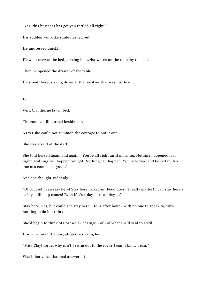"Yes, this business has got you rattled all right."

His sudden wolf-like smile flashed out.

He undressed quickly.

He went over to the bed, placing his wrist-watch on the table by the bed.

Then he opened the drawer of the table.

He stood there, staring down at the revolver that was inside it...

IV

Vera Claythorne lay in bed.

The candle still burned beside her.

As yet she could not summon the courage to put it out.

She was afraid of the dark...

She told herself again and again: "You're all right until morning. Nothing happened last night. Nothing will happen tonight. Nothing can happen. You're locked and bolted in. No one can come near you..."

And she thought suddenly:

"Of course! I can stay here! Stay here locked in! Food doesn't really matter! I can stay here safely - till help comes! Even if it's a day - or two days..."

Stay here. Yes, but could she stay here? Hour after hour - with no one to speak to, with nothing to do but think...

She'd begin to think of Cornwall - of Hugo - of - of what she'd said to Cyril.

Horrid whiny little boy, always pestering her...

"Miss Claythorne, why can't I swim out to the rock? I can. I know I can."

Was it her voice that had answered?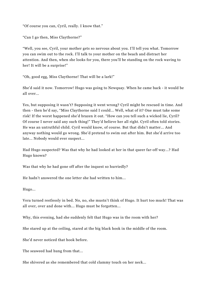"Of course you can, Cyril, really. I know that."

"Can I go then, Miss Claythorne?"

"Well, you see, Cyril, your mother gets so nervous about you. I'll tell you what. Tomorrow you can swim out to the rock. I'll talk to your mother on the beach and distract her attention. And then, when she looks for you, there you'll be standing on the rock waving to her! It will be a surprise!"

"Oh, good egg, Miss Claythorne! That will be a lark!"

She'd said it now. Tomorrow! Hugo was going to Newquay. When he came back - it would be all over...

Yes, but supposing it wasn't? Supposing it went wrong? Cyril might be rescued in time. And then - then he'd say, "Miss Claythorne said I could... Well, what of it? One must take some risk! If the worst happened she'd brazen it out. "How can you tell such a wicked lie, Cyril? Of course I never said any such thing!" They'd believe her all right. Cyril often told stories. He was an untruthful child. Cyril would know, of course. But that didn't matter... And anyway nothing would go wrong. She'd pretend to swim out after him. But she'd arrive too late... Nobody would ever suspect...

Had Hugo suspected? Was that why he had looked at her in that queer far-off way...? Had Hugo known?

Was that why he had gone off after the inquest so hurriedly?

He hadn't answered the one letter she had written to him...

Hugo...

Vera turned restlessly in bed. No, no, she mustn't think of Hugo. It hurt too much! That was all over, over and done with... Hugo must be forgotten...

Why, this evening, had she suddenly felt that Hugo was in the room with her?

She stared up at the ceiling, stared at the big black hook in the middle of the room.

She'd never noticed that hook before.

The seaweed had hung from that...

She shivered as she remembered that cold clammy touch on her neck...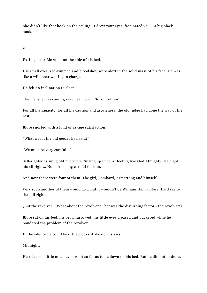She didn't like that hook on the ceiling. It drew your eyes, fascinated you... a big black hook...

V

Ex-Inspector Blore sat on the side of his bed.

His small eyes, red-rimmed and bloodshot, were alert in the solid mass of his face. He was like a wild boar waiting to charge.

He felt no inclination to sleep.

The menace was coming very near now... Six out of ten!

For all his sagacity, for all his caution and astuteness, the old judge had gone the way of the rest.

Blore snorted with a kind of savage satisfaction.

"What was it the old geezer had said?"

"We must be very careful..."

Self-righteous smug old hypocrite. Sitting up in court feeling like God Almighty. He'd got his all right... No more being careful for him.

And now there were four of them. The girl, Lombard, Armstrong and himself.

Very soon another of them would go... But it wouldn't be William Henry Blore. He'd see to that all right.

(But the revolver... What about the revolver? That was the disturbing factor - the revolver!)

Blore sat on his bed, his brow furrowed, his little eyes creased and puckered while he pondered the problem of the revolver...

In the silence he could hear the clocks strike downstairs.

Midnight.

He relaxed a little now - even went so far as to lie down on his bed. But he did not undress.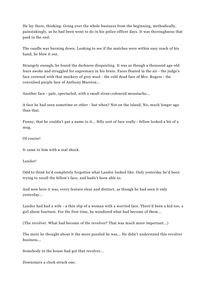He lay there, thinking. Going over the whole business from the beginning, methodically, painstakingly, as he had been wont to do in his police officer days. It was thoroughness that paid in the end.

The candle was burning down. Looking to see if the matches were within easy reach of his hand, he blew it out.

Strangely enough, he found the darkness disquieting. It was as though a thousand age-old fears awoke and struggled for supremacy in his brain. Faces floated in the air - the judge's face crowned with that mockery of grey wool - the cold dead face of Mrs. Rogers - the convulsed purple face of Anthony Marston...

Another face - pale, spectacled, with a small straw-coloured moustache...

A face he had seen sometime or other - but when? Not on the island. No, much longer ago than that.

Funny, that he couldn't put a name to it... Silly sort of face really - fellow looked a bit of a mug.

Of course!

It came to him with a real shock.

Landor!

Odd to think he'd completely forgotten what Landor looked like. Only yesterday he'd been trying to recall the fellow's face, and hadn't been able to.

And now here it was, every feature clear and distinct, as though he had seen it only yesterday...

Landor had had a wife - a thin slip of a woman with a worried face. There'd been a kid too, a girl about fourteen. For the first time, he wondered what had become of them...

(The revolver. What had become of the revolver? That was much more important...)

The more he thought about it the more puzzled he was... He didn't understand this revolver business...

Somebody in the house had got that revolver...

Downstairs a clock struck one.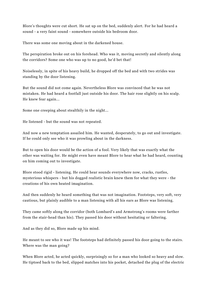Blore's thoughts were cut short. He sat up on the bed, suddenly alert. For he had heard a sound - a very faint sound - somewhere outside his bedroom door.

There was some one moving about in the darkened house.

The perspiration broke out on his forehead. Who was it, moving secretly and silently along the corridors? Some one who was up to no good, he'd bet that!

Noiselessly, in spite of his heavy build, he dropped off the bed and with two strides was standing by the door listening.

But the sound did not come again. Nevertheless Blore was convinced that he was not mistaken. He had heard a footfall just outside his door. The hair rose slightly on his scalp. He knew fear again...

Some one creeping about stealthily in the night...

He listened - but the sound was not repeated.

And now a new temptation assailed him. He wanted, desperately, to go out and investigate. If he could only see who it was prowling about in the darkness.

But to open his door would be the action of a fool. Very likely that was exactly what the other was waiting for. He might even have meant Blore to hear what he had heard, counting on him coming out to investigate.

Blore stood rigid - listening. He could hear sounds everywhere now, cracks, rustles, mysterious whispers - but his dogged realistic brain knew them for what they were - the creations of his own heated imagination.

And then suddenly he heard something that was not imagination. Footsteps, very soft, very cautious, but plainly audible to a man listening with all his ears as Blore was listening.

They came softly along the corridor (both Lombard's and Armstrong's rooms were farther from the stair-head than his). They passed his door without hesitating or faltering.

And as they did so, Blore made up his mind.

He meant to see who it was! The footsteps had definitely passed his door going to the stairs. Where was the man going?

When Blore acted, he acted quickly, surprisingly so for a man who looked so heavy and slow. He tiptoed back to the bed, slipped matches into his pocket, detached the plug of the electric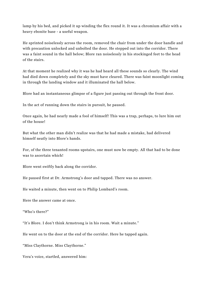lamp by his bed, and picked it up winding the flex round it. It was a chromium affair with a heavy ebonite base - a useful weapon.

He sprinted noiselessly across the room, removed the chair from under the door handle and with precaution unlocked and unbolted the door. He stepped out into the corridor. There was a faint sound in the hall below; Blore ran noiselessly in his stockinged feet to the head of the stairs.

At that moment he realized why it was he had heard all these sounds so clearly. The wind had died down completely and the sky must have cleared. There was faint moonlight coming in through the landing window and it illuminated the hall below.

Blore had an instantaneous glimpse of a figure just passing out through the front door.

In the act of running down the stairs in pursuit, he paused.

Once again, he had nearly made a fool of himself! This was a trap, perhaps, to lure him out of the house!

But what the other man didn't realize was that he had made a mistake, had delivered himself neatly into Blore's hands.

For, of the three tenanted rooms upstairs, one must now be empty. All that had to be done was to ascertain which!

Blore went swiftly back along the corridor.

He paused first at Dr. Armstrong's door and tapped. There was no answer.

He waited a minute, then went on to Philip Lombard's room.

Here the answer came at once.

"Who's there?"

"It's Blore. I don't think Armstrong is in his room. Wait a minute."

He went on to the door at the end of the corridor. Here he tapped again.

"Miss Claythorne. Miss Claythorne."

Vera's voice, startled, answered him: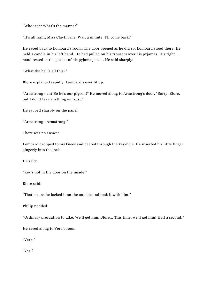"Who is it? What's the matter?"

"It's all right, Miss Claythorne. Wait a minute. I'll come back."

He raced back to Lombard's room. The door opened as he did so. Lombard stood there. He held a candle in his left hand. He had pulled on his trousers over his pyjamas. His right hand rested in the pocket of his pyjama jacket. He said sharply:

"What the hell's all this?"

Blore explained rapidly. Lombard's eyes lit up.

"Armstrong - eh? So he's our pigeon!" He moved along to Armstrong's door. "Sorry, Blore, but I don't take anything on trust."

He rapped sharply on the panel.

```
"Armstrong - Armstrong."
```
There was no answer.

Lombard dropped to his knees and peered through the key-hole. He inserted his little finger gingerly into the lock.

He said:

"Key's not in the door on the inside."

Blore said:

"That means he locked it on the outside and took it with him."

Philip nodded:

"Ordinary precaution to take. We'll get him, Blore... This time, we'll get him! Half a second."

He raced along to Vera's room.

"Vera."

"Yes."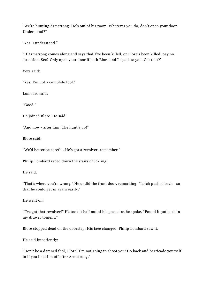"We're hunting Armstrong. He's out of his room. Whatever you do, don't open your door. Understand?"

"Yes, I understand."

"If Armstrong comes along and says that I've been killed, or Blore's been killed, pay no attention. See? Only open your door if both Blore and I speak to you. Got that?"

Vera said:

"Yes. I'm not a complete fool."

Lombard said:

"Good."

He joined Blore. He said:

"And now - after him! The hunt's up!"

Blore said:

"We'd better be careful. He's got a revolver, remember."

Philip Lombard raced down the stairs chuckling.

He said:

"That's where you're wrong." He undid the front door, remarking: "Latch pushed back - so that he could get in again easily."

He went on:

"I've got that revolver!" He took it half out of his pocket as he spoke. "Found it put back in my drawer tonight."

Blore stopped dead on the doorstep. His face changed. Philip Lombard saw it.

He said impatiently:

"Don't be a damned fool, Blore! I'm not going to shoot you! Go back and barricade yourself in if you like! I'm off after Armstrong."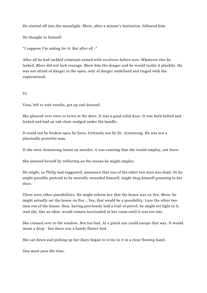He started off into the moonlight. Blore, after a minute's hesitation, followed him.

He thought to himself:

"I suppose I'm asking for it. But after all -"

After all he had tackled criminals armed with revolvers before now. Whatever else he lacked, Blore did not lack courage. Show him the danger and he would tackle it pluckily. He was not afraid of danger in the open, only of danger undefined and tinged with the supernatural.

## VI

Vera, left to wait results, got up and dressed.

She glanced over once or twice at the door. It was a good solid door. It was both bolted and locked and had an oak chair wedged under the handle.

It could not be broken open by force. Certainly not by Dr. Armstrong. He was not a physically powerful man.

If she were Armstrong intent on murder, it was cunning that she would employ, not force.

She amused herself by reflecting on the means he might employ.

He might, as Philip had suggested, announce that one of the other two men was dead. Or he might possibly pretend to be mortally wounded himself, might drag himself groaning to her door.

There were other possibilities. He might inform her that the house was on fire. More, he might actually set the house on fire... Yes, that would be a possibility. Lure the other two men out of the house, then, having previously laid a trail of petrol, he might set light to it. And she, like an idiot, would remain barricaded in her room until it was too late.

She crossed over to the window. Not too bad. At a pinch one could escape that way. It would mean a drop - but there was a handy flower-bed.

She sat down and picking up her diary began to write in it in a clear flowing hand.

One must pass the time.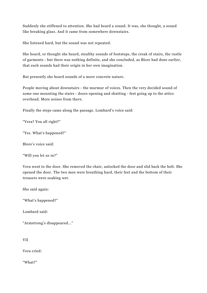Suddenly she stiffened to attention. She had heard a sound. It was, she thought, a sound like breaking glass. And it came from somewhere downstairs.

She listened hard, but the sound was not repeated.

She heard, or thought she heard, stealthy sounds of footsteps, the creak of stairs, the rustle of garments - but there was nothing definite, and she concluded, as Blore had done earlier, that such sounds had their origin in her own imagination.

But presently she heard sounds of a more concrete nature.

People moving about downstairs - the murmur of voices. Then the very decided sound of some one mounting the stairs - doors opening and shutting - feet going up to the attics overhead. More noises from there.

Finally the steps came along the passage. Lombard's voice said:

"Vera? You all right?"

"Yes. What's happened?"

Blore's voice said:

"Will you let us in?"

Vera went to the door. She removed the chair, unlocked the door and slid back the bolt. She opened the door. The two men were breathing hard, their feet and the bottom of their trousers were soaking wet.

She said again:

"What's happened?"

Lombard said:

"Armstrong's disappeared..."

VII

Vera cried:

"What?"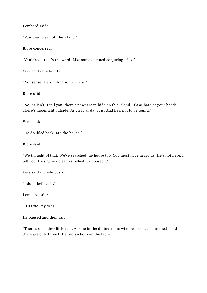Lombard said:

"Vanished clean off the island."

Blore concurred:

"Vanished - that's the word! Like some damned conjuring trick."

Vera said impatiently:

"Nonsense! He's hiding somewhere!"

Blore said:

"No, he isn't! I tell you, there's nowhere to hide on this island. It's as bare as your hand! There's moonlight outside. As clear as day it is. And he s not to be found."

Vera said:

"He doubled back into the house."

Blore said:

"We thought of that. We've searched the house too. You must have heard us. He's not here, I tell you. He's gone - clean vanished, vamoosed..."

Vera said incredulously:

"I don't believe it."

Lombard said:

"It's true, my dear."

He paused and then said:

"There's one other little fact. A pane in the dining-room window has been smashed - and there are only three little Indian boys on the table."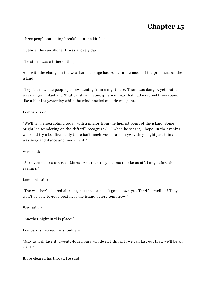## Chapter 15

Three people sat eating breakfast in the kitchen.

Outside, the sun shone. It was a lovely day.

The storm was a thing of the past.

And with the change in the weather, a change had come in the mood of the prisoners on the island.

They felt now like people just awakening from a nightmare. There was danger, yet, but it was danger in daylight. That paralyzing atmosphere of fear that had wrapped them round like a blanket yesterday while the wind howled outside was gone.

Lombard said:

"We'll try heliographing today with a mirror from the highest point of the island. Some bright lad wandering on the cliff will recognize SOS when he sees it, I hope. In the evening we could try a bonfire - only there isn't much wood - and anyway they might just think it was song and dance and merriment."

Vera said:

"Surely some one can read Morse. And then they'll come to take us off. Long before this evening."

Lombard said:

"The weather's cleared all right, but the sea hasn't gone down yet. Terrific swell on! They won't be able to get a boat near the island before tomorrow."

Vera cried:

"Another night in this place!"

Lombard shrugged his shoulders.

"May as well face it! Twenty-four hours will do it, I think. If we can last out that, we'll be all right."

Blore cleared his throat. He said: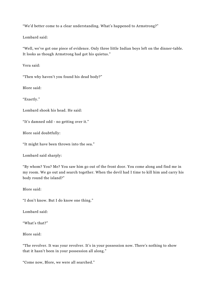"We'd better come to a clear understanding. What's happened to Armstrong?"

Lombard said:

"Well, we've got one piece of evidence. Only three little Indian boys left on the dinner-table. It looks as though Armstrong had got his quietus."

Vera said:

"Then why haven't you found his dead body?"

Blore said:

"Exactly."

Lombard shook his head. He said:

"It's damned odd - no getting over it."

Blore said doubtfully:

"It might have been thrown into the sea."

Lombard said sharply:

"By whom? You? Me? You saw him go out of the front door. You come along and find me in my room. We go out and search together. When the devil had I time to kill him and carry his body round the island?"

Blore said:

"I don't know. But I do know one thing."

Lombard said:

"What's that?"

Blore said:

"The revolver. It was your revolver. It's in your possession now. There's nothing to show that it hasn't been in your possession all along."

"Come now, Blore, we were all searched."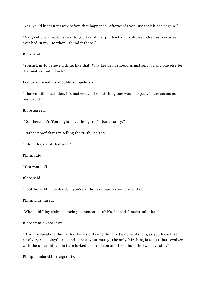"Yes, you'd hidden it away before that happened. Afterwards you just took it back again."

"My good blockhead, I swear to you that it was put back in my drawer. Greatest surprise I ever had in my life when I found it there."

Blore said:

"You ask us to believe a thing like that! Why the devil should Armstrong, or any one else for that matter, put it back?"

Lombard raised his shoulders hopelessly.

"I haven't the least idea. It's just crazy. The last thing one would expect. There seems no point in it."

Blore agreed.

"No, there isn't. You might have thought of a better story."

"Rather proof that I'm telling the truth, isn't it?"

"I don't look at it that way."

Philip said:

"You wouldn't."

Blore said:

"Look here, Mr. Lombard, if you're an honest man, as you pretend -"

Philip murmured:

"When did I lay claims to being an honest man? No, indeed, I never said that."

Blore went on stolidly:

"If you're speaking the truth - there's only one thing to be done. As long as you have that revolver, Miss Claythorne and I are at your mercy. The only fair thing is to put that revolver with the other things that are locked up - and you and I will hold the two keys still."

Philip Lombard lit a cigarette.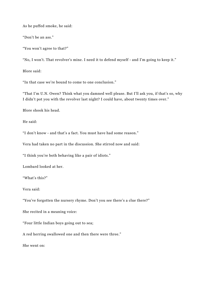As he puffed smoke, he said:

"Don't be an ass."

"You won't agree to that?"

"No, I won't. That revolver's mine. I need it to defend myself - and I'm going to keep it."

Blore said:

"In that case we're bound to come to one conclusion."

"That I'm U.N. Owen? Think what you damned well please. But I'll ask you, if that's so, why I didn't pot you with the revolver last night? I could have, about twenty times over."

Blore shook his head.

He said:

"I don't know - and that's a fact. You must have had some reason."

Vera had taken no part in the discussion. She stirred now and said:

"I think you're both behaving like a pair of idiots."

Lombard looked at her.

"What's this?"

Vera said:

"You've forgotten the nursery rhyme. Don't you see there's a clue there?"

She recited in a meaning voice:

"Four little Indian boys going out to sea;

A red herring swallowed one and then there were three."

She went on: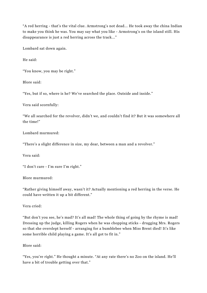"A red herring - that's the vital clue. Armstrong's not dead... He took away the china Indian to make you think he was. You may say what you like - Armstrong's on the island still. His disappearance is just a red herring across the track..."

Lombard sat down again.

He said:

"You know, you may be right."

Blore said:

"Yes, but if so, where is he? We've searched the place. Outside and inside."

Vera said scornfully:

"We all searched for the revolver, didn't we, and couldn't find it? But it was somewhere all the time!"

Lombard murmured:

"There's a slight difference in size, my dear, between a man and a revolver."

Vera said:

"I don't care - I'm sure I'm right."

Blore murmured:

"Rather giving himself away, wasn't it? Actually mentioning a red herring in the verse. He could have written it up a bit different."

Vera cried:

"But don't you see, he's mad? It's all mad! The whole thing of going by the rhyme is mad! Dressing up the judge, killing Rogers when he was chopping sticks - drugging Mrs. Rogers so that she overslept herself - arranging for a bumblebee when Miss Brent died! It's like some horrible child playing a game. It's all got to fit in."

Blore said:

"Yes, you're right." He thought a minute. "At any rate there's no Zoo on the island. He'll have a bit of trouble getting over that."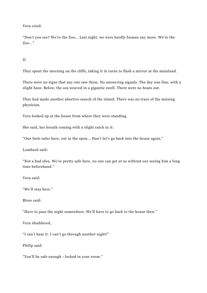Vera cried:

"Don't you see? We're the Zoo... Last night, we were hardly human any more. We're the Zoo..."

II

They spent the morning on the cliffs, taking it in turns to flash a mirror at the mainland.

There were no signs that any one saw them. No answering signals. The day was fine, with a slight haze. Below, the sea weaved in a gigantic swell. There were no boats out.

They had made another abortive search of the island. There was no trace of the missing physician.

Vera looked up at the house from where they were standing.

She said, her breath coming with a slight catch in it:

"One feels safer here, out in the open... Don't let's go back into the house again."

Lombard said:

"Not a bad idea. We're pretty safe here, no one can get at us without our seeing him a long time beforehand."

Vera said:

"We'll stay here."

Blore said:

"Have to pass the night somewhere. We'll have to go back to the house then."

Vera shuddered,

"I can't bear it. I can't go through another night!"

Philip said:

"You'll be safe enough - locked in your room."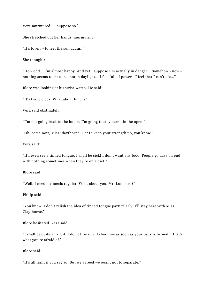Vera murmured: "I suppose so."

She stretched out her hands, murmuring:

"It's lovely - to feel the sun again..."

She thought:

"How odd... I'm almost happy. And yet I suppose I'm actually in danger... Somehow - now nothing seems to matter... not in daylight... I feel full of power - I feel that I can't die..."

Blore was looking at his wrist-watch. He said:

"It's two o'clock. What about lunch?"

Vera said obstinately:

"I'm not going back to the house. I'm going to stay here - in the open."

"Oh, come now, Miss Claythorne. Got to keep your strength up, you know."

Vera said:

"If I even see a tinned tongue, I shall be sick! I don't want any food. People go days on end with nothing sometimes when they're on a diet."

Blore said:

"Well, I need my meals regular. What about you, Mr. Lombard?"

Philip said:

"You know, I don't relish the idea of tinned tongue particularly. I'll stay here with Miss Claythorne."

Blore hesitated. Vera said:

"I shall be quite all right. I don't think he'll shoot me as soon as your back is turned if that's what you're afraid of."

Blore said:

"It's all right if you say so. But we agreed we ought not to separate."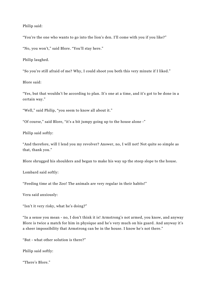Philip said:

"You're the one who wants to go into the lion's den. I'll come with you if you like?"

"No, you won't," said Blore. "You'll stay here."

Philip laughed.

"So you're still afraid of me? Why, I could shoot you both this very minute if I liked."

Blore said:

"Yes, but that wouldn't be according to plan. It's one at a time, and it's got to be done in a certain way."

"Well," said Philip, "you seem to know all about it."

"Of course," said Blore, "it's a bit jumpy going up to the house alone -"

Philip said softly:

"And therefore, will I lend you my revolver? Answer, no, I will not! Not quite so simple as that, thank you."

Blore shrugged his shoulders and began to make his way up the steep slope to the house.

Lombard said softly:

"Feeding time at the Zoo! The animals are very regular in their habits!"

Vera said anxiously:

"Isn't it very risky, what he's doing?"

"In a sense you mean - no, I don't think it is! Armstrong's not armed, you know, and anyway Blore is twice a match for him in physique and he's very much on his guard. And anyway it's a sheer impossibility that Armstrong can be in the house. I know he's not there."

"But - what other solution is there?"

Philip said softly:

"There's Blore."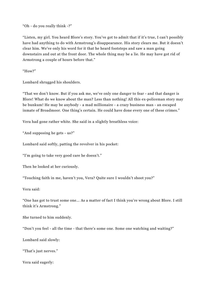"Oh - do you really think -?"

"Listen, my girl. You heard Blore's story. You've got to admit that if it's true, I can't possibly have had anything to do with Armstrong's disappearance. His story clears me. But it doesn't clear him. We've only his word for it that he heard footsteps and saw a man going downstairs and out at the front door. The whole thing may be a lie. He may have got rid of Armstrong a couple of hours before that."

"How?"

Lombard shrugged his shoulders.

"That we don't know. But if you ask me, we've only one danger to fear - and that danger is Blore! What do we know about the man? Less than nothing! All this ex-policeman story may be bunkum! He may be anybody - a mad millionaire - a crazy business man - an escaped inmate of Broadmoor. One thing's certain. He could have done every one of these crimes."

Vera had gone rather white. She said in a slightly breathless voice:

"And supposing he gets - us?"

Lombard said softly, patting the revolver in his pocket:

"I'm going to take very good care he doesn't."

Then he looked at her curiously.

"Touching faith in me, haven't you, Vera? Quite sure I wouldn't shoot you?"

Vera said:

"One has got to trust some one... As a matter of fact I think you're wrong about Blore. I still think it's Armstrong."

She turned to him suddenly.

"Don't you feel - all the time - that there's some one. Some one watching and waiting?"

Lombard said slowly:

"That's just nerves."

Vera said eagerly: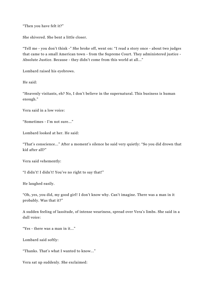"Then you have felt it?"

She shivered. She bent a little closer.

"Tell me - you don't think -" She broke off, went on: "I read a story once - about two judges that came to a small American town - from the Supreme Court. They administered justice - Absolute Justice. Because - they didn't come from this world at all..."

Lombard raised his eyebrows.

He said:

"Heavenly visitants, eh? No, I don't believe in the supernatural. This business is human enough."

Vera said in a low voice:

"Sometimes - I'm not sure..."

Lombard looked at her. He said:

"That's conscience..." After a moment's silence he said very quietly: "So you did drown that kid after all?"

Vera said vehemently:

"I didn't! I didn't! You've no right to say that!"

He laughed easily.

"Oh, yes, you did, my good girl! I don't know why. Can't imagine. There was a man in it probably. Was that it?"

A sudden feeling of lassitude, of intense weariness, spread over Vera's limbs. She said in a dull voice:

"Yes - there was a man in it..."

Lombard said softly:

"Thanks. That's what I wanted to know..."

Vera sat up suddenly. She exclaimed: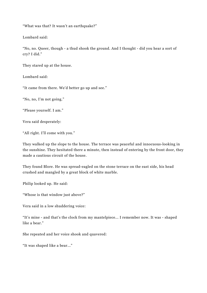"What was that? It wasn't an earthquake?"

Lombard said:

"No, no. Queer, though - a thud shook the ground. And I thought - did you hear a sort of cry? I did."

They stared up at the house.

Lombard said:

"It came from there. We'd better go up and see."

"No, no, I'm not going."

"Please yourself. I am."

Vera said desperately:

"All right. I'll come with you."

They walked up the slope to the house. The terrace was peaceful and innocuous-looking in the sunshine. They hesitated there a minute, then instead of entering by the front door, they made a cautious circuit of the house.

They found Blore. He was spread-eagled on the stone terrace on the east side, his head crushed and mangled by a great block of white marble.

Philip looked up. He said:

"Whose is that window just above?"

Vera said in a low shuddering voice:

"It's mine - and that's the clock from my mantelpiece... I remember now. It was - shaped like a bear."

She repeated and her voice shook and quavered:

"It was shaped like a bear..."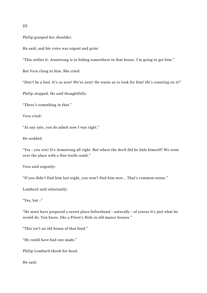III

Philip grasped her shoulder.

He said, and his voice was urgent and grim:

"This settles it. Armstrong is in hiding somewhere in that house. I'm going to get him."

But Vera clung to him. She cried:

"Don't be a fool. It's us now! We're next! He wants us to look for him! He's counting on it!"

Philip stopped. He said thoughtfully:

"There's something in that."

Vera cried:

"At any rate, you do admit now I was right."

He nodded.

"Yes - you win! It's Armstrong all right. But where the devil did he hide himself? We went over the place with a fine-tooth comb."

Vera said urgently:

"If you didn't find him last night, you won't find him now... That's common-sense."

Lombard said reluctantly:

"Yes, but -"

"He must have prepared a secret place beforehand - naturally - of course it's just what he would do. You know, like a Priest's Hole in old manor houses."

"This isn't an old house of that kind."

"He could have had one made."

Philip Lombard shook his head.

He said: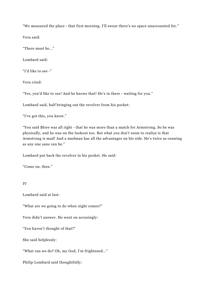"We measured the place - that first morning. I'll swear there's no space unaccounted for."

Vera said:

"There must be..."

Lombard said:

"I'd like to see -"

Vera cried:

"Yes, you'd like to see! And he knows that! He's in there - waiting for you."

Lombard said, half bringing out the revolver from his pocket:

"I've got this, you know."

"You said Blore was all right - that he was more than a match for Armstrong. So he was physically, and he was on the lookout too. But what you don't seem to realize is that Armstrong is mad! And a madman has all the advantages on his side. He's twice as cunning as any one sane can be."

Lombard put back the revolver in his pocket. He said:

"Come on, then."

IV

Lombard said at last:

"What are we going to do when night comes?"

Vera didn't answer. He went on accusingly:

"You haven't thought of that?"

She said helplessly:

"What can we do? Oh, my God, I'm frightened..."

Philip Lombard said thoughtfully: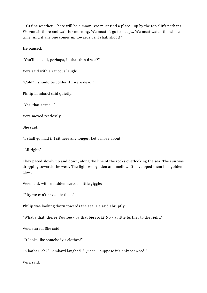"It's fine weather. There will be a moon. We must find a place - up by the top cliffs perhaps. We can sit there and wait for morning. We mustn't go to sleep... We must watch the whole time. And if any one comes up towards us, I shall shoot!"

He paused:

"You'll be cold, perhaps, in that thin dress?"

Vera said with a raucous laugh:

"Cold? I should be colder if I were dead!"

Philip Lombard said quietly:

"Yes, that's true..."

Vera moved restlessly.

She said:

"I shall go mad if I sit here any longer. Let's move about."

"All right."

They paced slowly up and down, along the line of the rocks overlooking the sea. The sun was dropping towards the west. The light was golden and mellow. It enveloped them in a golden glow.

Vera said, with a sudden nervous little giggle:

"Pity we can't have a bathe..."

Philip was looking down towards the sea. He said abruptly:

"What's that, there? You see - by that big rock? No - a little further to the right."

Vera stared. She said:

"It looks like somebody's clothes!"

"A bather, eh?" Lombard laughed. "Queer. I suppose it's only seaweed."

Vera said: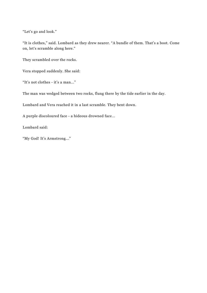"Let's go and look."

"It is clothes," said. Lombard as they drew nearer. "A bundle of them. That's a boot. Come on, let's scramble along here."

They scrambled over the rocks.

Vera stopped suddenly. She said:

"It's not clothes - it's a man..."

The man was wedged between two rocks, flung there by the tide earlier in the day.

Lombard and Vera reached it in a last scramble. They bent down.

A purple discoloured face - a hideous drowned face...

Lombard said:

"My God! It's Armstrong..."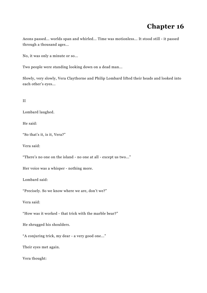## Chapter 16

Aeons passed... worlds span and whirled... Time was motionless... It stood still - it passed through a thousand ages...

No, it was only a minute or so...

Two people were standing looking down on a dead man...

Slowly, very slowly, Vera Claythorne and Philip Lombard lifted their heads and looked into each other's eyes...

II

Lombard laughed.

He said:

"So that's it, is it, Vera?"

Vera said:

"There's no one on the island - no one at all - except us two..."

Her voice was a whisper - nothing more.

Lombard said:

"Precisely. So we know where we are, don't we?"

Vera said:

"How was it worked - that trick with the marble bear?"

He shrugged his shoulders.

"A conjuring trick, my dear - a very good one..."

Their eyes met again.

Vera thought: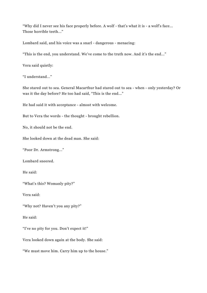"Why did I never see his face properly before. A wolf - that's what it is - a wolf's face... Those horrible teeth..."

Lombard said, and his voice was a snarl - dangerous - menacing:

"This is the end, you understand. We've come to the truth now. And it's the end..."

Vera said quietly:

"I understand..."

She stared out to sea. General Macarthur had stared out to sea - when - only yesterday? Or was it the day before? He too had said, "This is the end..."

He had said it with acceptance - almost with welcome.

But to Vera the words - the thought - brought rebellion.

No, it should not be the end.

She looked down at the dead man. She said:

"Poor Dr. Armstrong..."

Lombard sneered.

He said:

"What's this? Womanly pity?"

Vera said:

"Why not? Haven't you any pity?"

He said:

"I've no pity for you. Don't expect it!"

Vera looked down again at the body. She said:

"We must move him. Carry him up to the house."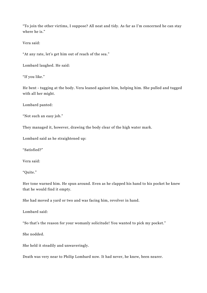"To join the other victims, I suppose? All neat and tidy. As far as I'm concerned he can stay where he is."

Vera said:

"At any rate, let's get him out of reach of the sea."

Lombard laughed. He said:

"If you like."

He bent - tugging at the body. Vera leaned against him, helping him. She pulled and tugged with all her might.

Lombard panted:

"Not such an easy job."

They managed it, however, drawing the body clear of the high water mark.

Lombard said as he straightened up:

"Satisfied?"

Vera said:

"Quite."

Her tone warned him. He spun around. Even as he clapped his hand to his pocket he knew that he would find it empty.

She had moved a yard or two and was facing him, revolver in hand.

Lombard said:

"So that's the reason for your womanly solicitude! You wanted to pick my pocket."

She nodded.

She held it steadily and unwaveringly.

Death was very near to Philip Lombard now. It had never, he knew, been nearer.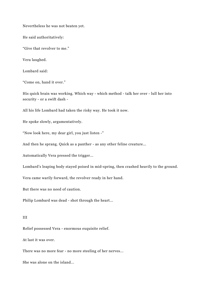Nevertheless he was not beaten yet.

He said authoritatively:

"Give that revolver to me."

Vera laughed.

Lombard said:

"Come on, hand it over."

His quick brain was working. Which way - which method - talk her over - lull her into security - or a swift dash -

All his life Lombard had taken the risky way. He took it now.

He spoke slowly, argumentatively.

"Now look here, my dear girl, you just listen -"

And then he sprang. Quick as a panther - as any other feline creature...

Automatically Vera pressed the trigger...

Lombard's leaping body stayed poised in mid-spring, then crashed heavily to the ground.

Vera came warily forward, the revolver ready in her hand.

But there was no need of caution.

Philip Lombard was dead - shot through the heart...

## III

Relief possessed Vera - enormous exquisite relief.

At last it was over.

There was no more fear - no more steeling of her nerves...

She was alone on the island...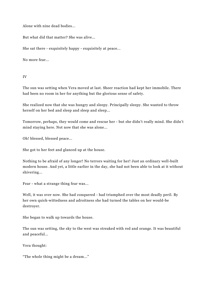Alone with nine dead bodies...

But what did that matter? She was alive...

She sat there - exquisitely happy - exquisitely at peace...

No more fear...

IV

The sun was setting when Vera moved at last. Sheer reaction had kept her immobile. There had been no room in her for anything but the glorious sense of safety.

She realized now that she was hungry and sleepy. Principally sleepy. She wanted to throw herself on her bed and sleep and sleep and sleep...

Tomorrow, perhaps, they would come and rescue her - but she didn't really mind. She didn't mind staying here. Not now that she was alone...

Oh! blessed, blessed peace...

She got to her feet and glanced up at the house.

Nothing to be afraid of any longer! No terrors waiting for her! Just an ordinary well-built modern house. And yet, a little earlier in the day, she had not been able to look at it without shivering...

Fear - what a strange thing fear was...

Well, it was over now. She had conquered - had triumphed over the most deadly peril. By her own quick-wittedness and adroitness she had turned the tables on her would-be destroyer.

She began to walk up towards the house.

The sun was setting, the sky to the west was streaked with red and orange. It was beautiful and peaceful...

Vera thought:

"The whole thing might be a dream..."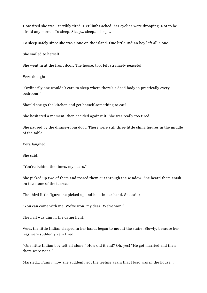How tired she was - terribly tired. Her limbs ached, her eyelids were drooping. Not to be afraid any more... To sleep. Sleep... sleep... sleep...

To sleep safely since she was alone on the island. One little Indian boy left all alone.

She smiled to herself.

She went in at the front door. The house, too, felt strangely peaceful.

Vera thought:

"Ordinarily one wouldn't care to sleep where there's a dead body in practically every bedroom!"

Should she go the kitchen and get herself something to eat?

She hesitated a moment, then decided against it. She was really too tired...

She paused by the dining-room door. There were still three little china figures in the middle of the table.

Vera laughed.

She said:

"You're behind the times, my dears."

She picked up two of them and tossed them out through the window. She heard them crash on the stone of the terrace.

The third little figure she picked up and held in her hand. She said:

"You can come with me. We've won, my dear! We've won!"

The hall was dim in the dying light.

Vera, the little Indian clasped in her hand, began to mount the stairs. Slowly, because her legs were suddenly very tired.

"One little Indian boy left all alone." How did it end? Oh, yes! "He got married and then there were none."

Married... Funny, how she suddenly got the feeling again that Hugo was in the house...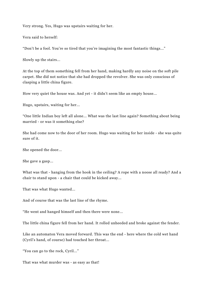Very strong. Yes, Hugo was upstairs waiting for her.

Vera said to herself:

"Don't be a fool. You're so tired that you're imagining the most fantastic things..."

Slowly up the stairs...

At the top of them something fell from her hand, making hardly any noise on the soft pile carpet. She did not notice that she had dropped the revolver. She was only conscious of clasping a little china figure.

How very quiet the house was. And yet - it didn't seem like an empty house...

Hugo, upstairs, waiting for her...

"One little Indian boy left all alone... What was the last line again? Something about being married - or was it something else?

She had come now to the door of her room. Hugo was waiting for her inside - she was quite sure of it.

She opened the door...

She gave a gasp...

What was that - hanging from the hook in the ceiling? A rope with a noose all ready? And a chair to stand upon - a chair that could be kicked away...

That was what Hugo wanted...

And of course that was the last line of the rhyme.

"He went and hanged himself and then there were none...

The little china figure fell from her hand. It rolled unheeded and broke against the fender.

Like an automaton Vera moved forward. This was the end - here where the cold wet hand (Cyril's hand, of course) had touched her throat...

"You can go to the rock, Cyril..."

That was what murder was - as easy as that!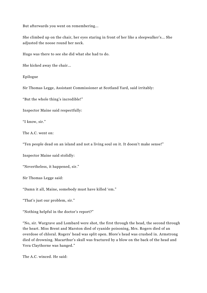But afterwards you went on remembering...

She climbed up on the chair, her eyes staring in front of her like a sleepwalker's... She adjusted the noose round her neck.

Hugo was there to see she did what she had to do.

She kicked away the chair...

Epilogue

Sir Thomas Legge, Assistant Commissioner at Scotland Yard, said irritably:

"But the whole thing's incredible!"

Inspector Maine said respectfully:

"I know, sir."

The A.C. went on:

"Ten people dead on an island and not a living soul on it. It doesn't make sense!"

Inspector Maine said stolidly:

"Nevertheless, it happened, sir."

Sir Thomas Legge said:

"Damn it all, Maine, somebody must have killed 'em."

"That's just our problem, sir."

"Nothing helpful in the doctor's report?"

"No, sir. Wargrave and Lombard were shot, the first through the head, the second through the heart. Miss Brent and Marston died of cyanide poisoning, Mrs. Rogers died of an overdose of chloral. Rogers' head was split open. Blore's head was crushed in. Armstrong died of drowning. Macarthur's skull was fractured by a blow on the back of the head and Vera Claythorne was hanged."

The A.C. winced. He said: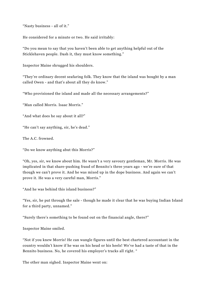"Nasty business - all of it."

He considered for a minute or two. He said irritably:

"Do you mean to say that you haven't been able to get anything helpful out of the Sticklehaven people. Dash it, they must know something."

Inspector Maine shrugged his shoulders.

"They're ordinary decent seafaring folk. They know that the island was bought by a man called Owen - and that's about all they do know."

"Who provisioned the island and made all the necessary arrangements?"

"Man called Morris. Isaac Morris."

"And what does he say about it all?"

"He can't say anything, sir, he's dead."

The A.C. frowned.

"Do we know anything abut this Morris?"

"Oh, yes, sir, we know about him. He wasn't a very savoury gentleman, Mr. Morris. He was implicated in that share-pushing fraud of Bennito's three years ago - we're sure of that though we can't prove it. And he was mixed up in the dope business. And again we can't prove it. He was a very careful man, Morris."

"And he was behind this island business?"

"Yes, sir, he put through the sale - though he made it clear that he was buying Indian Island for a third party, unnamed."

"Surely there's something to be found out on the financial angle, there?"

Inspector Maine smiled.

"Not if you knew Morris! He can wangle figures until the best chartered accountant in the country wouldn't know if he was on his head or his heels! We've had a taste of that in the Bennito business. No, he covered his employer's tracks all right. "

The other man sighed. Inspector Maine went on: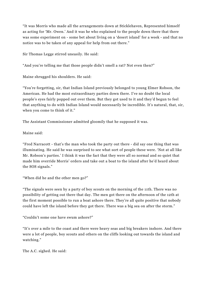"It was Morris who made all the arrangements down at Sticklehaven, Represented himself as acting for 'Mr. Owen.' And it was he who explained to the people down there that there was some experiment on - some bet about living on a 'desert island' for a week - and that no notice was to be taken of any appeal for help from out there."

Sir Thomas Legge stirred uneasily. He said:

"And you're telling me that those people didn't smell a rat? Not even then?"

Maine shrugged his shoulders. He said:

"You're forgetting, sir, that Indian Island previously belonged to young Elmer Robson, the American. He had the most extraordinary parties down there. I've no doubt the local people's eyes fairly popped out over them. But they got used to it and they'd begun to feel that anything to do with Indian Island would necessarily be incredible. It's natural, that, sir, when you come to think of it."

The Assistant Commissioner admitted gloomily that he supposed it was.

Maine said:

"Fred Narracott - that's the man who took the party out there - did say one thing that was illuminating. He said he was surprised to see what sort of people these were. 'Not at all like Mr. Robson's parties.' I think it was the fact that they were all so normal and so quiet that made him override Morris' orders and take out a boat to the island after he'd heard about the SOS signals."

"When did he and the other men go?"

"The signals were seen by a party of boy scouts on the morning of the 11th. There was no possibility of getting out there that day. The men got there on the afternoon of the 12th at the first moment possible to run a boat ashore there. They're all quite positive that nobody could have left the island before they got there. There was a big sea on after the storm."

"Couldn't some one have swum ashore?"

"It's over a mile to the coast and there were heavy seas and big breakers inshore. And there were a lot of people, boy scouts and others on the cliffs looking out towards the island and watching."

The A.C. sighed. He said: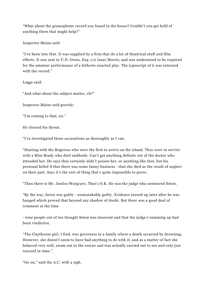"What about the gramophone record you found in the house? Couldn't you get hold of anything there that might help?"

Inspector Maine said:

"I've been into that. It was supplied by a firm that do a lot of theatrical stuff and film effects. It was sent to U.N. Owen, Esq. c/o Isaac Morris, and was understood to be required for the amateur performance of a hitherto unacted play. The typescript of it was returned with the record."

Legge said:

"And what about the subject matter, eh?"

Inspector Maine said gravely:

"I'm coming to that, sir."

He cleared his throat.

"I've investigated those accusations as thoroughly as I can.

"Starting with the Rogerses who were the first to arrive on the island. They were in service with a Miss Brady who died suddenly. Can't get anything definite out of the doctor who attended her. He says they certainly didn't poison her, or anything like that, but his personal belief if that there was some funny business - that she died as the result of neglect on their part. Says it's the sort of thing that's quite impossible to prove.

"Then there is Mr. Justice Wargrave. That's O.K. He was the judge who sentenced Seton.

"By the way, Seton was guilty - unmistakably guilty. Evidence turned up later after he was hanged which proved that beyond any shadow of doubt. But there was a good deal of comment at the time

- nine people out of ten thought Seton was innocent and that the judge's summing up had been vindictive.

"The Claythorne girl, I find, was governess in a family where a death occurred by drowning. However, she doesn't seem to have had anything to do with it, and as a matter of fact she behaved very well, swam out to the rescue and was actually carried out to sea and only just rescued in time."

"Go on," said the A.C. with a sigh.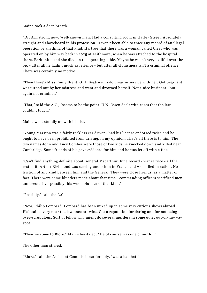Maine took a deep breath.

"Dr. Armstrong now. Well-known man. Had a consulting room in Harley Street. Absolutely straight and aboveboard in his profession. Haven't been able to trace any record of an illegal operation or anything of that kind. It's true that there was a woman called Clees who was operated on by him way back in 1925 at Leithmore, when he was attached to the hospital there. Peritonitis and she died on the operating table. Maybe he wasn't very skillful over the op. - after all he hadn't much experience - but after all clumsiness isn't a criminal offence. There was certainly no motive.

"Then there's Miss Emily Brent. Girl, Beatrice Taylor, was in service with her. Got pregnant, was turned out by her mistress and went and drowned herself. Not a nice business - but again not criminal."

"That," said the A.C., "seems to be the point. U.N. Owen dealt with cases that the law couldn't touch."

Maine went stolidly on with his list.

"Young Marston was a fairly reckless car driver - had his license endorsed twice and he ought to have been prohibited from driving, in my opinion. That's all there is to him. The two names John and Lucy Combes were those of two kids he knocked down and killed near Cambridge. Some friends of his gave evidence for him and he was let off with a fine.

"Can't find anything definite about General Macarthur. Fine record - war service - all the rest of it. Arthur Richmond was serving under him in France and was killed in action. No friction of any kind between him and the General. They were close friends, as a matter of fact. There were some blunders made about that time - commanding officers sacrificed men unnecessarily - possibly this was a blunder of that kind."

"Possibly," said the A.C.

"Now, Philip Lombard. Lombard has been mixed up in some very curious shows abroad. He's sailed very near the law once or twice. Got a reputation for daring and for not being over-scrupulous. Sort of fellow who might do several murders in some quiet out-of-the-way spot.

"Then we come to Blore." Maine hesitated. "He of course was one of our lot."

The other man stirred.

"Blore," said the Assistant Commissioner forcibly, "was a bad hat!"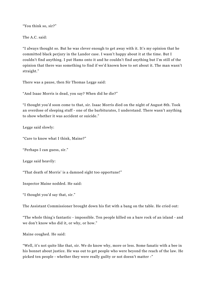"You think so, sir?"

The A.C. said:

"I always thought so. But he was clever enough to get away with it. It's my opinion that he committed black perjury in the Landor case. I wasn't happy about it at the time. But I couldn't find anything. I put Hams onto it and he couldn't find anything but I'm still of the opinion that there was something to find if we'd known how to set about it. The man wasn't straight."

There was a pause, then Sir Thomas Legge said:

"And Isaac Morris is dead, you say? When did he die?"

"I thought you'd soon come to that, sir. Isaac Morris died on the night of August 8th. Took an overdose of sleeping stuff - one of the barbiturates, I understand. There wasn't anything to show whether it was accident or suicide."

Legge said slowly:

"Care to know what I think, Maine?"

"Perhaps I can guess, sir."

Legge said heavily:

"That death of Morris' is a damned sight too opportune!"

Inspector Maine nodded. He said:

"I thought you'd say that, sir."

The Assistant Commissioner brought down his fist with a bang on the table. He cried out:

"The whole thing's fantastic - impossible. Ten people killed on a bare rock of an island - and we don't know who did it, or why, or how."

Maine coughed. He said:

"Well, it's not quite like that, sir. We do know why, more or less. Some fanatic with a bee in his bonnet about justice. He was out to get people who were beyond the reach of the law. He picked ten people - whether they were really guilty or not doesn't matter -"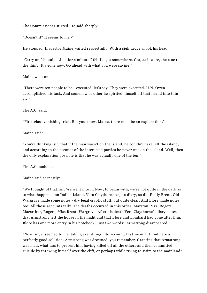The Commissioner stirred. He said sharply:

"Doesn't it? It seems to me -"

He stopped. Inspector Maine waited respectfully. With a sigh Legge shook his head.

"Carry on," he said. "Just for a minute I felt I'd got somewhere. Got, as it were, the clue to the thing. It's gone now. Go ahead with what you were saying."

Maine went on:

"There were ten people to be - executed, let's say. They were executed. U.N. Owen accomplished his task. And somehow or other he spirited himself off that island into thin air."

The A.C. said:

"First-class vanishing trick. But you know, Maine, there must be an explanation."

Maine said:

"You're thinking, sir, that if the man wasn't on the island, he couldn'l have left the island, and according to the account of the interested parties he never was on the island. Well, then the only explanation possible is that he was actually one of the ten."

The A.C. nodded.

Maine said earnestly:

"We thought of that, sir. We went into it. Now, to begin with, we're not quite in the dark as to what happened on Indian Island. Vera Claythorne kept a diary, so did Emily Brent. Old Wargrave made some notes - dry legal cryptic stuff, but quite clear. And Blore made notes too. All those accounts tally. The deaths occurred in this order: Marston, Mrs. Rogers, Macarthur, Rogers, Miss Brent, Wargrave. After his death Vera Claythorne's diary states that Armstrong left the house in the night and that Blore and Lombard had gone after him. Blore has one more entry in his notebook. Just two words: 'Armstrong disappeared.'

"Now, sir, it seemed to me, taking everything into account, that we might find here a perfectly good solution. Armstrong was drowned, you remember. Granting that Armstrong was mad, what was to prevent him having killed off all the others and then committed suicide by throwing himself over the cliff, or perhaps while trying to swim to the mainland?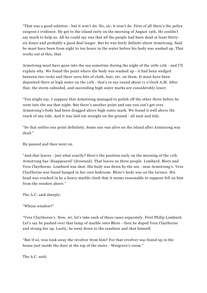"That was a good solution - but it won't do. No, sir, it won't do. First of all there's the police surgeon's evidence. He got to the island early on the morning of August 13th. He couldn't say much to help us. All he could say was that all the people had been dead at least thirtysix hours and probably a good deal longer. But he was fairly definite about Armstrong. Said he must have been from eight to ten hours in the water before his body was washed up. That works out at this, that

Armstrong must have gone into the sea sometime during the night of the 10th-11th - and I'll explain why. We found the point where the body was washed up - it had been wedged between two rocks and there were bits of cloth, hair, etc. on them. It must have been deposited there at high water on the 11th - that's to say round about 11 o'clock A.M. After that, the storm subsided, and succeeding high water marks are considerably lower.

"You might say, I suppose that Armstrong managed to polish off the other three before he went into the sea that night. But there's another point and one you can't get over. Armstrong's body had been dragged above high water mark. We found it well above the reach of any tide. And it was laid out straight on the ground - all neat and tidy.

"So that settles one point definitely. Some one was alive on the island after Armstrong was dead."

He paused and then went on.

"And that leaves - just what exactly? Here's the position early on the morning of the 11th. Armstrong has 'disappeared' (drowned). That leaves us three people. Lombard, Blore and Vera Claythorne. Lombard was shot. His body was down by the sea - near Armstrong's. Vera Claythorne was found hanged in her own bedroom. Blore's body was on the terrace. His head was crushed in by a heavy marble clock that it seems reasonable to suppose fell on him from the window above."

The A.C. said sharply:

"Whose window?"

"Vera Claythorne's. Now, sir, let's take each of these cases separately. First Philip Lombard. Let's say he pushed over that lump of marble onto Blore - then he doped Vera Claythorne and strung her up. Lastly, he went down to the seashore and shot himself.

"But if so, woo took away the revolver from him? For that revolver was found up in the house just inside the door at the top of the stairs - Wargrave's room."

The A.C. said: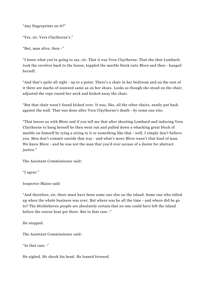"Any fingerprints on it?"

"Yes, sir, Vera Claythorne's."

"But, man alive, then -"

"I know what you're going to say, sir. That it was Vera Claythorne. That she shot Lombard, took the revolver back to the house, toppled the marble block onto Blore and then - hanged herself.

"And that's quite all right - up to a point. There's a chair in her bedroom and on the seat of it there are marks of seaweed same as on her shoes. Looks as though she stood on the chair, adjusted the rope round her neck and kicked away the chair.

"But that chair wasn't found kicked over. It was, like, all the other chairs, neatly put back against the wall. That was done after Vera Claythorne's death - by some one else.

"That leaves us with Blore and if you tell me that after shooting Lombard and inducing Vera Claythorne to hang herself he then went out and pulled down a whacking great block of marble on himself by tying a string to it or something like that - well, I simply don't believe you. Men don't commit suicide that way - and what's more Blore wasn't that kind of man. We knew Blore - and he was not the man that you'd ever accuse of a desire for abstract justice."

The Assistant Commissioner said:

"I agree."

Inspector Maine said:

"And therefore, sir, there must have been some one else on the island. Some one who tidied up when the whole business was over. But where was he all the time - and where did he go to? The Sticklehaven people are absolutely certain that no one could have left the island before the rescue boat got there. But in that case -"

He stopped.

The Assistant Commissioner said:

"In that case -"

He sighed. He shook his head. He leaned forward.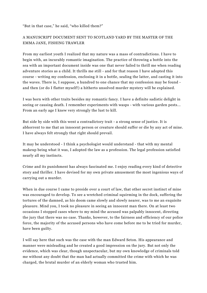"But in that case," he said, "who killed them?"

## A MANUSCRIPT DOCUMENT SENT TO SCOTLAND YARD BY THE MASTER OF THE EMMA JANE, FISHING TRAWLER

From my earliest youth I realized that my nature was a mass of contradictions. I have to begin with, an incurably romantic imagination. The practice of throwing a bottle into the sea with an important document inside was one that never failed to thrill me when reading adventure stories as a child. It thrills me still - and for that reason I have adopted this course - writing my confession, enclosing it in a bottle, sealing the latter, and casting it into the waves. There is, I suppose, a hundred to one chance that my confession may be found and then (or do I flatter myself!) a hitherto unsolved murder mystery will be explained.

I was born with other traits besides my romantic fancy. I have a definite sadistic delight in seeing or causing death. I remember experiments with wasps - with various garden pests... From an early age I knew very strongly the lust to kill.

But side by side with this went a contradictory trait - a strong sense of justice. It is abhorrent to me that an innocent person or creature should suffer or die by any act of mine. I have always felt strongly that right should prevail.

It may be understood - I think a psychologist would understand - that with my mental makeup being what it was, I adopted the law as a profession. The legal profession satisfied nearly all my instincts.

Crime and its punishment has always fascinated me. I enjoy reading every kind of detective story and thriller. I have devised for my own private amusement the most ingenious ways of carrying out a murder.

When in due course I came to preside over a court of law, that other secret instinct of mine was encouraged to develop. To see a wretched criminal squirming in the dock, suffering the tortures of the damned, as his doom came slowly and slowly nearer, was to me an exquisite pleasure. Mind you, I took no pleasure in seeing an innocent man there. On at least two occasions I stopped cases where to my mind the accused was palpably innocent, directing the jury that there was no case. Thanks, however, to the fairness and efficiency of our police force, the majority of the accused persons who have come before me to be tried for murder, have been guilty.

I will say here that such was the case with the man Edward Seton. His appearance and manner were misleading and he created a good impression on the jury. But not only the evidence, which was clear, though unspectacular, but my own knowledge of criminals told me without any doubt that the man had actually committed the crime with which he was charged, the brutal murder of an elderly woman who trusted him.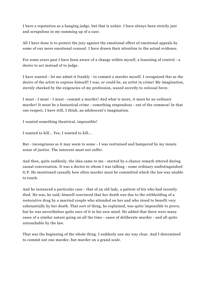I have a reputation as a hanging judge, but that is unfair. I have always been strictly just and scrupulous in my summing up of a case.

All I have done is to protect the jury against the emotional effect of emotional appeals by some of our more emotional counsel. I have drawn their attention to the actual evidence.

For some years past I have been aware of a change within myself, a lessening of control - a desire to act instead of to judge.

I have wanted - let me admit it frankly - to commit a murder myself. I recognized this as the desire of the artist to express himself! I was, or could be, an artist in crime! My imagination, sternly checked by the exigencies of my profession, waxed secretly to colossal force.

I must - I must - I must - commit a murder! And what is more, it must be no ordinary murder! It must be a fantastical crime - something stupendous - out of the common! In that one respect, I have still, I think, an adolescent's imagination.

I wanted something theatrical, impossible!

I wanted to kill... Yes, I wanted to kill...

But - incongruous as it may seem to some - I was restrained and hampered by my innate sense of justice. The innocent must not suffer.

And then, quite suddenly, the idea came to me - started by a chance remark uttered during casual conversation. It was a doctor to whom I was talking - some ordinary undistinguished G.P. He mentioned casually how often murder must be committed which the law was unable to touch.

And he instanced a particular case - that of an old lady, a patient of his who had recently died. He was, he said, himself convinced that her death was due to the withholding of a restorative drug by a married couple who attended on her and who stood to benefit very substantially by her death. That sort of thing, he explained, was quite impossible to prove, but he was nevertheless quite sure of it in his own mind. He added that there were many cases of a similar nature going on all the time - cases of deliberate murder - and all quite untouchable by the law.

That was the beginning of the whole thing. I suddenly saw my way clear. And I determined to commit not one murder, but murder on a grand scale.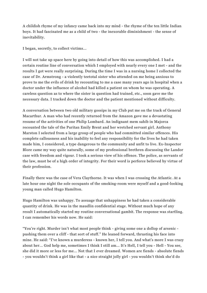A childish rhyme of my infancy came back into my mind - the rhyme of the ten little Indian boys. It had fascinated me as a child of two - the inexorable diminishment - the sense of inevitability.

I began, secretly, to collect victims...

I will not take up space here by going into detail of how this was accomplished. I had a certain routine line of conversation which I employed with nearly every one I met - and the results I got were really surprising. During the time I was in a nursing home I collected the case of Dr. Armstrong - a violently teetotal sister who attended on me being anxious to prove to me the evils of drink by recounting to me a case many years ago in hospital when a doctor under the influence of alcohol had killed a patient on whom he was operating. A careless question as to where the sister in question had trained, etc., soon gave me the necessary data. I tracked down the doctor and the patient mentioned without difficulty.

A conversation between two old military gossips in my Club put me on the track of General Macarthur. A man who had recently returned from the Amazon gave me a devastating resume of the activities of one Philip Lombard. An indignant mem sahib in Majorca recounted the tale of the Puritan Emily Brent and her wretched servant girl. Anthony Marston I selected from a large group of people who had committed similar offences. His complete callousness and his inability to feel any responsibility for the lives he had taken made him, I considered, a type dangerous to the community and unfit to live. Ex-Inspector Blore came my way quite naturally, some of my professional brethren discussing the Landor case with freedom and vigour. I took a serious view of his offence. The police, as servants of the law, must be of a high order of integrity. For their word is perforce believed by virtue of their profession.

Finally there was the case of Vera Claythorne. It was when I was crossing the Atlantic. At a late hour one night the sole occupants of the smoking-room were myself and a good-looking young man called Hugo Hamilton.

Hugo Hamilton was unhappy. To assuage that unhappiness he had taken a considerable quantity of drink. He was in the maudlin confidential stage. Without much hope of any result I automatically started my routine conversational gambit. The response was startling. I can remember his words now. He said:

"You're right. Murder isn't what most people think - giving some one a dollop of arsenic pushing them over a cliff - that sort of stuff." He leaned forward, thrusting his face into mine. He said: "I've known a murderess - known her, I tell you. And what's more I was crazy about her... God help me, sometimes I think I still am... It's Hell, I tell you - Hell - You see, she did it more or less for me... Not that I ever dreamed. Women are fiends - absolute fiends - you wouldn't think a girl like that - a nice straight jolly girl - you wouldn't think she'd do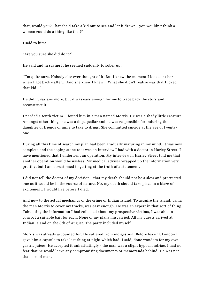that, would you? That she'd take a kid out to sea and let it drown - you wouldn't think a woman could do a thing like that?"

I said to him:

"Are you sure she did do it?"

He said and in saying it he seemed suddenly to sober up:

"I'm quite sure. Nobody else ever thought of it. But I knew the moment I looked at her when I got back - after... And she knew I knew... What she didn't realize was that I loved that kid..."

He didn't say any more, but it was easy enough for me to trace back the story and reconstruct it.

I needed a tenth victim. I found him in a man named Morris. He was a shady little creature. Amongst other things he was a dope pedlar and he was responsible for inducing the daughter of friends of mine to take to drugs. She committed suicide at the age of twentyone.

During all this time of search my plan had been gradually maturing in my mind. It was now complete and the coping stone to it was an interview I had with a doctor in Harley Street. I have mentioned that I underwent an operation. My interview in Harley Street told me that another operation would be useless. My medical adviser wrapped up the information very prettily, but I am accustomed to getting at the truth of a statement.

I did not tell the doctor of my decision - that my death should not be a slow and protracted one as it would be in the course of nature. No, my death should take place in a blaze of excitement. I would live before I died.

And now to the actual mechanics of the crime of Indian Island. To acquire the island, using the man Morris to cover my tracks, was easy enough. He was an expert in that sort of thing. Tabulating the information I had collected about my prospective victims, I was able to concoct a suitable bait for each. None of my plans miscarried. All my guests arrived at Indian Island on the 8th of August. The party included myself.

Morris was already accounted for. He suffered from indigestion. Before leaving London I gave him a capsule to take last thing at night which had, I said, done wonders for my own gastric juices. He accepted it unhesitatingly - the man was a slight hypochondriac. I had no fear that he would leave any compromising documents or memoranda behind. He was not that sort of man.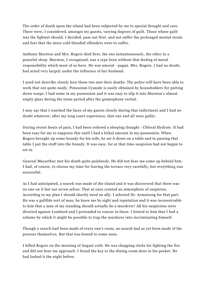The order of death upon the island had been subjected by me to special thought and care. There were, I considered, amongst my guests, varying degrees of guilt. Those whose guilt was the lightest should, I decided, pass out first, and not suffer the prolonged mental strain and fear that the more cold-blooded offenders were to suffer.

Anthony Marston and Mrs. Rogers died first, the one instantaneously, the other in a peaceful sleep. Marston, I recognized, was a type born without that feeling of moral responsibility which most of us have. He was amoral - pagan. Mrs. Rogers, I had no doubt, had acted very largely under the influence of her husband.

I need not describe closely how those two met their deaths. The police will have been able to work that out quite easily. Potassium Cyanide is easily obtained by householders for putting down wasps. I had some in my possession and it was easy to slip it into Marston's almost empty glass during the tense period after the gramophone recital.

I may say that I watched the faces of my guests closely during that indictment and I had no doubt whatever, after my long court experience, that one and all were guilty.

During recent bouts of pain, I had been ordered a sleeping draught - Chloral Hydrate. It had been easy for me to suppress this until I had a lethal amount in my possession. When Rogers brought up some brandy for his wife, he set it down on a table and in passing that table I put the stuff into the brandy. It was easy, for at that time suspicion had not begun to set in.

General Macarthur met his death quite painlessly. He did not hear me come up behind him. I had, of course, to choose my time for leaving the terrace very carefully, but everything was successful.

As I had anticipated, a search was made of the island and it was discovered that there was no one on it but our seven selves. That at once created an atmosphere of suspicion. According to my plan I should shortly need an ally. I selected Dr. Armstrong for that part. He was a gullible sort of man, he knew me by sight and reputation and it was inconceivable to him that a man of my standing should actually be a murderer! All his suspicions were directed against Lombard and I pretended to concur in these. I hinted to him that I had a scheme by which it might be possible to trap the murderer into incriminating himself.

Though a search had been made of every one's room, no search had as yet been made of the persons themselves. But that was bound to come soon.

I killed Rogers on the morning of August 10th. He was chopping sticks for lighting the fire and did not hear me approach. I found the key to the dining-room door in his pocket. He had locked it the night before.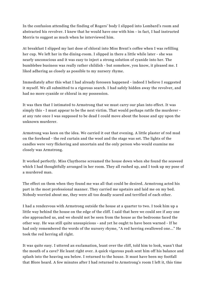In the confusion attending the finding of Rogers' body I slipped into Lombard's room and abstracted his revolver. I knew that he would have one with him - in fact, I had instructed Morris to suggest as much when he interviewed him.

At breakfast I slipped my last dose of chloral into Miss Brent's coffee when I was refilling her cup. We left her in the dining-room. I slipped in there a little while later - she was nearly unconscious and it was easy to inject a strong solution of cyanide into her. The bumblebee business was really rather childish - but somehow, you know, it pleased me. I liked adhering as closely as possible to my nursery rhyme.

Immediately after this what I had already foreseen happened - indeed I believe I suggested it myself. We all submitted to a rigorous search. I had safely hidden away the revolver, and had no more cyanide or chloral in my possession.

It was then that I intimated to Armstrong that we must carry our plan into effect. It was simply this - I must appear to be the next victim. That would perhaps rattle the murderer at any rate once I was supposed to be dead I could move about the house and spy upon the unknown murderer.

Armstrong was keen on the idea. We carried it out that evening. A little plaster of red mud on the forehead - the red curtain and the wool and the stage was set. The lights of the candles were very flickering and uncertain and the only person who would examine me closely was Armstrong.

It worked perfectly. Miss Claythorne screamed the house down when she found the seaweed which I had thoughtfully arranged in her room. They all rushed up, and I took up my pose of a murdered man.

The effect on them when they found me was all that could be desired. Armstrong acted his part in the most professional manner. They carried me upstairs and laid me on my bed. Nobody worried about me, they were all too deadly scared and terrified of each other.

I had a rendezvous with Armstrong outside the house at a quarter to two. I took him up a little way behind the house on the edge of the cliff. I said that here we could see if any one else approached us, and we should not be seen from the house as the bedrooms faced the other way. He was still quite unsuspicious - and yet he ought to have been warned - If he had only remembered the words of the nursery rhyme, "A red herring swallowed one..." He took the red herring all right.

It was quite easy. I uttered an exclamation, leant over the cliff, told him to look, wasn't that the mouth of a cave? He leant right over. A quick vigorous push sent him off his balance and splash into the heaving sea below. I returned to the house. It must have been my footfall that Blore heard. A few minutes after I had returned to Armstrong's room I left it, this time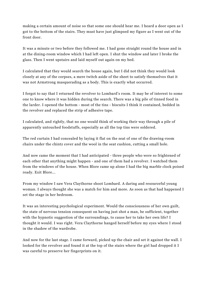making a certain amount of noise so that some one should hear me. I heard a door open as I got to the bottom of the stairs. They must have just glimpsed my figure as I went out of the front door.

It was a minute or two before they followed me. I had gone straight round the house and in at the dining-room window which I had left open. I shut the window and later I broke the glass. Then I went upstairs and laid myself out again on my bed.

I calculated that they would search the house again, but I did not think they would look closely at any of the corpses, a mere twitch aside of the sheet to satisfy themselves that it was not Armstrong masquerading as a body. This is exactly what occurred.

I forgot to say that I returned the revolver to Lombard's room. It may be of interest to some one to know where it was hidden during the search. There was a big pile of tinned food in the larder. I opened the bottom - most of the tins - biscuits I think it contained, bedded in the revolver and replaced the strip of adhesive tape.

I calculated, and rightly, that no one would think of working their way through a pile of apparently untouched foodstuffs, especially as all the top tins were soldered.

The red curtain I had concealed by laying it flat on the seat of one of the drawing-room chairs under the chintz cover and the wool in the seat cushion, cutting a small hole.

And now came the moment that I had anticipated - three people who were so frightened of each other that anything might happen - and one of them had a revolver. I watched them from the windows of the house. When Blore came up alone I had the big marble clock poised ready. Exit Blore...

From my window I saw Vera Claythorne shoot Lombard. A daring and resourceful young woman. I always thought she was a match for him and more. As soon as that had happened I set the stage in her bedroom.

It was an interesting psychological experiment. Would the consciousness of her own guilt, the state of nervous tension consequent on having just shot a man, be sufficient, together with the hypnotic suggestion of the surroundings, to cause her to take her own life? I thought it would. I was right. Vera Claythorne hanged herself before my eyes where I stood in the shadow of the wardrobe.

And now for the last stage. I came forward, picked up the chair and set it against the wall. I looked for the revolver and found it at the top of the stairs where the girl had dropped it I was careful to preserve her fingerprints on it.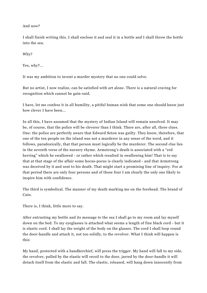And now?

I shall finish writing this. I shall enclose it and seal it in a bottle and I shall throw the bottle into the sea.

Why?

Yes, why?...

It was my ambition to invent a murder mystery that no one could solve.

But no artist, I now realize, can be satisfied with art alone. There is a natural craving for recognition which cannot be gain-said.

I have, let me confess it in all humility, a pitiful human wish that some one should know just how clever I have been...

In all this, I have assumed that the mystery of Indian Island will remain unsolved. It may be, of course, that the police will be cleverer than I think. There are, after all, three clues. One: the police are perfectly aware that Edward Seton was guilty. They know, therefore, that one of the ten people on the island was not a murderer in any sense of the word, and it follows, paradoxically, that that person must logically be the murderer. The second clue lies in the seventh verse of the nursery rhyme. Armstrong's death is associated with a "red herring" which he swallowed - or rather which resulted in swallowing him! That is to say that at that stage of the affair some hocus-pocus is clearly indicated - and that Armstrong was deceived by it and sent to his death. That might start a promising line of inquiry. For at that period there are only four persons and of those four I am clearly the only one likely to inspire him with confidence.

The third is symbolical. The manner of my death marking me on the forehead. The brand of Cain.

There is, I think, little more to say.

After entrusting my bottle and its message to the sea I shall go to my room and lay myself down on the bed. To my eyeglasses is attached what seems a length of fine black cord - but it is elastic cord. I shall lay the weight of the body on the glasses. The cord I shall loop round the door-handle and attach it, not too solidly, to the revolver. What I think will happen is this:

My hand, protected with a handkerchief, will press the trigger. My hand will fall to my side, the revolver, pulled by the elastic will recoil to the door, jarred by the door-handle it will detach itself from the elastic and fall. The elastic, released, will hang down innocently from